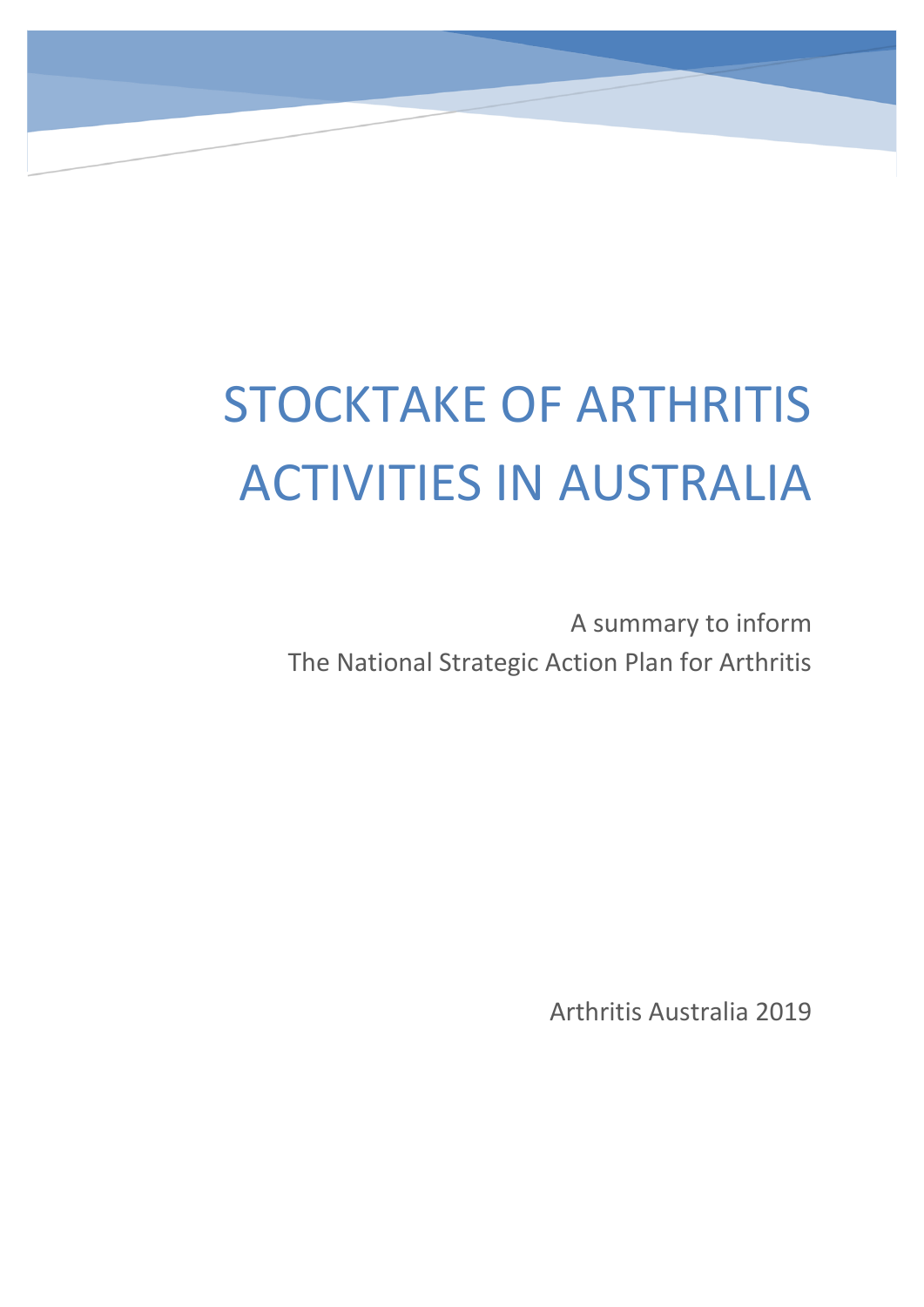# STOCKTAKE OF ARTHRITIS ACTIVITIES IN AUSTRALIA

A summary to inform The National Strategic Action Plan for Arthritis

Arthritis Australia 2019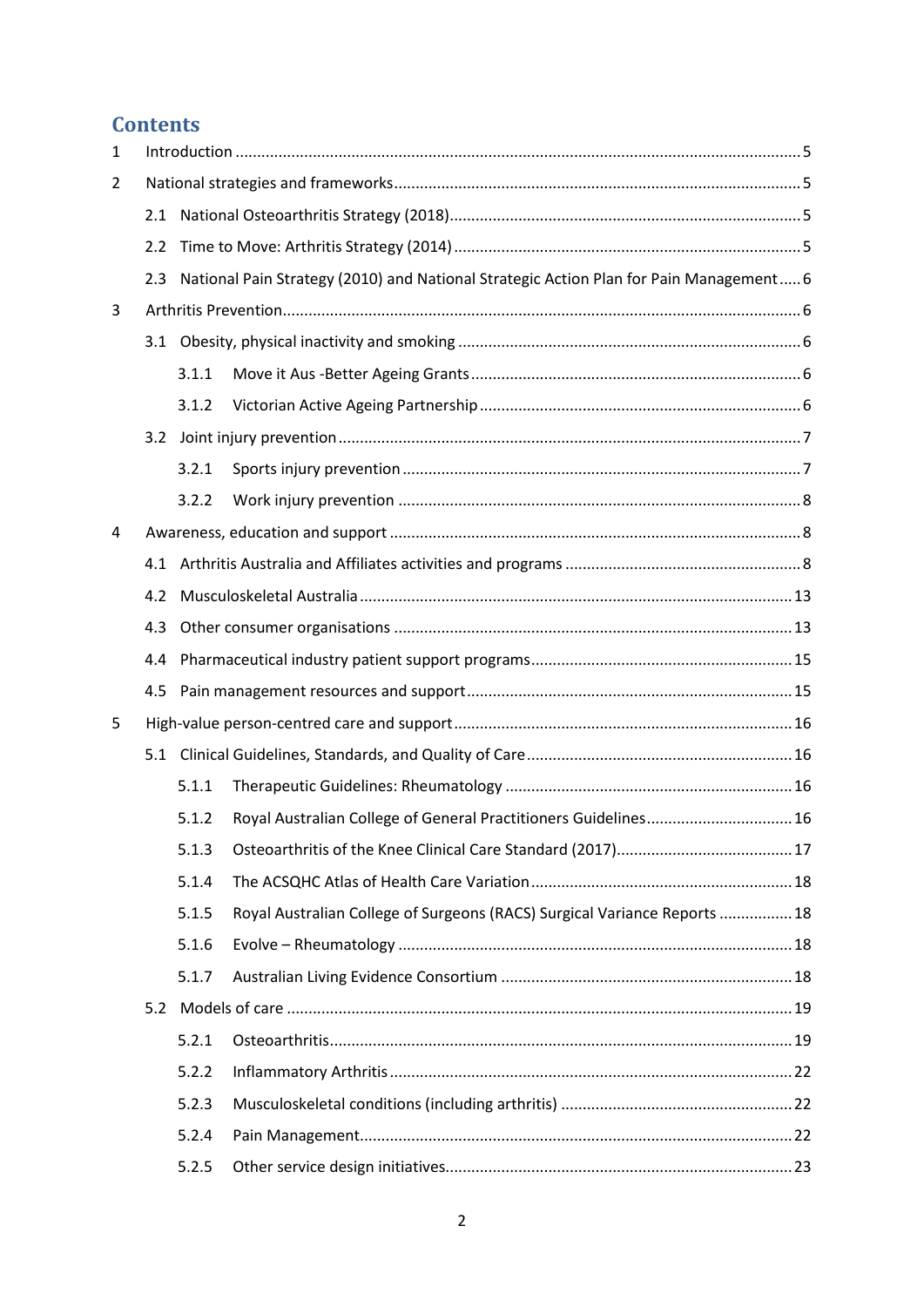## **Contents**

| 1 |     |       |                                                                                        |  |  |  |  |
|---|-----|-------|----------------------------------------------------------------------------------------|--|--|--|--|
| 2 |     |       |                                                                                        |  |  |  |  |
|   | 2.1 |       |                                                                                        |  |  |  |  |
|   | 2.2 |       |                                                                                        |  |  |  |  |
|   | 2.3 |       | National Pain Strategy (2010) and National Strategic Action Plan for Pain Management 6 |  |  |  |  |
| 3 |     |       |                                                                                        |  |  |  |  |
|   |     |       |                                                                                        |  |  |  |  |
|   |     | 3.1.1 |                                                                                        |  |  |  |  |
|   |     | 3.1.2 |                                                                                        |  |  |  |  |
|   |     |       |                                                                                        |  |  |  |  |
|   |     | 3.2.1 |                                                                                        |  |  |  |  |
|   |     | 3.2.2 |                                                                                        |  |  |  |  |
| 4 |     |       |                                                                                        |  |  |  |  |
|   | 4.1 |       |                                                                                        |  |  |  |  |
|   | 4.2 |       |                                                                                        |  |  |  |  |
|   | 4.3 |       |                                                                                        |  |  |  |  |
|   | 4.4 |       |                                                                                        |  |  |  |  |
|   | 4.5 |       |                                                                                        |  |  |  |  |
| 5 |     |       |                                                                                        |  |  |  |  |
|   |     |       |                                                                                        |  |  |  |  |
|   |     | 5.1.1 |                                                                                        |  |  |  |  |
|   |     | 5.1.2 | Royal Australian College of General Practitioners Guidelines 16                        |  |  |  |  |
|   |     | 5.1.3 |                                                                                        |  |  |  |  |
|   |     | 5.1.4 |                                                                                        |  |  |  |  |
|   |     | 5.1.5 | Royal Australian College of Surgeons (RACS) Surgical Variance Reports  18              |  |  |  |  |
|   |     | 5.1.6 |                                                                                        |  |  |  |  |
|   |     | 5.1.7 |                                                                                        |  |  |  |  |
|   | 5.2 |       |                                                                                        |  |  |  |  |
|   |     | 5.2.1 |                                                                                        |  |  |  |  |
|   |     | 5.2.2 |                                                                                        |  |  |  |  |
|   |     | 5.2.3 |                                                                                        |  |  |  |  |
|   |     | 5.2.4 |                                                                                        |  |  |  |  |
|   |     | 5.2.5 |                                                                                        |  |  |  |  |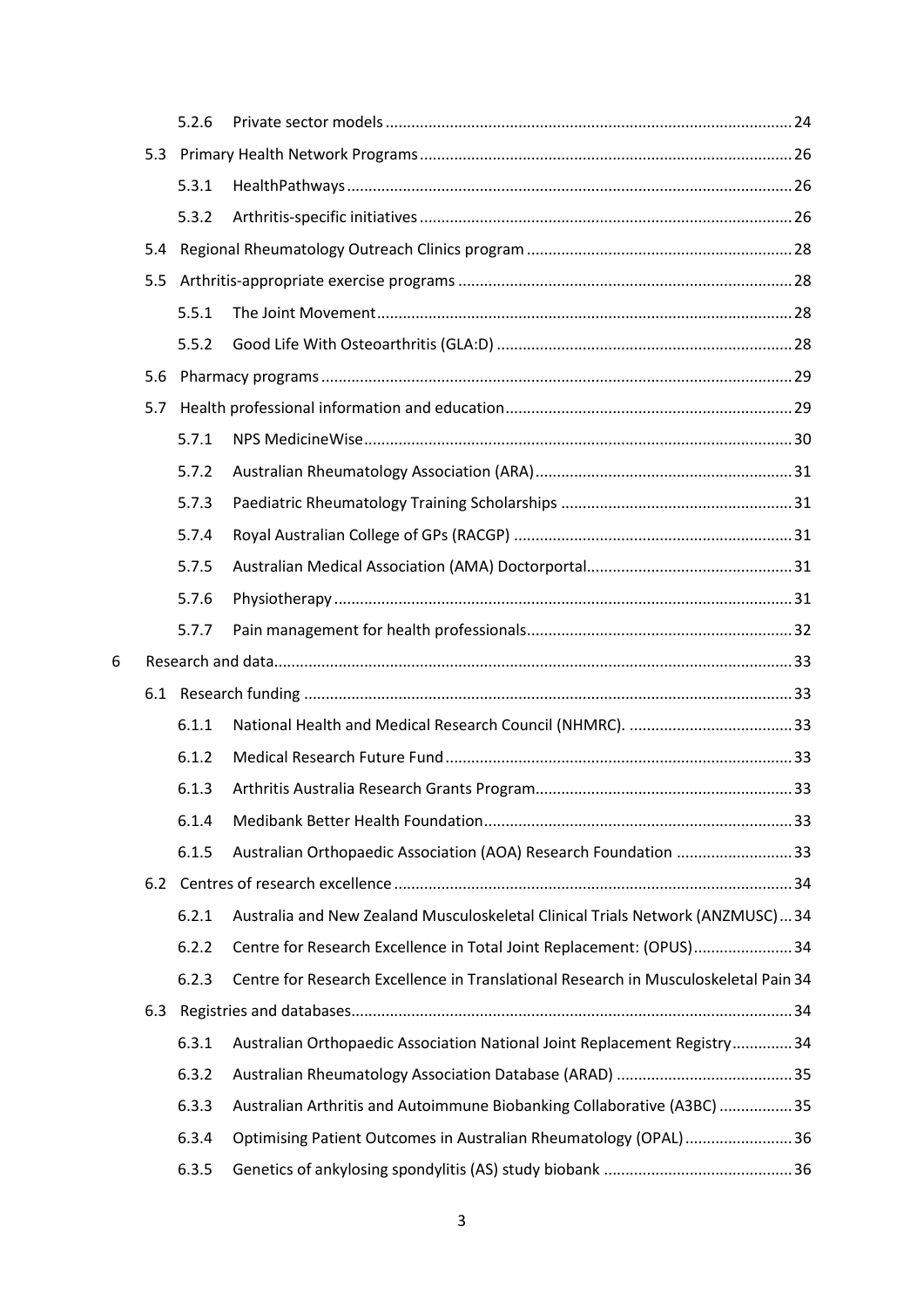|   |     | 5.2.6 |                                                                                     |  |  |
|---|-----|-------|-------------------------------------------------------------------------------------|--|--|
|   |     |       |                                                                                     |  |  |
|   |     | 5.3.1 |                                                                                     |  |  |
|   |     | 5.3.2 |                                                                                     |  |  |
|   | 5.4 |       |                                                                                     |  |  |
|   | 5.5 |       |                                                                                     |  |  |
|   |     | 5.5.1 |                                                                                     |  |  |
|   |     | 5.5.2 |                                                                                     |  |  |
|   | 5.6 |       |                                                                                     |  |  |
|   | 5.7 |       |                                                                                     |  |  |
|   |     | 5.7.1 |                                                                                     |  |  |
|   |     | 5.7.2 |                                                                                     |  |  |
|   |     | 5.7.3 |                                                                                     |  |  |
|   |     | 5.7.4 |                                                                                     |  |  |
|   |     | 5.7.5 |                                                                                     |  |  |
|   |     | 5.7.6 |                                                                                     |  |  |
|   |     | 5.7.7 |                                                                                     |  |  |
| 6 |     |       |                                                                                     |  |  |
|   |     |       |                                                                                     |  |  |
|   |     | 6.1.1 |                                                                                     |  |  |
|   |     | 6.1.2 |                                                                                     |  |  |
|   |     | 6.1.3 |                                                                                     |  |  |
|   |     | 6.1.4 |                                                                                     |  |  |
|   |     | 6.1.5 | Australian Orthopaedic Association (AOA) Research Foundation 33                     |  |  |
|   |     |       |                                                                                     |  |  |
|   |     | 6.2.1 | Australia and New Zealand Musculoskeletal Clinical Trials Network (ANZMUSC)34       |  |  |
|   |     | 6.2.2 | Centre for Research Excellence in Total Joint Replacement: (OPUS) 34                |  |  |
|   |     | 6.2.3 | Centre for Research Excellence in Translational Research in Musculoskeletal Pain 34 |  |  |
|   | 6.3 |       |                                                                                     |  |  |
|   |     | 6.3.1 | Australian Orthopaedic Association National Joint Replacement Registry34            |  |  |
|   |     | 6.3.2 |                                                                                     |  |  |
|   |     | 6.3.3 | Australian Arthritis and Autoimmune Biobanking Collaborative (A3BC) 35              |  |  |
|   |     | 6.3.4 | Optimising Patient Outcomes in Australian Rheumatology (OPAL)36                     |  |  |
|   |     | 6.3.5 |                                                                                     |  |  |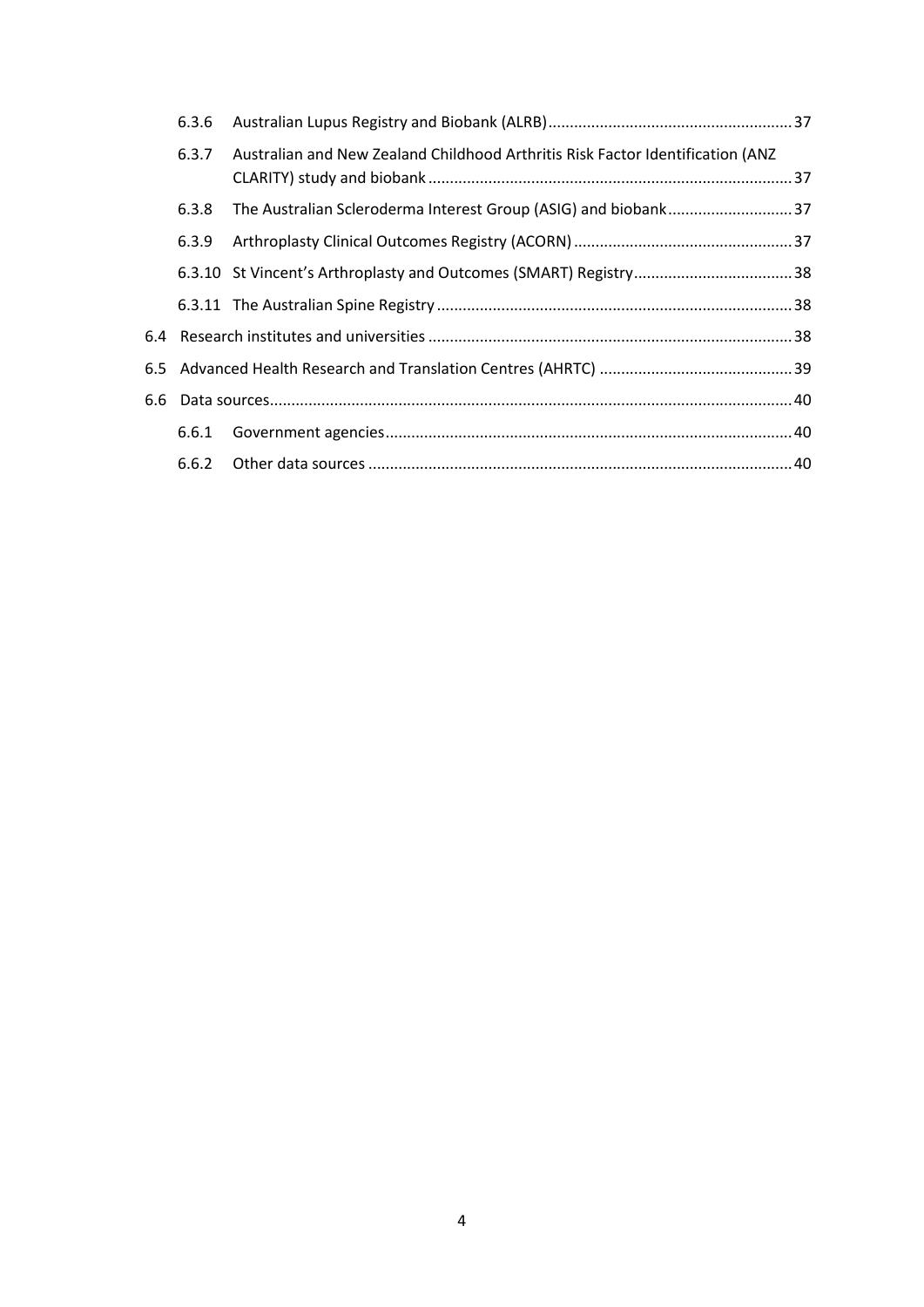| 6.3.6 |                                                                                |  |  |
|-------|--------------------------------------------------------------------------------|--|--|
| 6.3.7 | Australian and New Zealand Childhood Arthritis Risk Factor Identification (ANZ |  |  |
| 6.3.8 |                                                                                |  |  |
| 6.3.9 |                                                                                |  |  |
|       |                                                                                |  |  |
|       |                                                                                |  |  |
|       |                                                                                |  |  |
|       |                                                                                |  |  |
|       |                                                                                |  |  |
|       |                                                                                |  |  |
|       |                                                                                |  |  |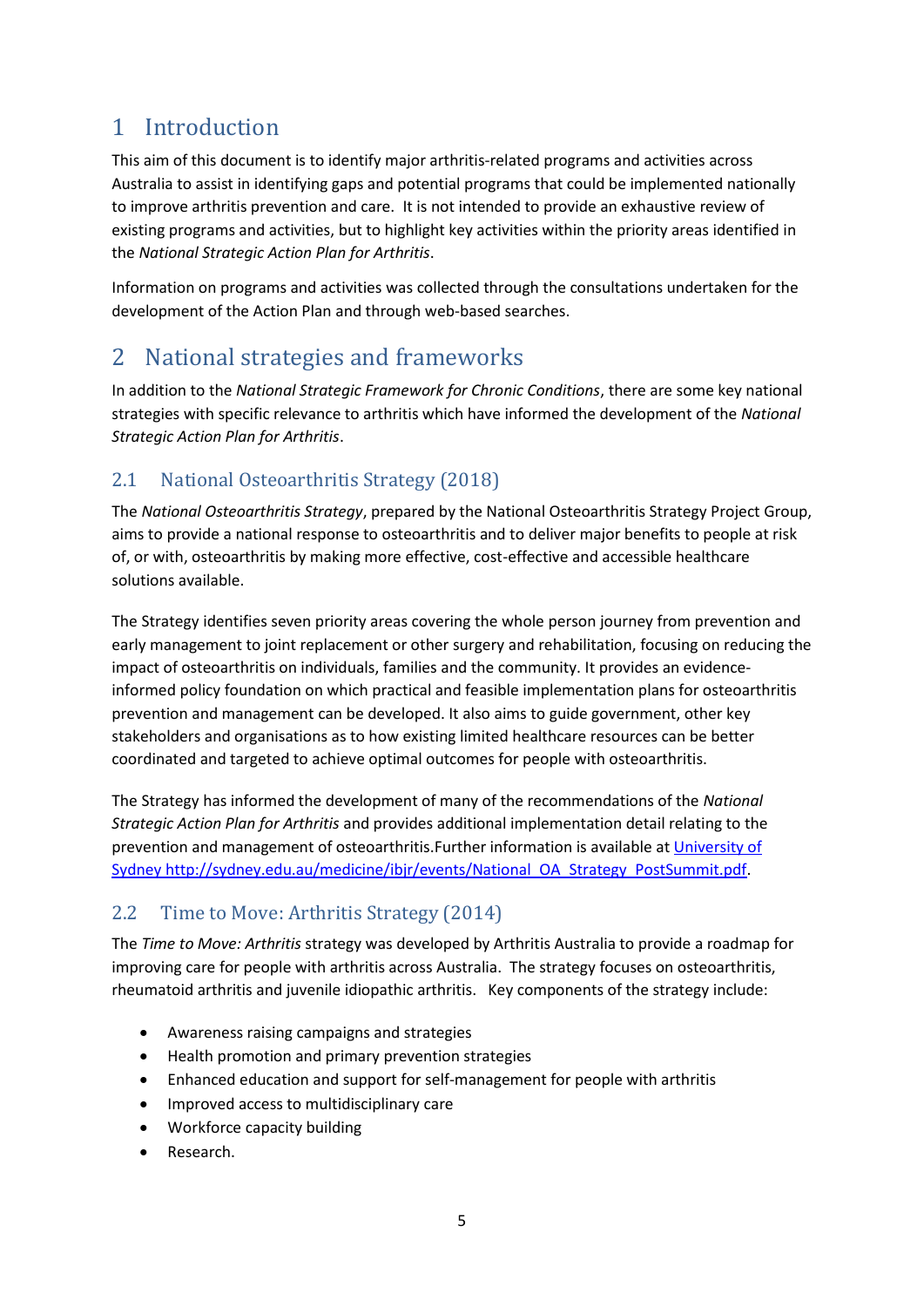# <span id="page-5-0"></span>1 Introduction

This aim of this document is to identify major arthritis-related programs and activities across Australia to assist in identifying gaps and potential programs that could be implemented nationally to improve arthritis prevention and care. It is not intended to provide an exhaustive review of existing programs and activities, but to highlight key activities within the priority areas identified in the *National Strategic Action Plan for Arthritis*.

Information on programs and activities was collected through the consultations undertaken for the development of the Action Plan and through web-based searches.

# <span id="page-5-1"></span>2 National strategies and frameworks

In addition to the *National Strategic Framework for Chronic Conditions*, there are some key national strategies with specific relevance to arthritis which have informed the development of the *National Strategic Action Plan for Arthritis*.

## <span id="page-5-2"></span>2.1 National Osteoarthritis Strategy (2018)

The *National Osteoarthritis Strategy*, prepared by the National Osteoarthritis Strategy Project Group, aims to provide a national response to osteoarthritis and to deliver major benefits to people at risk of, or with, osteoarthritis by making more effective, cost-effective and accessible healthcare solutions available.

The Strategy identifies seven priority areas covering the whole person journey from prevention and early management to joint replacement or other surgery and rehabilitation, focusing on reducing the impact of osteoarthritis on individuals, families and the community. It provides an evidenceinformed policy foundation on which practical and feasible implementation plans for osteoarthritis prevention and management can be developed. It also aims to guide government, other key stakeholders and organisations as to how existing limited healthcare resources can be better coordinated and targeted to achieve optimal outcomes for people with osteoarthritis.

The Strategy has informed the development of many of the recommendations of the *National Strategic Action Plan for Arthritis* and provides additional implementation detail relating to the prevention and management of osteoarthritis.Further information is available at [University of](http://sydney.edu.au/medicine/ibjr/events/National_OA_Strategy_PostSummit.pdf)  [Sydney http://sydney.edu.au/medicine/ibjr/events/National\\_OA\\_Strategy\\_PostSummit.pdf.](http://sydney.edu.au/medicine/ibjr/events/National_OA_Strategy_PostSummit.pdf)

## <span id="page-5-3"></span>2.2 Time to Move: Arthritis Strategy (2014)

The *Time to Move: Arthritis* strategy was developed by Arthritis Australia to provide a roadmap for improving care for people with arthritis across Australia. The strategy focuses on osteoarthritis, rheumatoid arthritis and juvenile idiopathic arthritis. Key components of the strategy include:

- Awareness raising campaigns and strategies
- Health promotion and primary prevention strategies
- Enhanced education and support for self-management for people with arthritis
- Improved access to multidisciplinary care
- Workforce capacity building
- Research.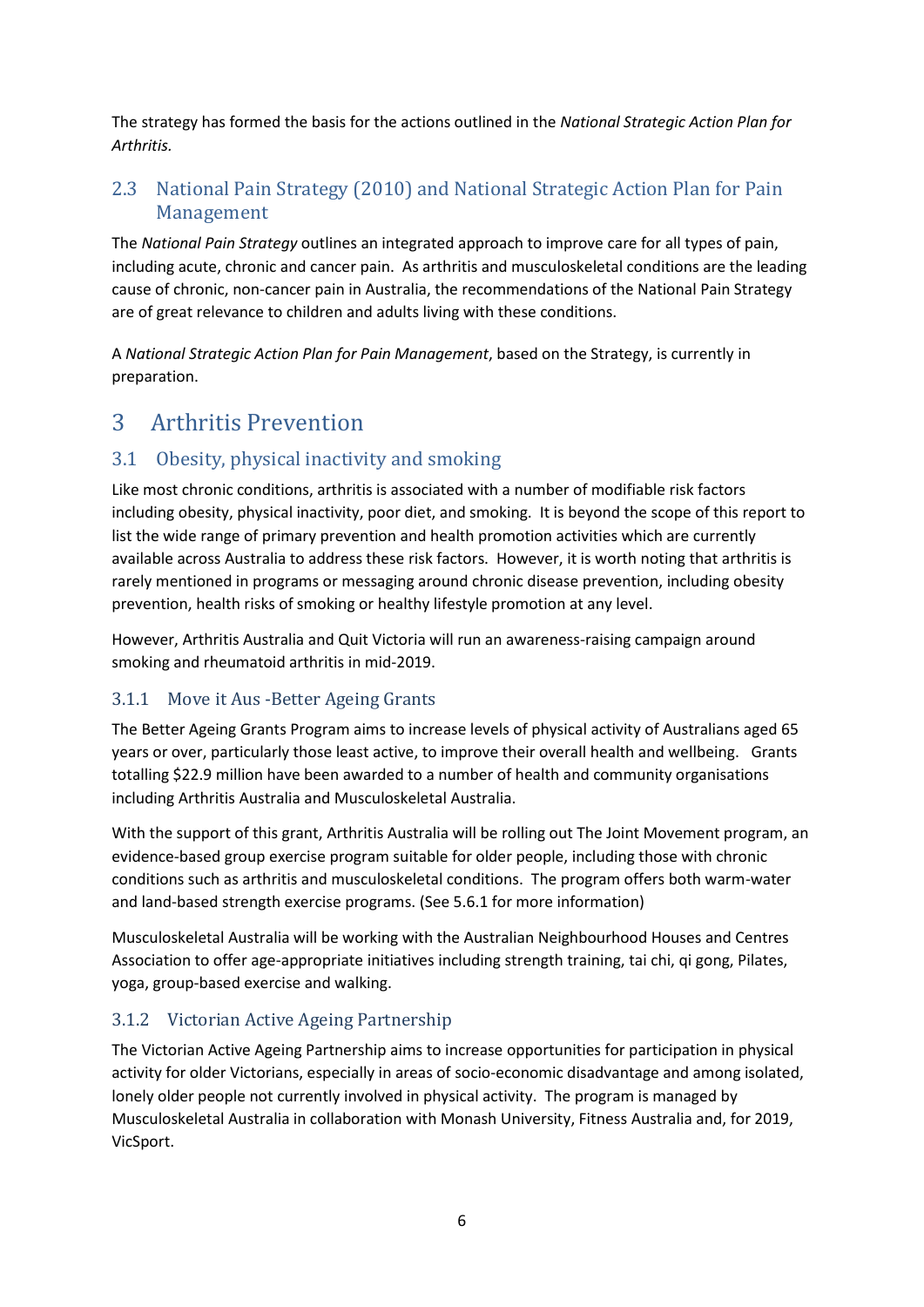The strategy has formed the basis for the actions outlined in the *National Strategic Action Plan for Arthritis.*

## <span id="page-6-0"></span>2.3 National Pain Strategy (2010) and National Strategic Action Plan for Pain Management

The *National Pain Strategy* outlines an integrated approach to improve care for all types of pain, including acute, chronic and cancer pain. As arthritis and musculoskeletal conditions are the leading cause of chronic, non-cancer pain in Australia, the recommendations of the National Pain Strategy are of great relevance to children and adults living with these conditions.

A *National Strategic Action Plan for Pain Management*, based on the Strategy, is currently in preparation.

# <span id="page-6-1"></span>3 Arthritis Prevention

## <span id="page-6-2"></span>3.1 Obesity, physical inactivity and smoking

Like most chronic conditions, arthritis is associated with a number of modifiable risk factors including obesity, physical inactivity, poor diet, and smoking. It is beyond the scope of this report to list the wide range of primary prevention and health promotion activities which are currently available across Australia to address these risk factors. However, it is worth noting that arthritis is rarely mentioned in programs or messaging around chronic disease prevention, including obesity prevention, health risks of smoking or healthy lifestyle promotion at any level.

However, Arthritis Australia and Quit Victoria will run an awareness-raising campaign around smoking and rheumatoid arthritis in mid-2019.

## <span id="page-6-3"></span>3.1.1 Move it Aus -Better Ageing Grants

The Better Ageing Grants Program aims to increase levels of physical activity of Australians aged 65 years or over, particularly those least active, to improve their overall health and wellbeing. Grants totalling \$22.9 million have been awarded to a number of health and community organisations including Arthritis Australia and Musculoskeletal Australia.

With the support of this grant, Arthritis Australia will be rolling out The Joint Movement program, an evidence-based group exercise program suitable for older people, including those with chronic conditions such as arthritis and musculoskeletal conditions. The program offers both warm-water and land-based strength exercise programs. (See 5.6.1 for more information)

Musculoskeletal Australia will be working with the Australian Neighbourhood Houses and Centres Association to offer age-appropriate initiatives including strength training, tai chi, qi gong, Pilates, yoga, group-based exercise and walking.

## <span id="page-6-4"></span>3.1.2 Victorian Active Ageing Partnership

The Victorian Active Ageing Partnership aims to increase opportunities for participation in physical activity for older Victorians, especially in areas of socio-economic disadvantage and among isolated, lonely older people not currently involved in physical activity. The program is managed by Musculoskeletal Australia in collaboration with Monash University, Fitness Australia and, for 2019, VicSport.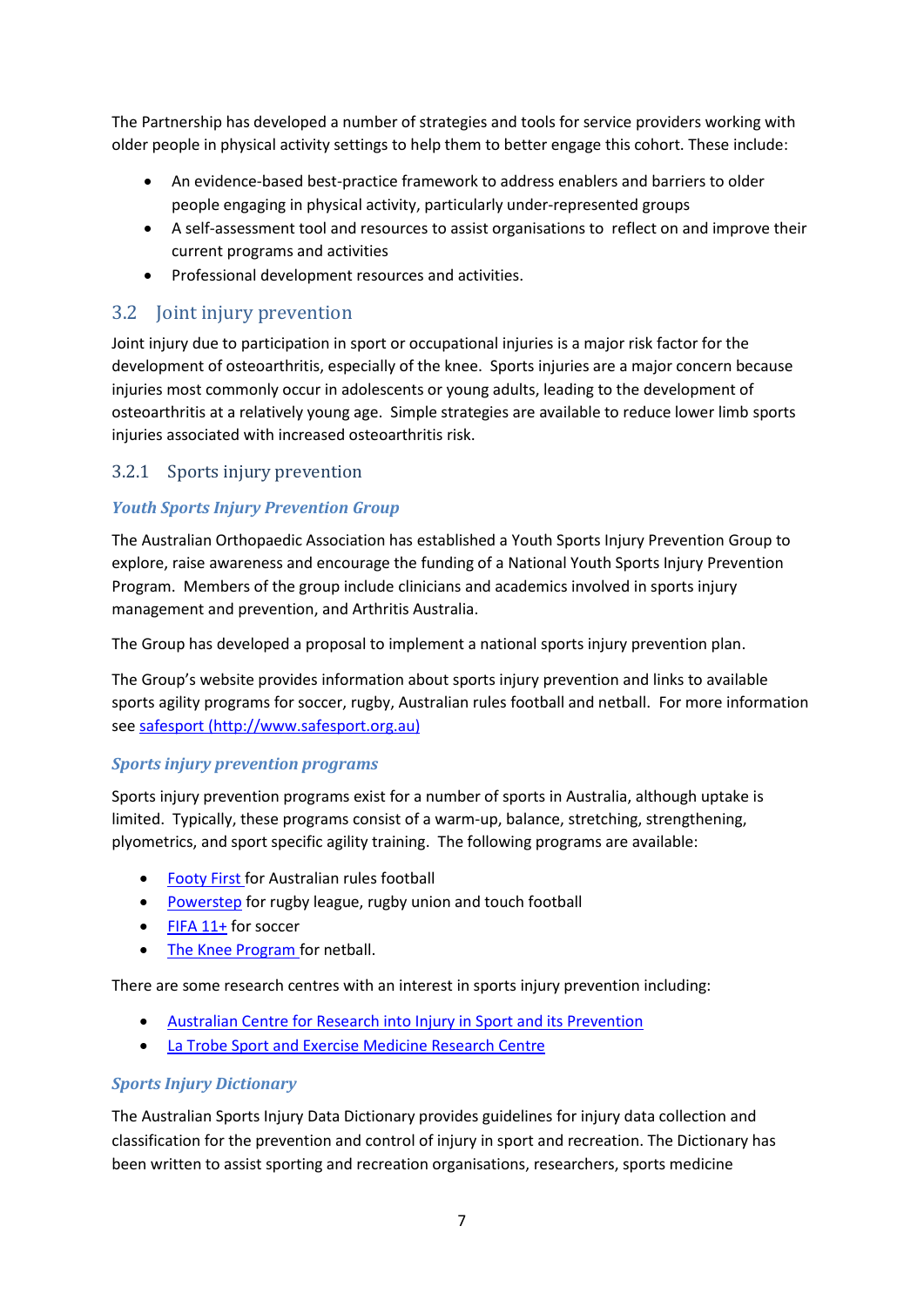The Partnership has developed a number of strategies and tools for service providers working with older people in physical activity settings to help them to better engage this cohort. These include:

- An evidence-based [best-practice framework](https://www.msk.org.au/wp-content/uploads/2018/07/VAAP-Evidence-based-best-practice-framework.pdf) to address enablers and barriers to older people engaging in physical activity, particularly under-represented groups
- A [self-assessment tool and resources](https://www.msk.org.au/vaap/#SaTR) to assist organisations to reflect on and improve their current programs and activities
- Professional development resources and activities.

## <span id="page-7-0"></span>3.2 Joint injury prevention

Joint injury due to participation in sport or occupational injuries is a major risk factor for the development of osteoarthritis, especially of the knee. Sports injuries are a major concern because injuries most commonly occur in adolescents or young adults, leading to the development of osteoarthritis at a relatively young age. Simple strategies are available to reduce lower limb sports injuries associated with increased osteoarthritis risk.

#### <span id="page-7-1"></span>3.2.1 Sports injury prevention

#### *Youth Sports Injury Prevention Group*

The Australian Orthopaedic Association has established a Youth Sports Injury Prevention Group to explore, raise awareness and encourage the funding of a National Youth Sports Injury Prevention Program. Members of the group include clinicians and academics involved in sports injury management and prevention, and Arthritis Australia.

The Group has developed a proposal to implement a national sports injury prevention plan.

The Group's website provides information about sports injury prevention and links to available sports agility programs for soccer, rugby, Australian rules football and netball. For more information se[e safesport \(http://www.safesport.org.au\)](http://www.safesport.org.au/)

#### *Sports injury prevention programs*

Sports injury prevention programs exist for a number of sports in Australia, although uptake is limited. Typically, these programs consist of a warm-up, balance, stretching, strengthening, plyometrics, and sport specific agility training. The following programs are available:

- [Footy First](http://www.aflcommunityclub.com.au/index.php?id=906) for Australian rules football
- Powerstep [for rugby league, rugby union and touch football](https://static1.squarespace.com/static/52d07171e4b02674e56237f9/t/55cd9386e4b06b89ae386bee/1439536006679/Powerstep.pdf)
- $\bullet$  FIFA 11+ [for soccer](http://www.f-marc.com/home-3/)
- [The Knee Program for netball.](https://knee.netball.com.au/)

There are some research centres with an interest in sports injury prevention including:

- [Australian Centre for Research into Injury in Sport and its Prevention](http://www.exercisemedicine.org.au/australian-centre-for-research-into-injury-in-sport-and-its-prevention/overview)
- [La Trobe Sport and Exercise Medicine Research Centre](https://www.latrobe.edu.au/sport-and-exercise-medicine)

#### *Sports Injury Dictionary*

The Australian Sports Injury Data Dictionary provides guidelines for injury data collection and classification for the prevention and control of injury in sport and recreation. The Dictionary has been written to assist sporting and recreation organisations, researchers, sports medicine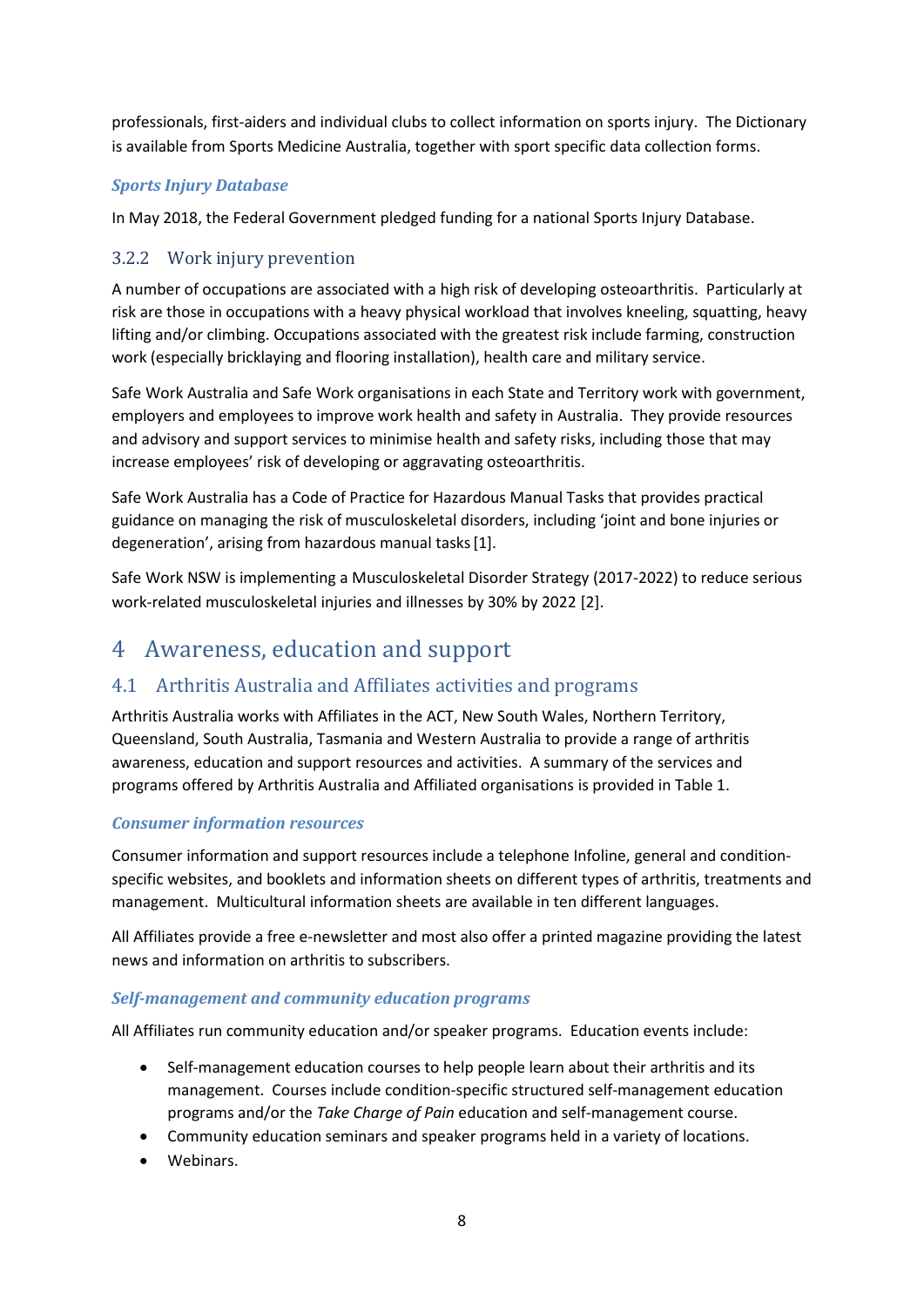professionals, first-aiders and individual clubs to collect information on sports injury. The Dictionary is available from Sports Medicine Australia, together with sport specific data collection forms.

#### *Sports Injury Database*

In May 2018, the Federal Government pledged funding for a national Sports Injury Database.

## <span id="page-8-0"></span>3.2.2 Work injury prevention

A number of occupations are associated with a high risk of developing osteoarthritis. Particularly at risk are those in occupations with a heavy physical workload that involves kneeling, squatting, heavy lifting and/or climbing. Occupations associated with the greatest risk include farming, construction work (especially bricklaying and flooring installation), health care and military service.

Safe Work Australia and Safe Work organisations in each State and Territory work with government, employers and employees to improve work health and safety in Australia. They provide resources and advisory and support services to minimise health and safety risks, including those that may increase employees' risk of developing or aggravating osteoarthritis.

Safe Work Australia has a Code of Practice for Hazardous Manual Tasks that provides practical guidance on managing the risk of musculoskeletal disorders, including 'joint and bone injuries or degeneration', arising from hazardous manual tasks[1].

Safe Work NSW is implementing a Musculoskeletal Disorder Strategy (2017-2022) to reduce serious work-related musculoskeletal injuries and illnesses by 30% by 2022 [2].

# <span id="page-8-1"></span>4 Awareness, education and support

## <span id="page-8-2"></span>4.1 Arthritis Australia and Affiliates activities and programs

Arthritis Australia works with Affiliates in the ACT, New South Wales, Northern Territory, Queensland, South Australia, Tasmania and Western Australia to provide a range of arthritis awareness, education and support resources and activities. A summary of the services and programs offered by Arthritis Australia and Affiliated organisations is provided in Table 1.

#### *Consumer information resources*

Consumer information and support resources include a telephone Infoline, general and conditionspecific websites, and booklets and information sheets on different types of arthritis, treatments and management. Multicultural information sheets are available in ten different languages.

All Affiliates provide a free e-newsletter and most also offer a printed magazine providing the latest news and information on arthritis to subscribers.

#### *Self-management and community education programs*

All Affiliates run community education and/or speaker programs. Education events include:

- Self-management education courses to help people learn about their arthritis and its management. Courses include condition-specific structured self-management education programs and/or the *Take Charge of Pain* education and self-management course.
- Community education seminars and speaker programs held in a variety of locations.
- Webinars.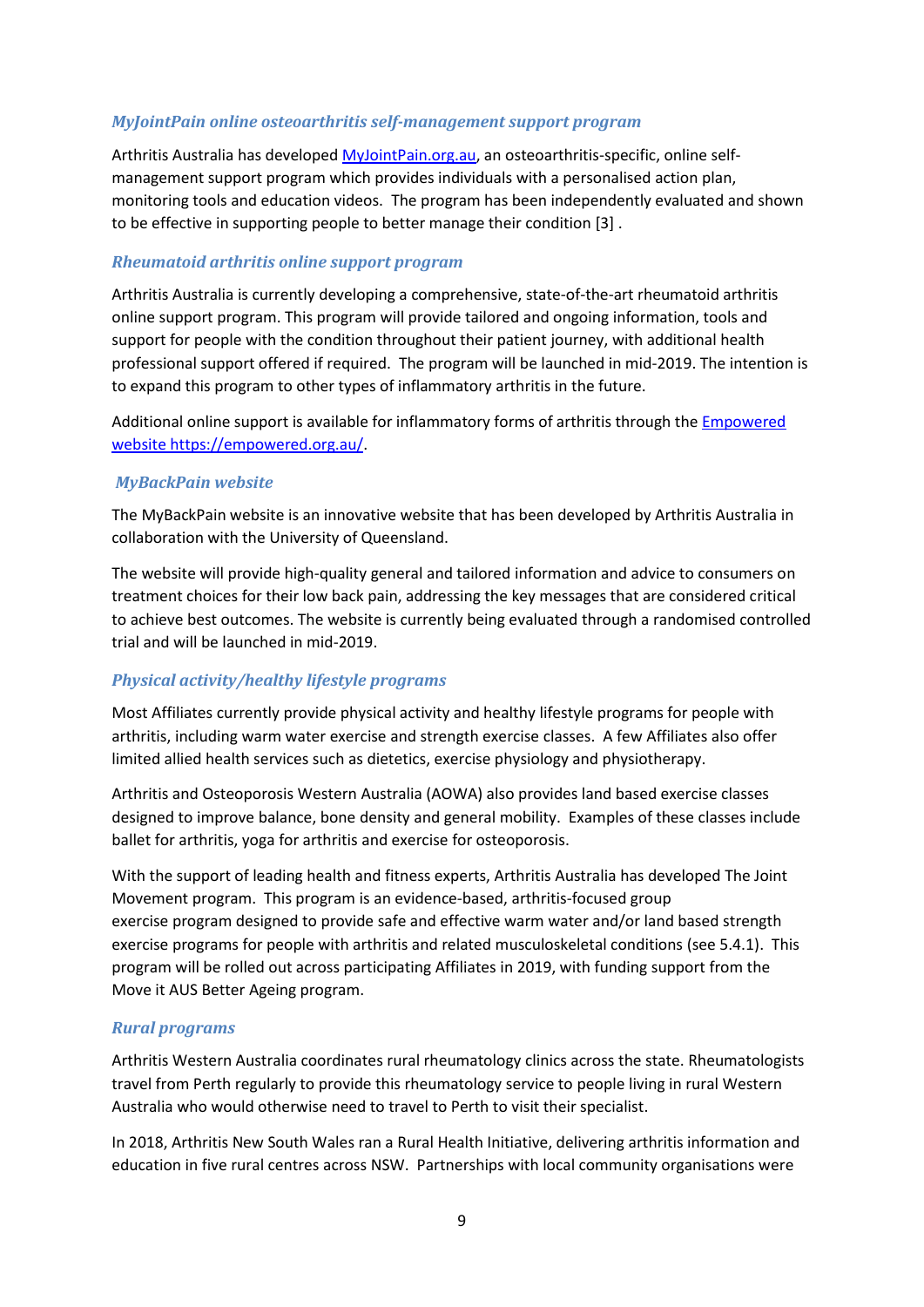#### *MyJointPain online osteoarthritis self-management support program*

Arthritis Australia has develope[d MyJointPain.org.au,](https://www.myjointpain.org.au/) an osteoarthritis-specific, online selfmanagement support program which provides individuals with a personalised action plan, monitoring tools and education videos. The program has been independently evaluated and shown to be effective in supporting people to better manage their condition [3] .

#### *Rheumatoid arthritis online support program*

Arthritis Australia is currently developing a comprehensive, state-of-the-art rheumatoid arthritis online support program. This program will provide tailored and ongoing information, tools and support for people with the condition throughout their patient journey, with additional health professional support offered if required. The program will be launched in mid-2019. The intention is to expand this program to other types of inflammatory arthritis in the future.

Additional online support is available for inflammatory forms of arthritis through the [Empowered](https://empowered.org.au/)  [website https://empowered.org.au/.](https://empowered.org.au/)

#### *MyBackPain website*

The MyBackPain website is an innovative website that has been developed by Arthritis Australia in collaboration with the University of Queensland.

The website will provide high-quality general and tailored information and advice to consumers on treatment choices for their low back pain, addressing the key messages that are considered critical to achieve best outcomes. The website is currently being evaluated through a randomised controlled trial and will be launched in mid-2019.

#### *Physical activity/healthy lifestyle programs*

Most Affiliates currently provide physical activity and healthy lifestyle programs for people with arthritis, including warm water exercise and strength exercise classes. A few Affiliates also offer limited allied health services such as dietetics, exercise physiology and physiotherapy.

Arthritis and Osteoporosis Western Australia (AOWA) also provides land based exercise classes designed to improve balance, bone density and general mobility. Examples of these classes include ballet for arthritis, yoga for arthritis and exercise for osteoporosis.

With the support of leading health and fitness experts, Arthritis Australia has developed The Joint Movement program. This program is an evidence-based, arthritis-focused group exercise program designed to provide safe and effective warm water and/or land based strength exercise programs for people with arthritis and related musculoskeletal conditions (see 5.4.1). This program will be rolled out across participating Affiliates in 2019, with funding support from the Move it AUS Better Ageing program.

#### *Rural programs*

Arthritis Western Australia coordinates rural rheumatology clinics across the state. Rheumatologists travel from Perth regularly to provide this rheumatology service to people living in rural Western Australia who would otherwise need to travel to Perth to visit their specialist.

In 2018, Arthritis New South Wales ran a Rural Health Initiative, delivering arthritis information and education in five rural centres across NSW. Partnerships with local community organisations were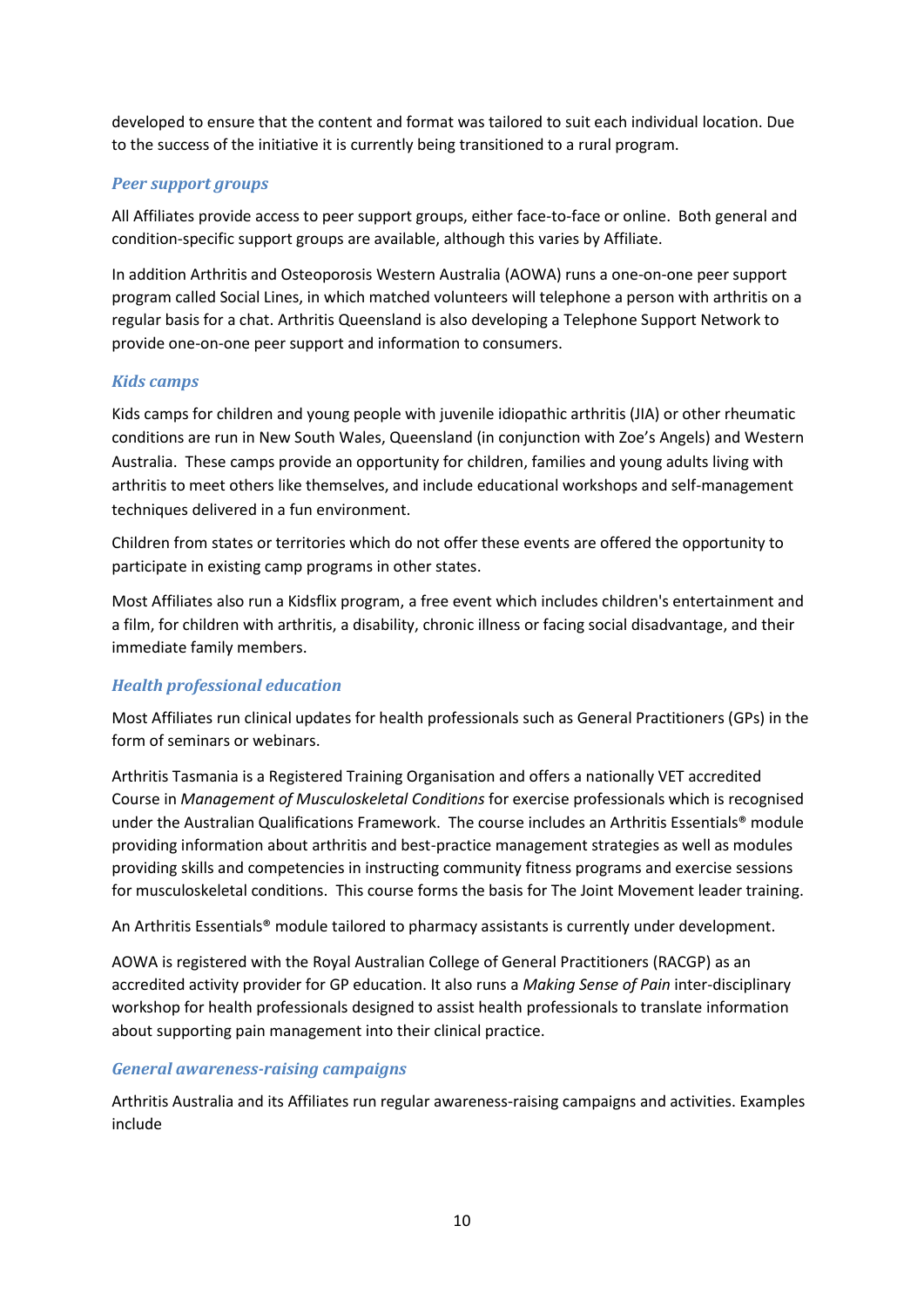developed to ensure that the content and format was tailored to suit each individual location. Due to the success of the initiative it is currently being transitioned to a rural program.

#### *Peer support groups*

All Affiliates provide access to peer support groups, either face-to-face or online. Both general and condition-specific support groups are available, although this varies by Affiliate.

In addition Arthritis and Osteoporosis Western Australia (AOWA) runs a one-on-one peer support program called Social Lines, in which matched volunteers will telephone a person with arthritis on a regular basis for a chat. Arthritis Queensland is also developing a Telephone Support Network to provide one-on-one peer support and information to consumers.

#### *Kids camps*

Kids camps for children and young people with juvenile idiopathic arthritis (JIA) or other rheumatic conditions are run in New South Wales, Queensland (in conjunction with Zoe's Angels) and Western Australia. These camps provide an opportunity for children, families and young adults living with arthritis to meet others like themselves, and include educational workshops and self-management techniques delivered in a fun environment.

Children from states or territories which do not offer these events are offered the opportunity to participate in existing camp programs in other states.

Most Affiliates also run a Kidsflix program, a free event which includes children's entertainment and a film, for children with arthritis, a disability, chronic illness or facing social disadvantage, and their immediate family members.

#### *Health professional education*

Most Affiliates run clinical updates for health professionals such as General Practitioners (GPs) in the form of seminars or webinars.

Arthritis Tasmania is a Registered Training Organisation and offers a nationally VET accredited Course in *Management of Musculoskeletal Conditions* for exercise professionals which is recognised under the Australian Qualifications Framework. The course includes an Arthritis Essentials® module providing information about arthritis and best-practice management strategies as well as modules providing skills and competencies in instructing community fitness programs and exercise sessions for musculoskeletal conditions. This course forms the basis for The Joint Movement leader training.

An Arthritis Essentials® module tailored to pharmacy assistants is currently under development.

AOWA is registered with the Royal Australian College of General Practitioners (RACGP) as an accredited activity provider for GP education. It also runs a *Making Sense of Pain* inter-disciplinary workshop for health professionals designed to assist health professionals to translate information about supporting pain management into their clinical practice.

#### *General awareness-raising campaigns*

Arthritis Australia and its Affiliates run regular awareness-raising campaigns and activities. Examples include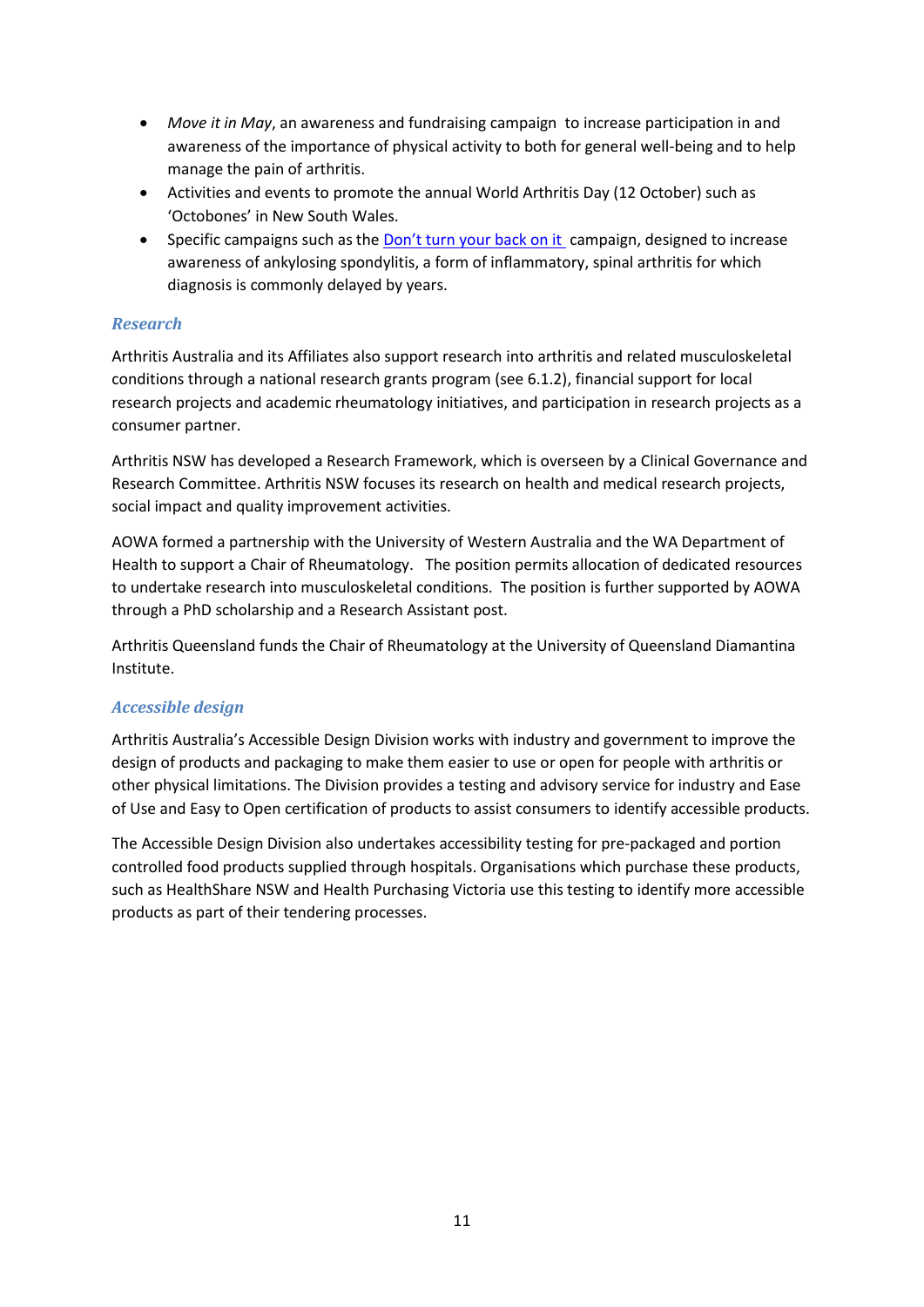- *Move it in May*, an awareness and fundraising campaign to increase participation in and awareness of the importance of physical activity to both for general well-being and to help manage the pain of arthritis.
- Activities and events to promote the annual World Arthritis Day (12 October) such as 'Octobones' in New South Wales.
- Specific campaigns such as the [Don't turn your back on it](https://dontturnyourbackonit.com.au/) campaign, designed to increase awareness of ankylosing spondylitis, a form of inflammatory, spinal arthritis for which diagnosis is commonly delayed by years.

#### *Research*

Arthritis Australia and its Affiliates also support research into arthritis and related musculoskeletal conditions through a national research grants program (see 6.1.2), financial support for local research projects and academic rheumatology initiatives, and participation in research projects as a consumer partner.

Arthritis NSW has developed a Research Framework, which is overseen by a Clinical Governance and Research Committee. Arthritis NSW focuses its research on health and medical research projects, social impact and quality improvement activities.

AOWA formed a partnership with the University of Western Australia and the WA Department of Health to support a Chair of Rheumatology. The position permits allocation of dedicated resources to undertake research into musculoskeletal conditions. The position is further supported by AOWA through a PhD scholarship and a Research Assistant post.

Arthritis Queensland funds the Chair of Rheumatology at the University of Queensland Diamantina Institute.

#### *Accessible design*

Arthritis Australia's Accessible Design Division works with industry and government to improve the design of products and packaging to make them easier to use or open for people with arthritis or other physical limitations. The Division provides a testing and advisory service for industry and Ease of Use and Easy to Open certification of products to assist consumers to identify accessible products.

The Accessible Design Division also undertakes accessibility testing for pre-packaged and portion controlled food products supplied through hospitals. Organisations which purchase these products, such as HealthShare NSW and Health Purchasing Victoria use this testing to identify more accessible products as part of their tendering processes.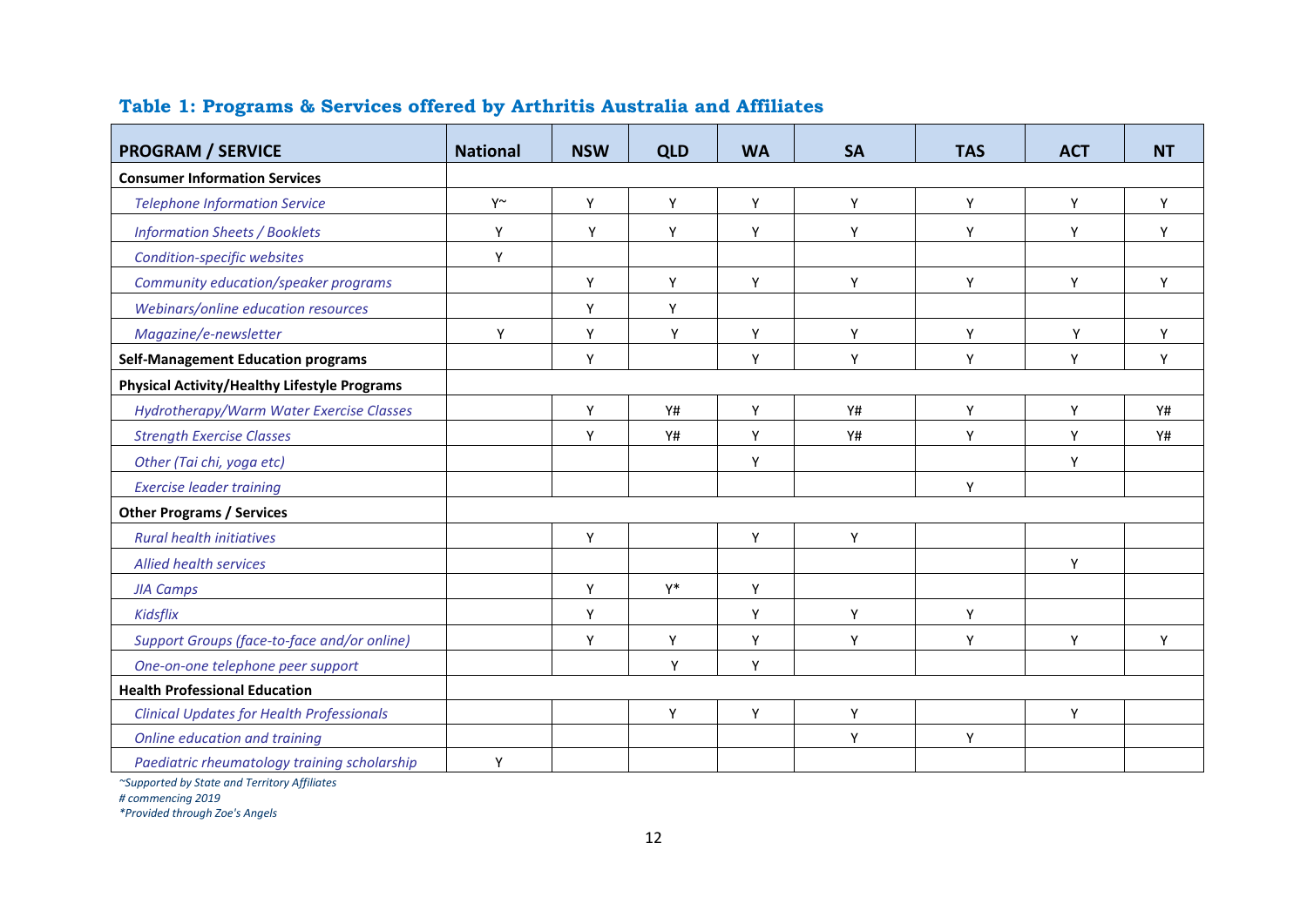| <b>PROGRAM / SERVICE</b>                            | <b>National</b> | <b>NSW</b> | <b>QLD</b> | <b>WA</b> | <b>SA</b> | <b>TAS</b> | <b>ACT</b> | <b>NT</b> |
|-----------------------------------------------------|-----------------|------------|------------|-----------|-----------|------------|------------|-----------|
| <b>Consumer Information Services</b>                |                 |            |            |           |           |            |            |           |
| <b>Telephone Information Service</b>                | $Y^{\sim}$      | Y          | Υ          | Y         | Y         | Y          | Y          | Y         |
| <b>Information Sheets / Booklets</b>                | Y               | Y          | Y          | Y         | Y         | Y          | Y          | Y         |
| Condition-specific websites                         | Y               |            |            |           |           |            |            |           |
| Community education/speaker programs                |                 | Y          | Y          | Y         | Y         | Y          | Y          | Y         |
| Webinars/online education resources                 |                 | Y          | Y          |           |           |            |            |           |
| Magazine/e-newsletter                               | Y               | Y          | Y          | Y         | Υ         | Y          | Y          | Y         |
| <b>Self-Management Education programs</b>           |                 | Y          |            | Y         | Y         | Y          | Y          | Y         |
| <b>Physical Activity/Healthy Lifestyle Programs</b> |                 |            |            |           |           |            |            |           |
| Hydrotherapy/Warm Water Exercise Classes            |                 | Y          | <b>Y#</b>  | Y         | <b>Y#</b> | Y          | Y          | Y#        |
| <b>Strength Exercise Classes</b>                    |                 | Υ          | <b>Y#</b>  | Y         | <b>Y#</b> | Y          | Υ          | Y#        |
| Other (Tai chi, yoga etc)                           |                 |            |            | Υ         |           |            | Υ          |           |
| <b>Exercise leader training</b>                     |                 |            |            |           |           | Y          |            |           |
| <b>Other Programs / Services</b>                    |                 |            |            |           |           |            |            |           |
| <b>Rural health initiatives</b>                     |                 | Y          |            | Υ         | Y         |            |            |           |
| <b>Allied health services</b>                       |                 |            |            |           |           |            | Y          |           |
| <b>JIA Camps</b>                                    |                 | Υ          | $Y^*$      | Y         |           |            |            |           |
| Kidsflix                                            |                 | Υ          |            | Υ         | Υ         | Y          |            |           |
| Support Groups (face-to-face and/or online)         |                 | Y          | Υ          | Υ         | Υ         | Y          | Υ          | Y         |
| One-on-one telephone peer support                   |                 |            | Υ          | Y         |           |            |            |           |
| <b>Health Professional Education</b>                |                 |            |            |           |           |            |            |           |
| <b>Clinical Updates for Health Professionals</b>    |                 |            | Y          | Y         | Y         |            | Y          |           |
| Online education and training                       |                 |            |            |           | Y         | Y          |            |           |
| Paediatric rheumatology training scholarship        | Y               |            |            |           |           |            |            |           |

## **Table 1: Programs & Services offered by Arthritis Australia and Affiliates**

*~Supported by State and Territory Affiliates*

*# commencing 2019*

*\*Provided through Zoe's Angels*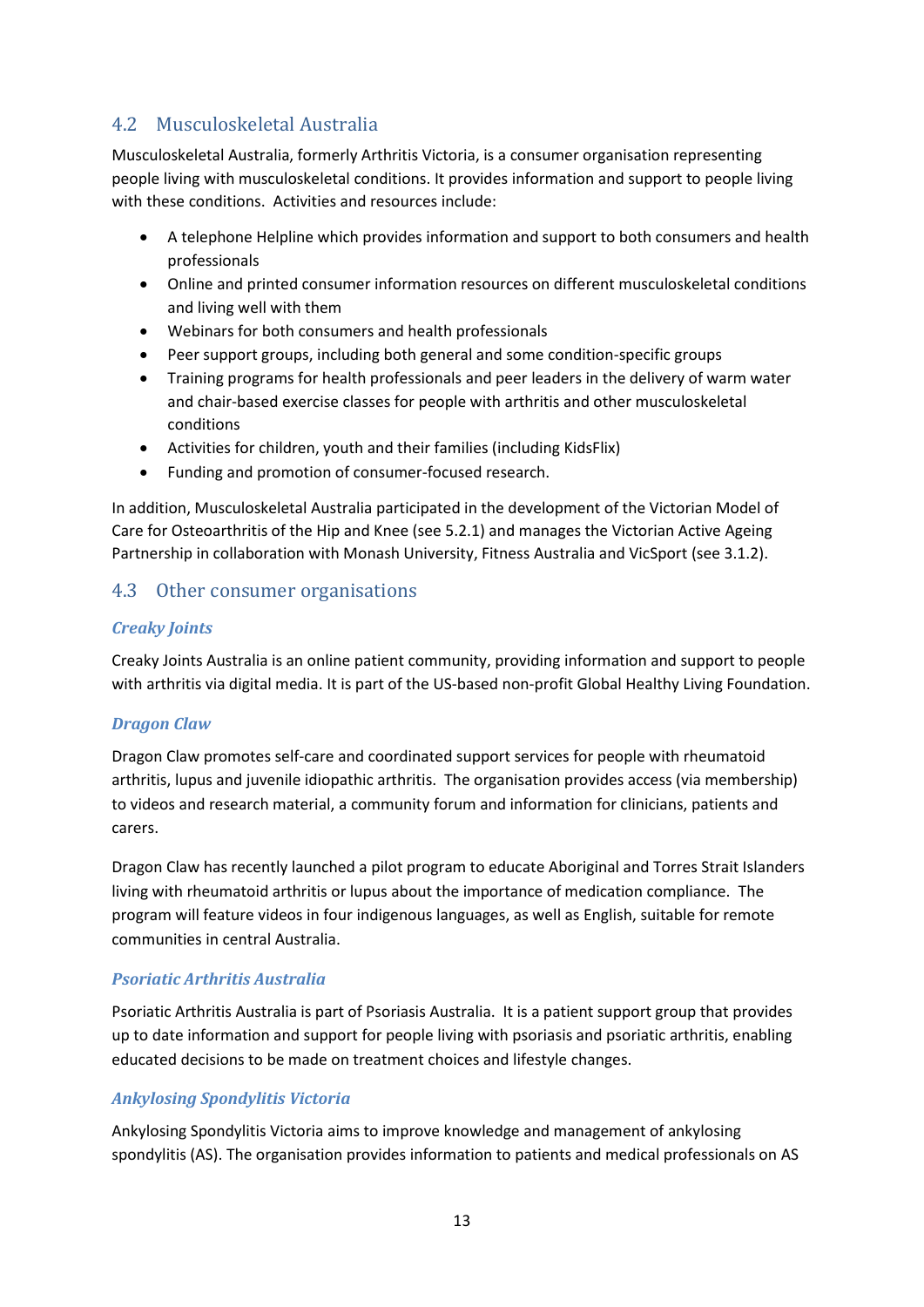## <span id="page-13-0"></span>4.2 Musculoskeletal Australia

Musculoskeletal Australia, formerly Arthritis Victoria, is a consumer organisation representing people living with musculoskeletal conditions. It provides information and support to people living with these conditions. Activities and resources include:

- A telephone Helpline which provides information and support to both consumers and health professionals
- Online and printed consumer information resources on different musculoskeletal conditions and living well with them
- Webinars for both consumers and health professionals
- Peer support groups, including both general and some condition-specific groups
- Training programs for health professionals and peer leaders in the delivery of warm water and chair-based exercise classes for people with arthritis and other musculoskeletal conditions
- Activities for children, youth and their families (including KidsFlix)
- Funding and promotion of consumer-focused research.

In addition, Musculoskeletal Australia participated in the development of the Victorian Model of Care for Osteoarthritis of the Hip and Knee (see 5.2.1) and manages the Victorian Active Ageing Partnership in collaboration with Monash University, Fitness Australia and VicSport (see 3.1.2).

## <span id="page-13-1"></span>4.3 Other consumer organisations

#### *Creaky Joints*

Creaky Joints Australia is an online patient community, providing information and support to people with arthritis via digital media. It is part of the US-based non-profit Global Healthy Living Foundation.

#### *Dragon Claw*

Dragon Claw promotes self-care and coordinated support services for people with rheumatoid arthritis, lupus and juvenile idiopathic arthritis. The organisation provides access (via membership) to videos and research material, a community forum and information for clinicians, patients and carers.

Dragon Claw has recently launched a pilot program to educate Aboriginal and Torres Strait Islanders living with rheumatoid arthritis or lupus about the importance of medication compliance. The program will feature videos in four indigenous languages, as well as English, suitable for remote communities in central Australia.

#### *Psoriatic Arthritis Australia*

Psoriatic Arthritis Australia is part of Psoriasis Australia. It is a patient support group that provides up to date information and support for people living with psoriasis and psoriatic arthritis, enabling educated decisions to be made on treatment choices and lifestyle changes.

#### *Ankylosing Spondylitis Victoria*

Ankylosing Spondylitis Victoria aims to improve knowledge and management of ankylosing spondylitis (AS). The organisation provides information to patients and medical professionals on AS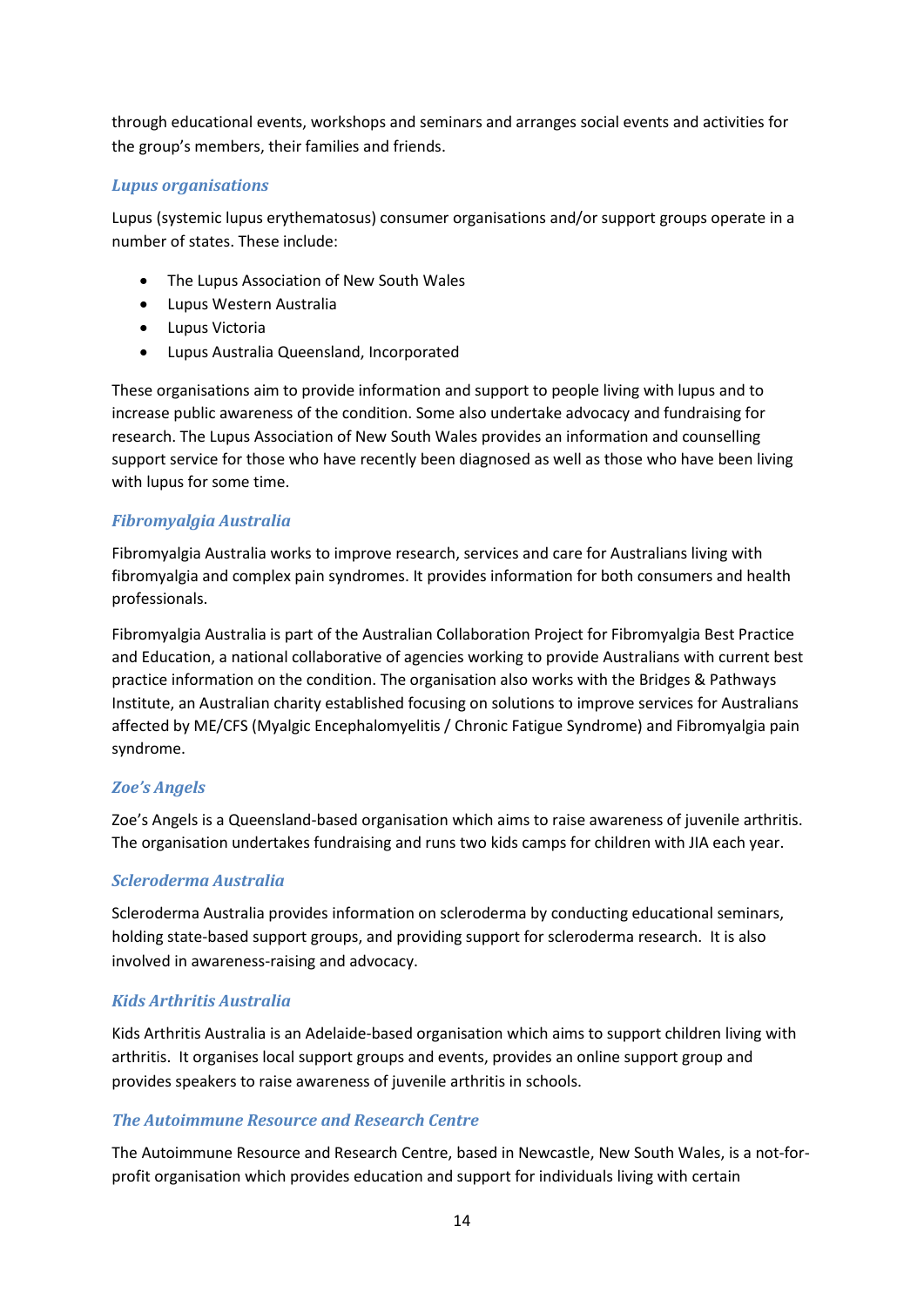through educational events, workshops and seminars and arranges social events and activities for the group's members, their families and friends.

#### *Lupus organisations*

Lupus (systemic lupus erythematosus) consumer organisations and/or support groups operate in a number of states. These include:

- The Lupus Association of New South Wales
- Lupus Western Australia
- Lupus Victoria
- Lupus Australia Queensland, Incorporated

These organisations aim to provide information and support to people living with lupus and to increase public awareness of the condition. Some also undertake advocacy and fundraising for research. The Lupus Association of New South Wales provides an information and counselling support service for those who have recently been diagnosed as well as those who have been living with lupus for some time.

#### *Fibromyalgia Australia*

Fibromyalgia Australia works to improve research, services and care for Australians living with fibromyalgia and complex pain syndromes. It provides information for both consumers and health professionals.

Fibromyalgia Australia is part of the Australian Collaboration Project for Fibromyalgia Best Practice and Education, a national collaborative of agencies working to provide Australians with current best practice information on the condition. The organisation also works with the Bridges & Pathways Institute, an Australian charity established focusing on solutions to improve services for Australians affected by ME/CFS (Myalgic Encephalomyelitis / Chronic Fatigue Syndrome) and Fibromyalgia pain syndrome.

#### *Zoe's Angels*

Zoe's Angels is a Queensland-based organisation which aims to raise awareness of juvenile arthritis. The organisation undertakes fundraising and runs two kids camps for children with JIA each year.

#### *Scleroderma Australia*

Scleroderma Australia provides information on scleroderma by conducting educational seminars, holding state-based support groups, and providing support for scleroderma research. It is also involved in awareness-raising and advocacy.

#### *Kids Arthritis Australia*

Kids Arthritis Australia is an Adelaide-based organisation which aims to support children living with arthritis. It organises local support groups and events, provides an online support group and provides speakers to raise awareness of juvenile arthritis in schools.

#### *The Autoimmune Resource and Research Centre*

The Autoimmune Resource and Research Centre, based in Newcastle, New South Wales, is a not-forprofit organisation which provides education and support for individuals living with certain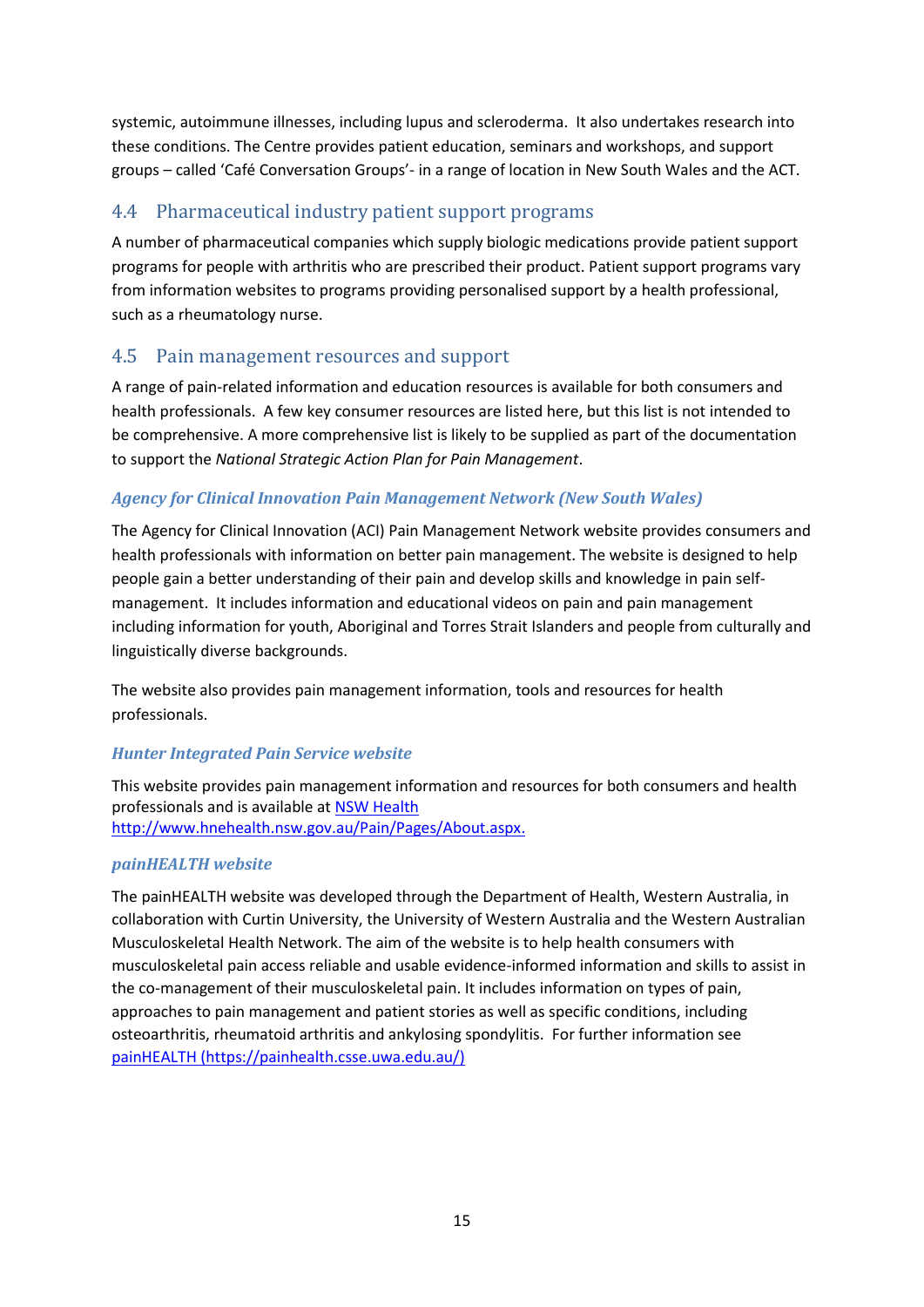systemic, autoimmune illnesses, including lupus and scleroderma. It also undertakes research into these conditions. The Centre provides patient education, seminars and workshops, and support groups – called 'Café Conversation Groups'- in a range of location in New South Wales and the ACT.

## <span id="page-15-0"></span>4.4 Pharmaceutical industry patient support programs

A number of pharmaceutical companies which supply biologic medications provide patient support programs for people with arthritis who are prescribed their product. Patient support programs vary from information websites to programs providing personalised support by a health professional, such as a rheumatology nurse.

## <span id="page-15-1"></span>4.5 Pain management resources and support

A range of pain-related information and education resources is available for both consumers and health professionals. A few key consumer resources are listed here, but this list is not intended to be comprehensive. A more comprehensive list is likely to be supplied as part of the documentation to support the *National Strategic Action Plan for Pain Management*.

#### *Agency for Clinical Innovation Pain Management Network (New South Wales)*

The Agency for Clinical Innovation (ACI) Pain Management Network website provides consumers and health professionals with information on better pain management. The website is designed to help people gain a better understanding of their pain and develop skills and knowledge in pain selfmanagement. It includes information and educational videos on pain and pain management including information for youth, Aboriginal and Torres Strait Islanders and people from culturally and linguistically diverse backgrounds.

The website also provides pain management information, tools and resources for health professionals.

#### *Hunter Integrated Pain Service website*

This website provides pain management information and resources for both consumers and health professionals and is available a[t NSW Health](http://www.hnehealth.nsw.gov.au/Pain)  [http://www.hnehealth.nsw.gov.au/Pain/Pages/About.aspx.](http://www.hnehealth.nsw.gov.au/Pain)

#### *painHEALTH website*

The painHEALTH website was developed through the Department of Health, Western Australia, in collaboration with Curtin University, the University of Western Australia and the Western Australian Musculoskeletal Health Network. The aim of the website is to help health consumers with musculoskeletal pain access reliable and usable evidence-informed information and skills to assist in the co-management of their musculoskeletal pain. It includes information on types of pain, approaches to pain management and patient stories as well as specific conditions, including osteoarthritis, rheumatoid arthritis and ankylosing spondylitis. For further information see [painHEALTH \(https://painhealth.csse.uwa.edu.au/\)](https://painhealth.csse.uwa.edu.au/)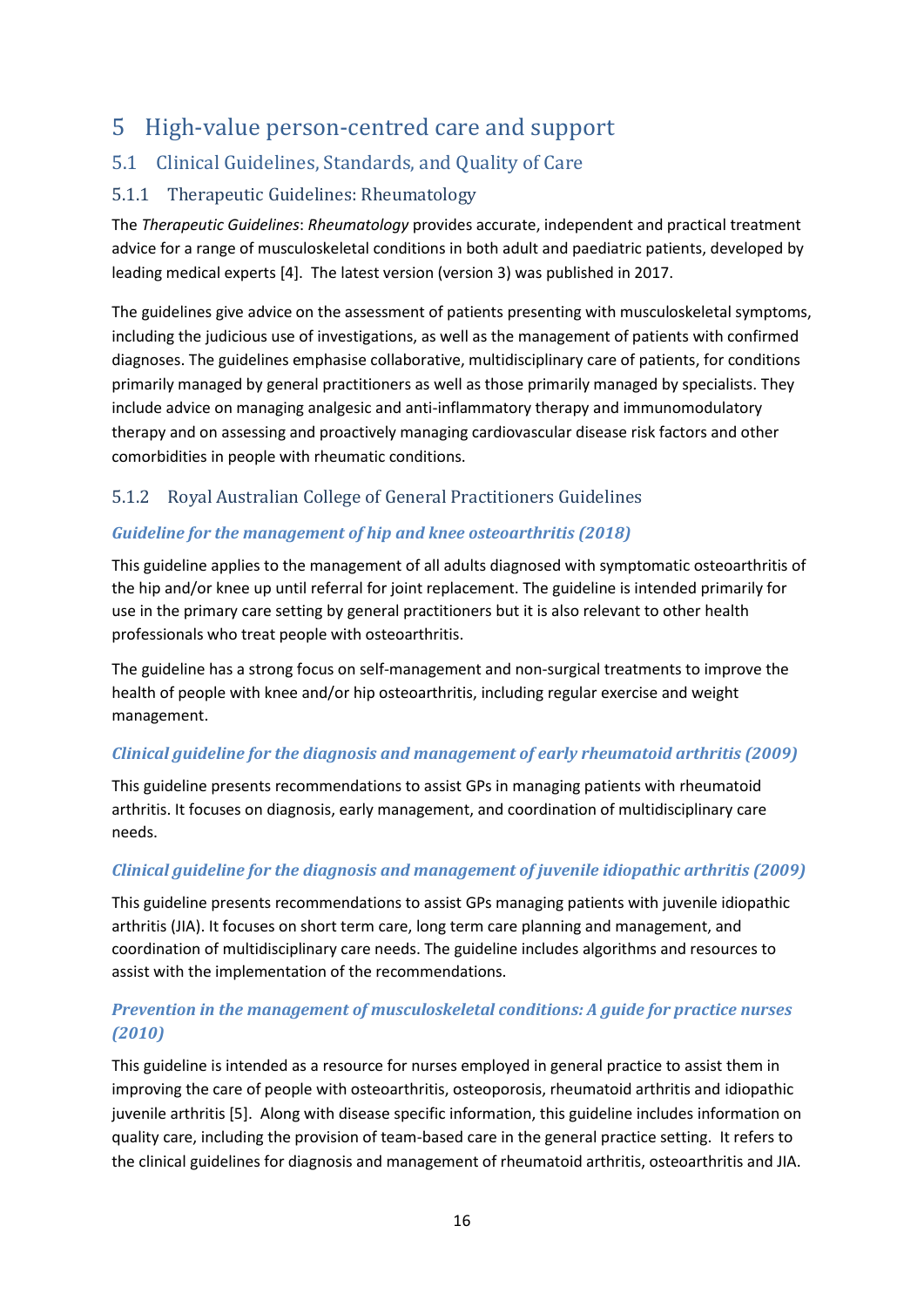# <span id="page-16-0"></span>5 High-value person-centred care and support

## <span id="page-16-1"></span>5.1 Clinical Guidelines, Standards, and Quality of Care

#### <span id="page-16-2"></span>5.1.1 Therapeutic Guidelines: Rheumatology

The *Therapeutic Guidelines*: *Rheumatology* provides accurate, independent and practical treatment advice for a range of musculoskeletal conditions in both adult and paediatric patients, developed by leading medical experts [4]. The latest version (version 3) was published in 2017.

The guidelines give advice on the assessment of patients presenting with musculoskeletal symptoms, including the judicious use of investigations, as well as the management of patients with confirmed diagnoses. The guidelines emphasise collaborative, multidisciplinary care of patients, for conditions primarily managed by general practitioners as well as those primarily managed by specialists. They include advice on managing analgesic and anti-inflammatory therapy and immunomodulatory therapy and on assessing and proactively managing cardiovascular disease risk factors and other comorbidities in people with rheumatic conditions.

#### <span id="page-16-3"></span>5.1.2 Royal Australian College of General Practitioners Guidelines

#### *Guideline for the management of hip and knee osteoarthritis (2018)*

This guideline applies to the management of all adults diagnosed with symptomatic osteoarthritis of the hip and/or knee up until referral for joint replacement. The guideline is intended primarily for use in the primary care setting by general practitioners but it is also relevant to other health professionals who treat people with osteoarthritis.

The guideline has a strong focus on self-management and non-surgical treatments to improve the health of people with knee and/or hip osteoarthritis, including regular exercise and weight management.

#### *Clinical guideline for the diagnosis and management of early rheumatoid arthritis (2009)*

This guideline presents recommendations to assist GPs in managing patients with rheumatoid arthritis. It focuses on diagnosis, early management, and coordination of multidisciplinary care needs.

#### *Clinical guideline for the diagnosis and management of juvenile idiopathic arthritis (2009)*

This guideline presents recommendations to assist GPs managing patients with juvenile idiopathic arthritis (JIA). It focuses on short term care, long term care planning and management, and coordination of multidisciplinary care needs. The guideline includes algorithms and resources to assist with the implementation of the recommendations.

#### *Prevention in the management of musculoskeletal conditions: A guide for practice nurses (2010)*

This guideline is intended as a resource for nurses employed in general practice to assist them in improving the care of people with osteoarthritis, osteoporosis, rheumatoid arthritis and idiopathic juvenile arthritis [5]. Along with disease specific information, this guideline includes information on quality care, including the provision of team-based care in the general practice setting. It refers to the clinical guidelines for diagnosis and management of rheumatoid arthritis, osteoarthritis and JIA.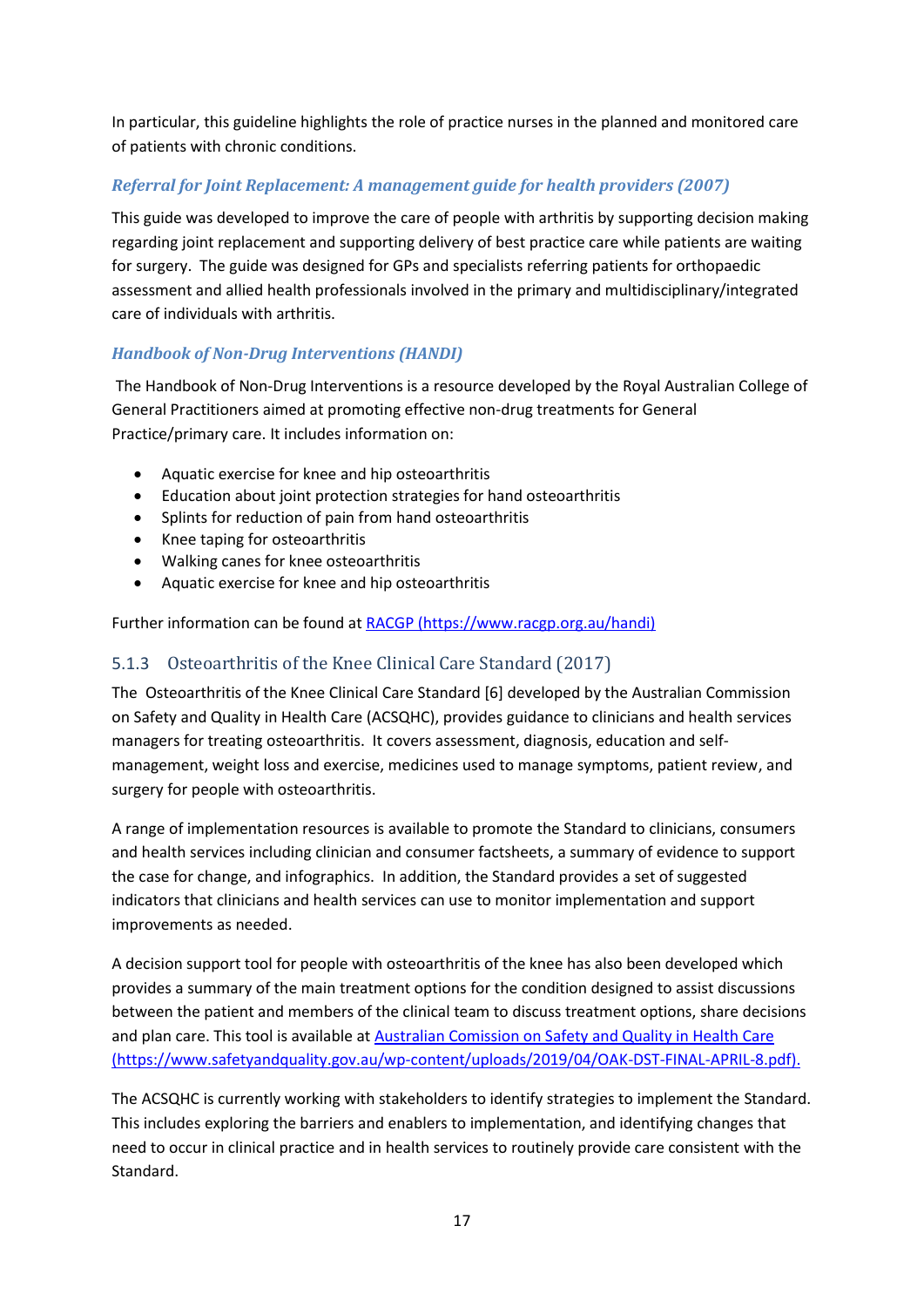In particular, this guideline highlights the role of practice nurses in the planned and monitored care of patients with chronic conditions.

#### *Referral for Joint Replacement: A management guide for health providers (2007)*

This guide was developed to improve the care of people with arthritis by supporting decision making regarding joint replacement and supporting delivery of best practice care while patients are waiting for surgery. The guide was designed for GPs and specialists referring patients for orthopaedic assessment and allied health professionals involved in the primary and multidisciplinary/integrated care of individuals with arthritis.

#### *Handbook of Non-Drug Interventions (HANDI)*

The Handbook of Non-Drug Interventions is a resource developed by the Royal Australian College of General Practitioners aimed at promoting effective non-drug treatments for General Practice/primary care. It includes information on:

- Aquatic exercise for knee and hip osteoarthritis
- Education about joint protection strategies for hand osteoarthritis
- Splints for reduction of pain from hand osteoarthritis
- Knee taping for osteoarthritis
- Walking canes for knee osteoarthritis
- Aquatic exercise for knee and hip osteoarthritis

Further information can be found at [RACGP \(https://www.racgp.org.au/handi\)](https://www.racgp.org.au/handi)

#### <span id="page-17-0"></span>5.1.3 Osteoarthritis of the Knee Clinical Care Standard (2017)

The Osteoarthritis of the Knee Clinical Care Standard [6] developed by the Australian Commission on Safety and Quality in Health Care (ACSQHC), provides guidance to clinicians and health services managers for treating osteoarthritis. It covers assessment, diagnosis, education and selfmanagement, weight loss and exercise, medicines used to manage symptoms, patient review, and surgery for people with osteoarthritis.

A range of implementation resources is available to promote the Standard to clinicians, consumers and health services including clinician and consumer factsheets, a summary of evidence to support the case for change, and infographics. In addition, the Standard provides a set of suggested indicators that clinicians and health services can use to monitor implementation and support improvements as needed.

A decision support tool for people with osteoarthritis of the knee has also been developed which provides a summary of the main treatment options for the condition designed to assist discussions between the patient and members of the clinical team to discuss treatment options, share decisions and plan care. This tool is available at [Australian Comission on Safety and Quality in Health Care](https://www.safetyandquality.gov.au/wp-content/uploads/2018/05/Designed-draft-DST-for-OAK-for-consultation-April-2018.pdf)  [\(https://www.safetyandquality.gov.au/wp-content/uploads/2019/04/OAK-DST-FINAL-APRIL-8.pdf\)](https://www.safetyandquality.gov.au/wp-content/uploads/2018/05/Designed-draft-DST-for-OAK-for-consultation-April-2018.pdf).

The ACSQHC is currently working with stakeholders to identify strategies to implement the Standard. This includes exploring the barriers and enablers to implementation, and identifying changes that need to occur in clinical practice and in health services to routinely provide care consistent with the Standard.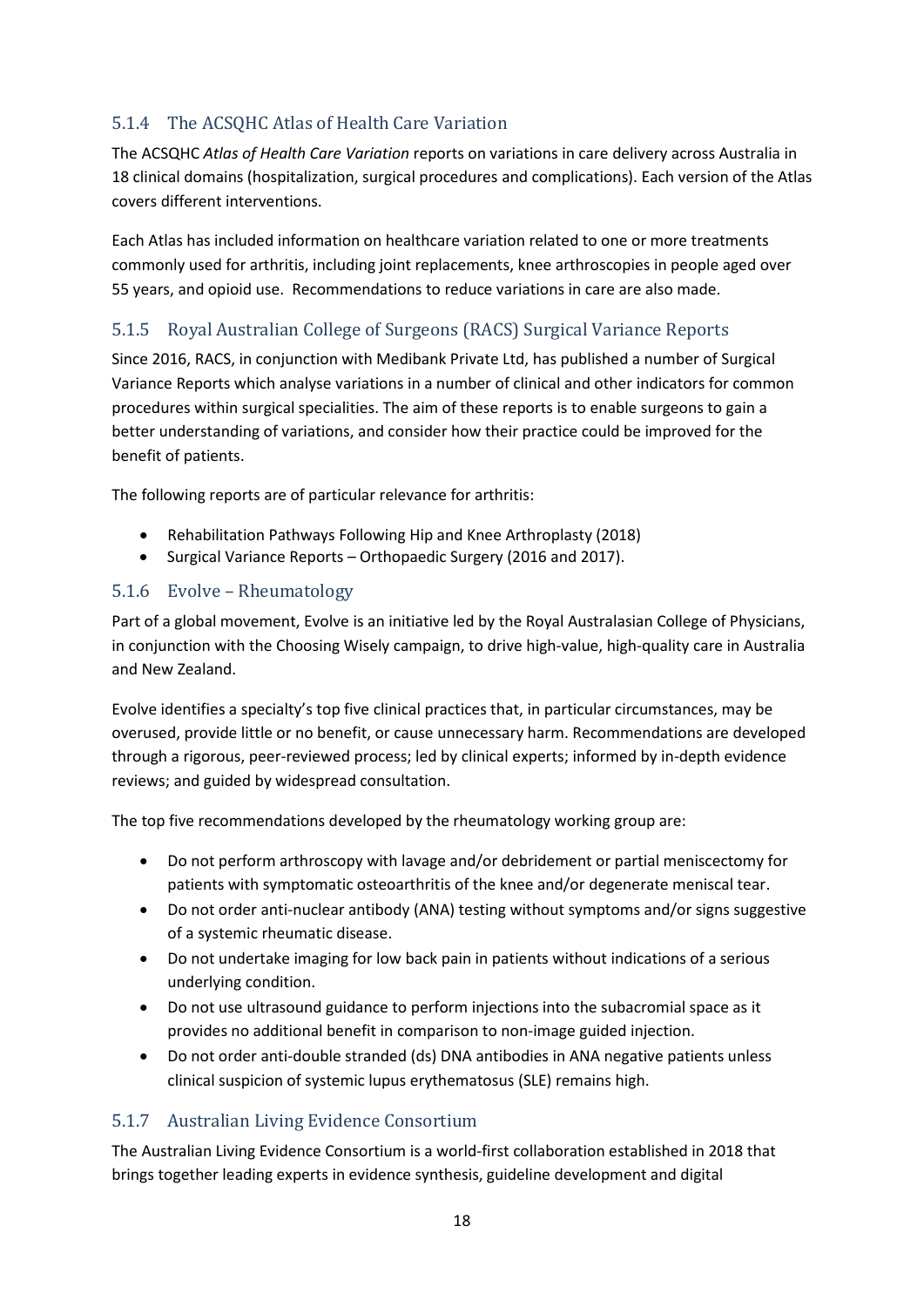## <span id="page-18-0"></span>5.1.4 The ACSQHC Atlas of Health Care Variation

The ACSQHC *Atlas of Health Care Variation* reports on variations in care delivery across Australia in 18 clinical domains (hospitalization, surgical procedures and complications). Each version of the Atlas covers different interventions.

Each Atlas has included information on healthcare variation related to one or more treatments commonly used for arthritis, including joint replacements, knee arthroscopies in people aged over 55 years, and opioid use. Recommendations to reduce variations in care are also made.

## <span id="page-18-1"></span>5.1.5 Royal Australian College of Surgeons (RACS) Surgical Variance Reports

Since 2016, RACS, in conjunction with Medibank Private Ltd, has published a number of Surgical Variance Reports which analyse variations in a number of clinical and other indicators for common procedures within surgical specialities. The aim of these reports is to enable surgeons to gain a better understanding of variations, and consider how their practice could be improved for the benefit of patients.

The following reports are of particular relevance for arthritis:

- Rehabilitation Pathways Following Hip and Knee Arthroplasty (2018)
- Surgical Variance Reports Orthopaedic Surgery (2016 and 2017).

#### <span id="page-18-2"></span>5.1.6 Evolve – Rheumatology

Part of a global movement, Evolve is an initiative led by the Royal Australasian College of Physicians, in conjunction with the Choosing Wisely campaign, to drive high-value, high-quality care in Australia and New Zealand.

Evolve identifies a specialty's top five clinical practices that, in particular circumstances, may be overused, provide little or no benefit, or cause unnecessary harm. Recommendations are developed through a rigorous, peer-reviewed process; led by clinical experts; informed by in-depth evidence reviews; and guided by widespread consultation.

The top five recommendations developed by the rheumatology working group are:

- Do not perform arthroscopy with lavage and/or debridement or partial meniscectomy for patients with symptomatic osteoarthritis of the knee and/or degenerate meniscal tear.
- Do not order anti-nuclear antibody (ANA) testing without symptoms and/or signs suggestive of a systemic rheumatic disease.
- Do not undertake imaging for low back pain in patients without indications of a serious underlying condition.
- Do not use ultrasound guidance to perform injections into the subacromial space as it provides no additional benefit in comparison to non-image guided injection.
- Do not order anti-double stranded (ds) DNA antibodies in ANA negative patients unless clinical suspicion of systemic lupus erythematosus (SLE) remains high.

## <span id="page-18-3"></span>5.1.7 Australian Living Evidence Consortium

The Australian Living Evidence Consortium is a world-first collaboration established in 2018 that brings together leading experts in evidence synthesis, guideline development and digital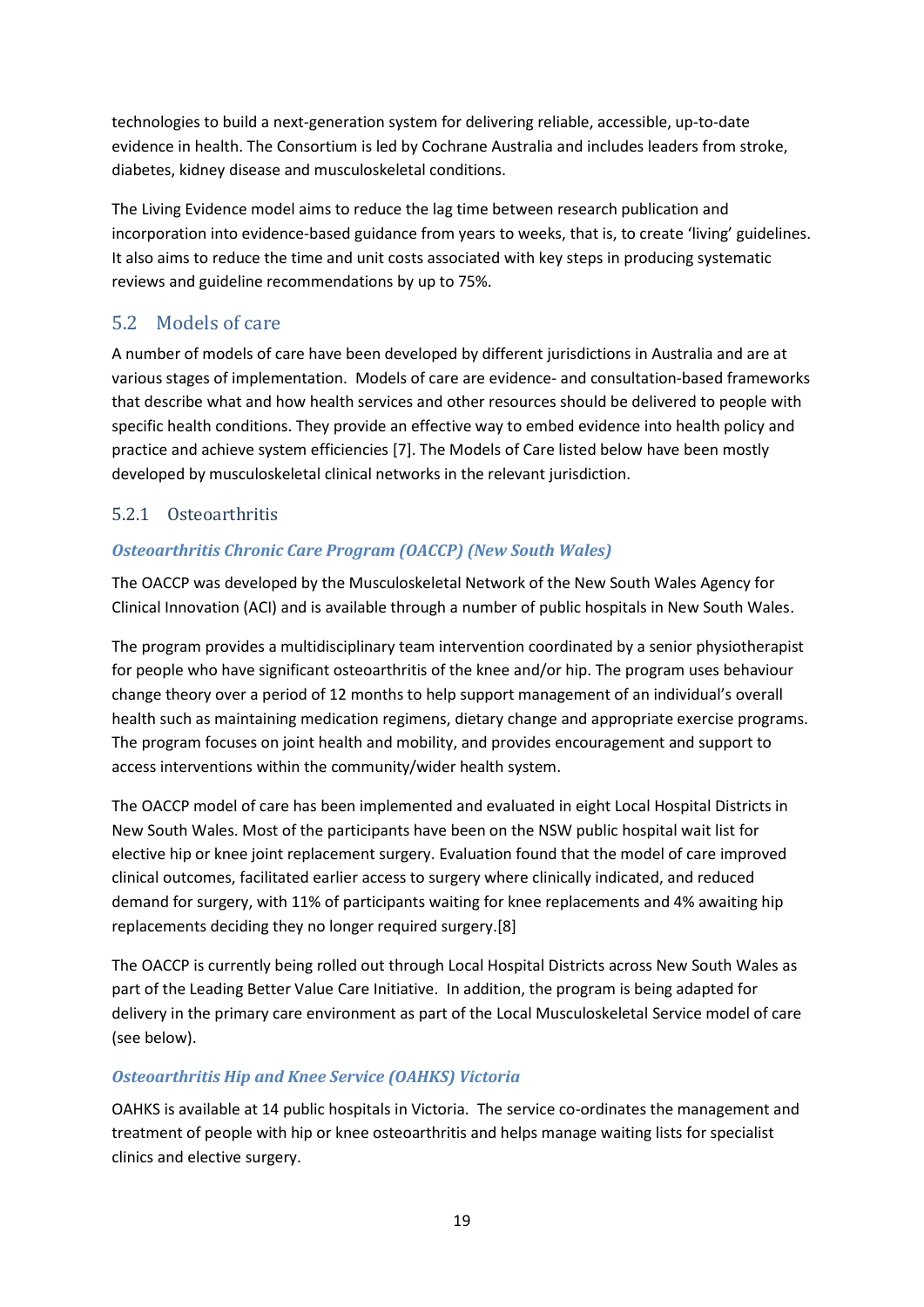technologies to build a next-generation system for delivering reliable, accessible, up-to-date evidence in health. The Consortium is led by Cochrane Australia and includes leaders from stroke, diabetes, kidney disease and musculoskeletal conditions.

The Living Evidence model aims to reduce the lag time between research publication and incorporation into evidence-based guidance from years to weeks, that is, to create 'living' guidelines. It also aims to reduce the time and unit costs associated with key steps in producing systematic reviews and guideline recommendations by up to 75%.

## <span id="page-19-0"></span>5.2 Models of care

A number of models of care have been developed by different jurisdictions in Australia and are at various stages of implementation. Models of care are evidence- and consultation-based frameworks that describe what and how health services and other resources should be delivered to people with specific health conditions. They provide an effective way to embed evidence into health policy and practice and achieve system efficiencies [7]. The Models of Care listed below have been mostly developed by musculoskeletal clinical networks in the relevant jurisdiction.

## <span id="page-19-1"></span>5.2.1 Osteoarthritis

## *Osteoarthritis Chronic Care Program (OACCP) (New South Wales)*

The OACCP was developed by the Musculoskeletal Network of the New South Wales Agency for Clinical Innovation (ACI) and is available through a number of public hospitals in New South Wales.

The program provides a multidisciplinary team intervention coordinated by a senior physiotherapist for people who have significant osteoarthritis of the knee and/or hip. The program uses behaviour change theory over a period of 12 months to help support management of an individual's overall health such as maintaining medication regimens, dietary change and appropriate exercise programs. The program focuses on joint health and mobility, and provides encouragement and support to access interventions within the community/wider health system.

The OACCP model of care has been implemented and evaluated in eight Local Hospital Districts in New South Wales. Most of the participants have been on the NSW public hospital wait list for elective hip or knee joint replacement surgery. Evaluation found that the model of care improved clinical outcomes, facilitated earlier access to surgery where clinically indicated, and reduced demand for surgery, with 11% of participants waiting for knee replacements and 4% awaiting hip replacements deciding they no longer required surgery.[8]

The OACCP is currently being rolled out through Local Hospital Districts across New South Wales as part of the Leading Better Value Care Initiative. In addition, the program is being adapted for delivery in the primary care environment as part of the Local Musculoskeletal Service model of care (see below).

## *Osteoarthritis Hip and Knee Service (OAHKS) Victoria*

OAHKS is available at 14 public hospitals in Victoria. The service co-ordinates the management and treatment of people with hip or knee osteoarthritis and helps manage waiting lists for specialist clinics and elective surgery.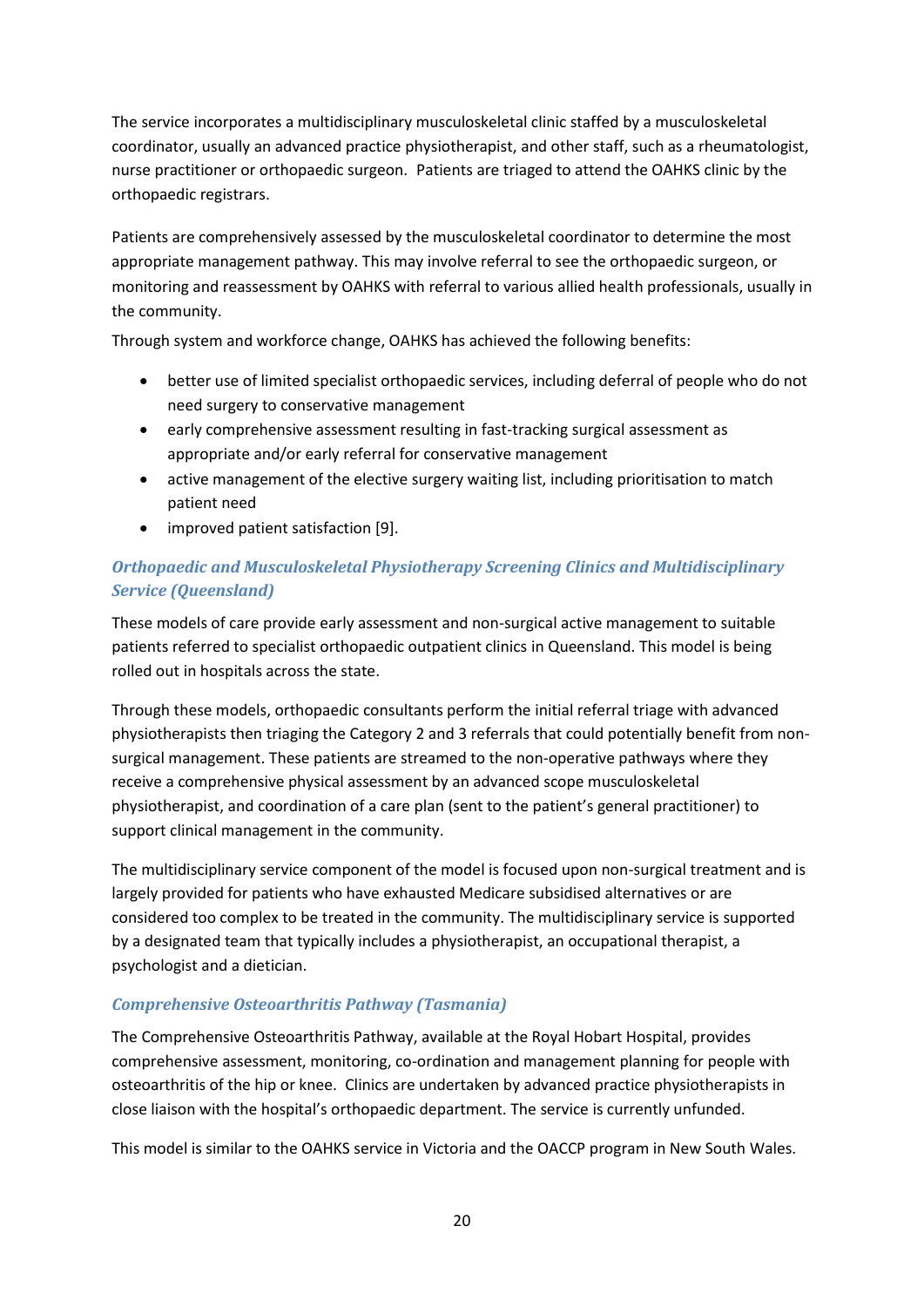The service incorporates a multidisciplinary musculoskeletal clinic staffed by a musculoskeletal coordinator, usually an advanced practice physiotherapist, and other staff, such as a rheumatologist, nurse practitioner or orthopaedic surgeon. Patients are triaged to attend the OAHKS clinic by the orthopaedic registrars.

Patients are comprehensively assessed by the musculoskeletal coordinator to determine the most appropriate management pathway. This may involve referral to see the orthopaedic surgeon, or monitoring and reassessment by OAHKS with referral to various allied health professionals, usually in the community.

Through system and workforce change, OAHKS has achieved the following benefits:

- better use of limited specialist orthopaedic services, including deferral of people who do not need surgery to conservative management
- early comprehensive assessment resulting in fast-tracking surgical assessment as appropriate and/or early referral for conservative management
- active management of the elective surgery waiting list, including prioritisation to match patient need
- improved patient satisfaction [9].

## *Orthopaedic and Musculoskeletal Physiotherapy Screening Clinics and Multidisciplinary Service (Queensland)*

These models of care provide early assessment and non-surgical active management to suitable patients referred to specialist orthopaedic outpatient clinics in Queensland. This model is being rolled out in hospitals across the state.

Through these models, orthopaedic consultants perform the initial referral triage with advanced physiotherapists then triaging the Category 2 and 3 referrals that could potentially benefit from nonsurgical management. These patients are streamed to the non-operative pathways where they receive a comprehensive physical assessment by an advanced scope musculoskeletal physiotherapist, and coordination of a care plan (sent to the patient's general practitioner) to support clinical management in the community.

The multidisciplinary service component of the model is focused upon non-surgical treatment and is largely provided for patients who have exhausted Medicare subsidised alternatives or are considered too complex to be treated in the community. The multidisciplinary service is supported by a designated team that typically includes a physiotherapist, an occupational therapist, a psychologist and a dietician.

#### *Comprehensive Osteoarthritis Pathway (Tasmania)*

The Comprehensive Osteoarthritis Pathway, available at the Royal Hobart Hospital, provides comprehensive assessment, monitoring, co-ordination and management planning for people with osteoarthritis of the hip or knee. Clinics are undertaken by advanced practice physiotherapists in close liaison with the hospital's orthopaedic department. The service is currently unfunded.

This model is similar to the OAHKS service in Victoria and the OACCP program in New South Wales.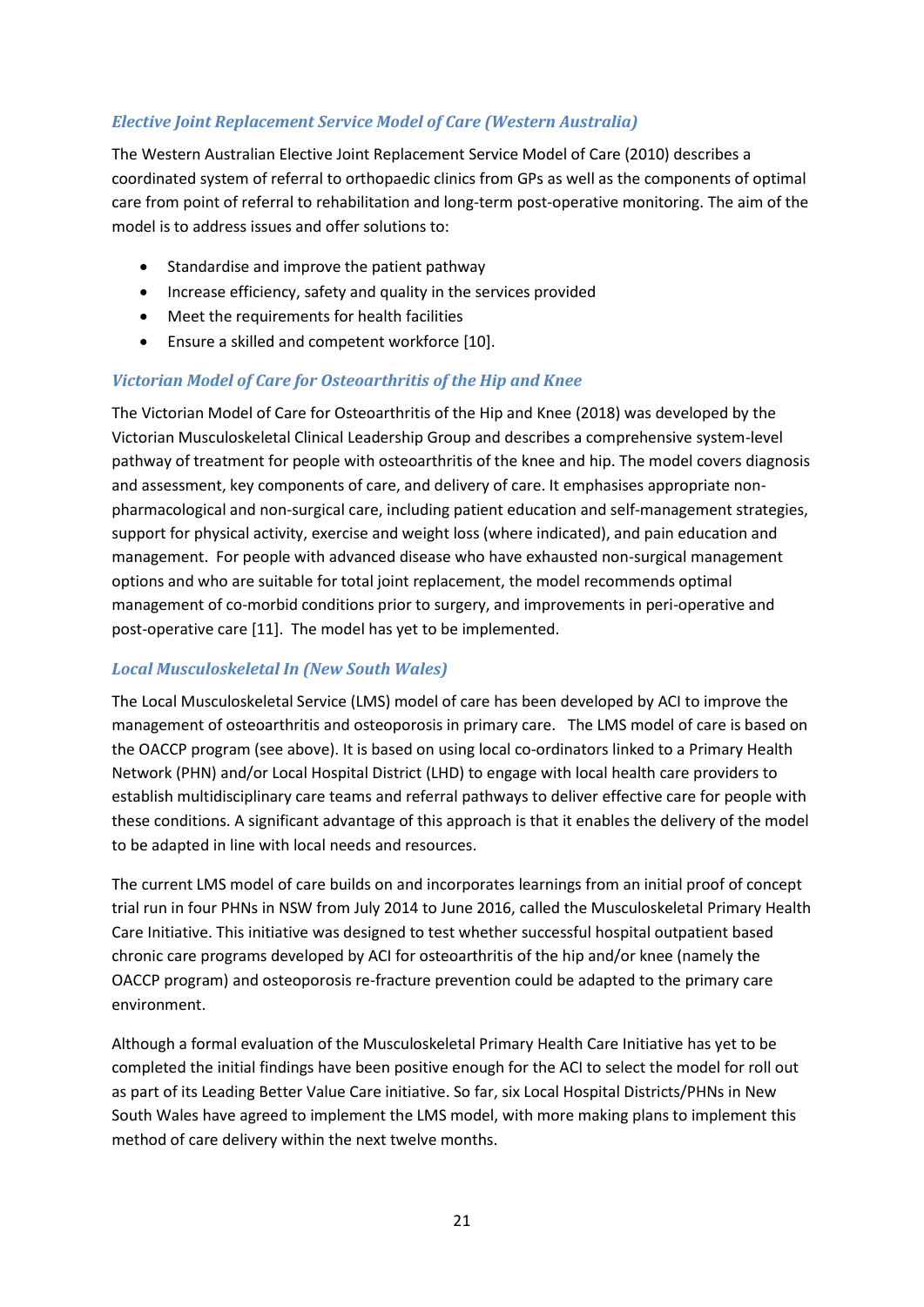#### *Elective Joint Replacement Service Model of Care (Western Australia)*

The Western Australian Elective Joint Replacement Service Model of Care (2010) describes a coordinated system of referral to orthopaedic clinics from GPs as well as the components of optimal care from point of referral to rehabilitation and long-term post-operative monitoring. The aim of the model is to address issues and offer solutions to:

- Standardise and improve the patient pathway
- Increase efficiency, safety and quality in the services provided
- Meet the requirements for health facilities
- Ensure a skilled and competent workforce [10].

#### *Victorian Model of Care for Osteoarthritis of the Hip and Knee*

The Victorian Model of Care for Osteoarthritis of the Hip and Knee (2018) was developed by the Victorian Musculoskeletal Clinical Leadership Group and describes a comprehensive system-level pathway of treatment for people with osteoarthritis of the knee and hip. The model covers diagnosis and assessment, key components of care, and delivery of care. It emphasises appropriate nonpharmacological and non-surgical care, including patient education and self-management strategies, support for physical activity, exercise and weight loss (where indicated), and pain education and management. For people with advanced disease who have exhausted non-surgical management options and who are suitable for total joint replacement, the model recommends optimal management of co-morbid conditions prior to surgery, and improvements in peri-operative and post-operative care [11]. The model has yet to be implemented.

#### *Local Musculoskeletal In (New South Wales)*

The Local Musculoskeletal Service (LMS) model of care has been developed by ACI to improve the management of osteoarthritis and osteoporosis in primary care. The LMS model of care is based on the OACCP program (see above). It is based on using local co-ordinators linked to a Primary Health Network (PHN) and/or Local Hospital District (LHD) to engage with local health care providers to establish multidisciplinary care teams and referral pathways to deliver effective care for people with these conditions. A significant advantage of this approach is that it enables the delivery of the model to be adapted in line with local needs and resources.

The current LMS model of care builds on and incorporates learnings from an initial proof of concept trial run in four PHNs in NSW from July 2014 to June 2016, called the Musculoskeletal Primary Health Care Initiative. This initiative was designed to test whether successful hospital outpatient based chronic care programs developed by ACI for osteoarthritis of the hip and/or knee (namely the OACCP program) and osteoporosis re-fracture prevention could be adapted to the primary care environment.

Although a formal evaluation of the Musculoskeletal Primary Health Care Initiative has yet to be completed the initial findings have been positive enough for the ACI to select the model for roll out as part of its Leading Better Value Care initiative. So far, six Local Hospital Districts/PHNs in New South Wales have agreed to implement the LMS model, with more making plans to implement this method of care delivery within the next twelve months.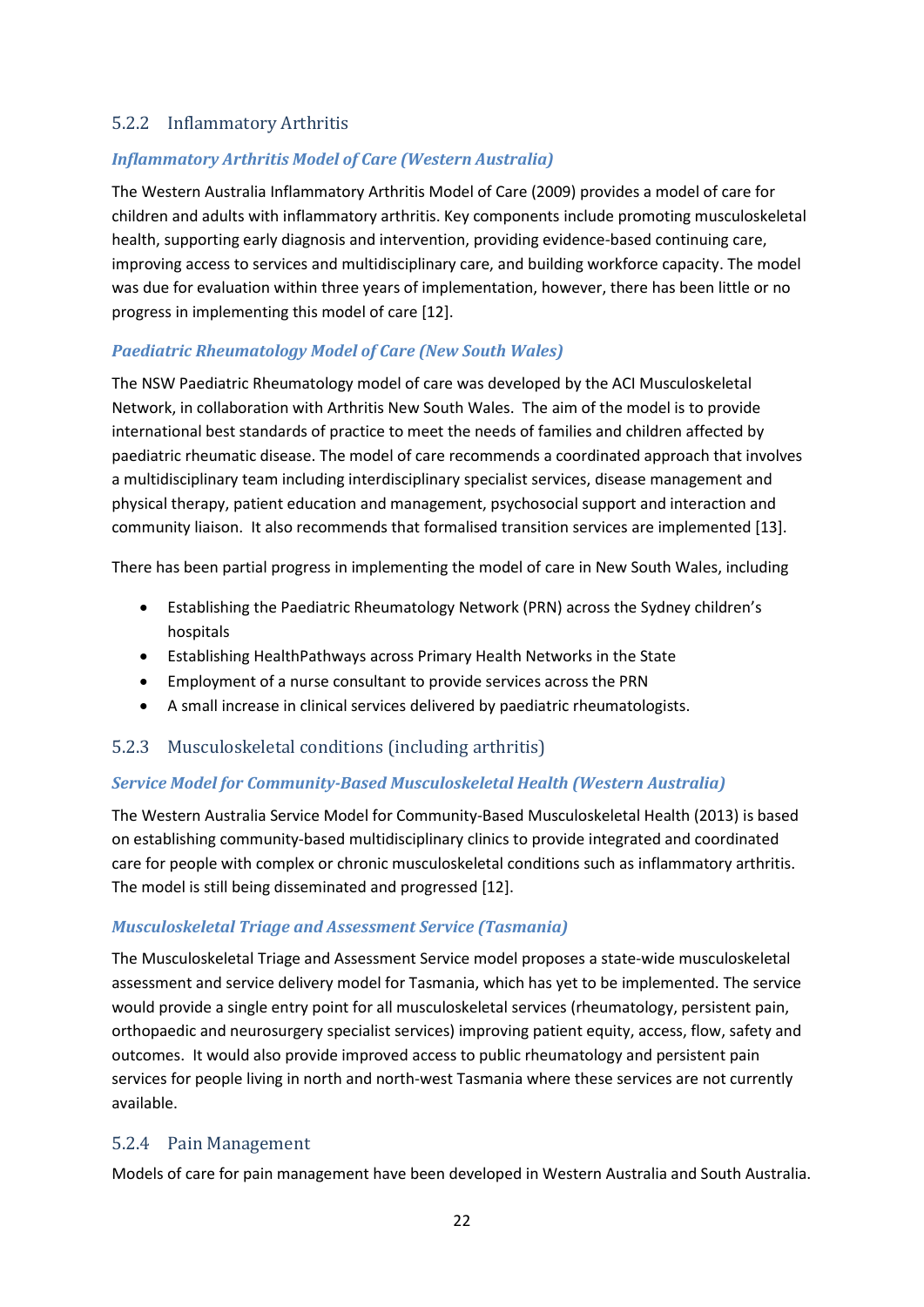#### <span id="page-22-0"></span>5.2.2 Inflammatory Arthritis

#### *Inflammatory Arthritis Model of Care (Western Australia)*

The Western Australia Inflammatory Arthritis Model of Care (2009) provides a model of care for children and adults with inflammatory arthritis. Key components include promoting musculoskeletal health, supporting early diagnosis and intervention, providing evidence-based continuing care, improving access to services and multidisciplinary care, and building workforce capacity. The model was due for evaluation within three years of implementation, however, there has been little or no progress in implementing this model of care [12].

#### *Paediatric Rheumatology Model of Care (New South Wales)*

The NSW Paediatric Rheumatology model of care was developed by the ACI Musculoskeletal Network, in collaboration with Arthritis New South Wales. The aim of the model is to provide international best standards of practice to meet the needs of families and children affected by paediatric rheumatic disease. The model of care recommends a coordinated approach that involves a multidisciplinary team including interdisciplinary specialist services, disease management and physical therapy, patient education and management, psychosocial support and interaction and community liaison. It also recommends that formalised transition services are implemented [13].

There has been partial progress in implementing the model of care in New South Wales, including

- Establishing the Paediatric Rheumatology Network (PRN) across the Sydney children's hospitals
- Establishing HealthPathways across Primary Health Networks in the State
- Employment of a nurse consultant to provide services across the PRN
- A small increase in clinical services delivered by paediatric rheumatologists.

#### <span id="page-22-1"></span>5.2.3 Musculoskeletal conditions (including arthritis)

#### *Service Model for Community-Based Musculoskeletal Health (Western Australia)*

The Western Australia Service Model for Community-Based Musculoskeletal Health (2013) is based on establishing community-based multidisciplinary clinics to provide integrated and coordinated care for people with complex or chronic musculoskeletal conditions such as inflammatory arthritis. The model is still being disseminated and progressed [12].

#### *Musculoskeletal Triage and Assessment Service (Tasmania)*

The Musculoskeletal Triage and Assessment Service model proposes a state-wide musculoskeletal assessment and service delivery model for Tasmania, which has yet to be implemented. The service would provide a single entry point for all musculoskeletal services (rheumatology, persistent pain, orthopaedic and neurosurgery specialist services) improving patient equity, access, flow, safety and outcomes. It would also provide improved access to public rheumatology and persistent pain services for people living in north and north-west Tasmania where these services are not currently available.

#### <span id="page-22-2"></span>5.2.4 Pain Management

Models of care for pain management have been developed in Western Australia and South Australia.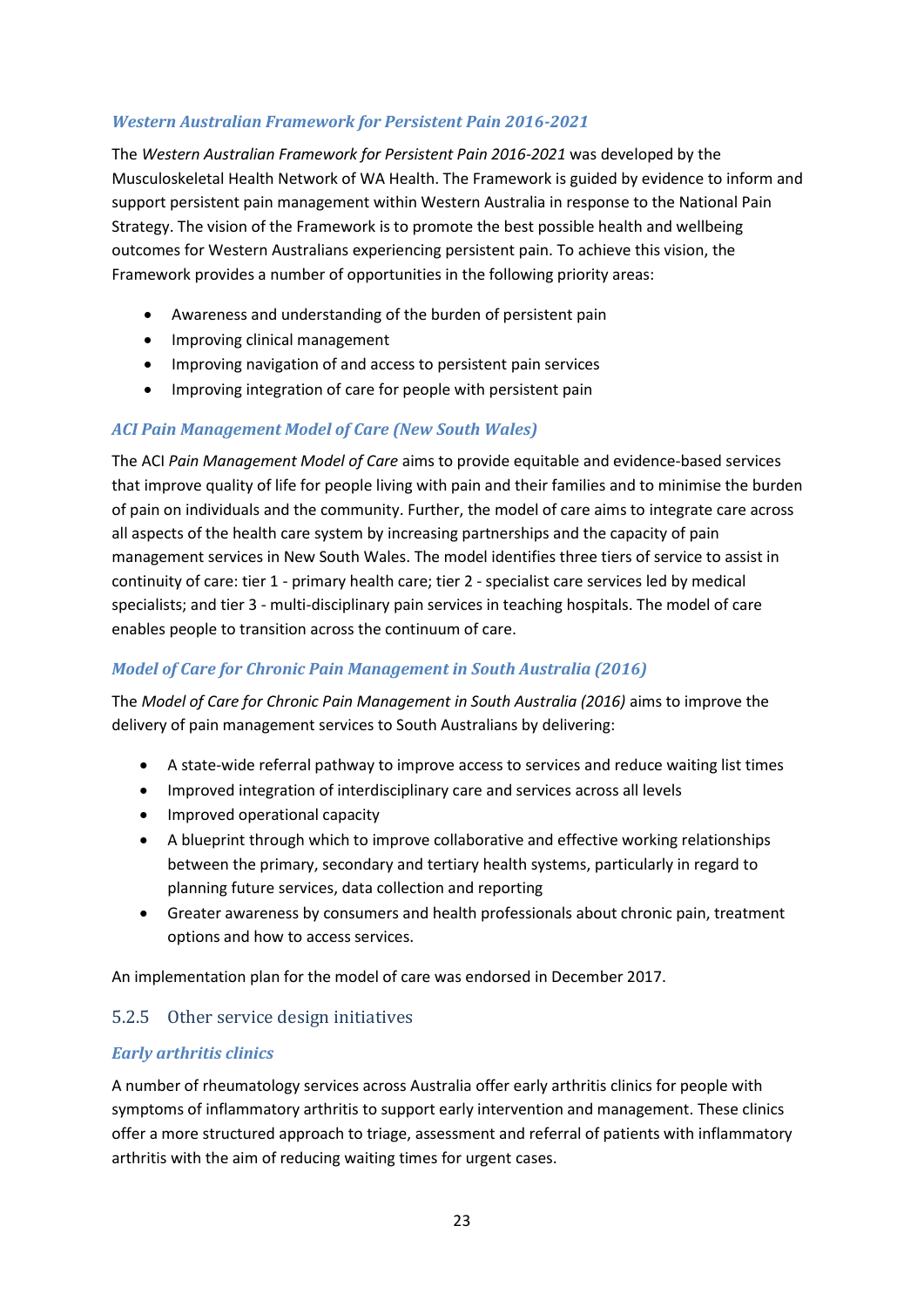#### *Western Australian Framework for Persistent Pain 2016-2021*

The *Western Australian Framework for Persistent Pain 2016-2021* was developed by the Musculoskeletal Health Network of WA Health. The Framework is guided by evidence to inform and support persistent pain management within Western Australia in response to the National Pain Strategy. The vision of the Framework is to promote the best possible health and wellbeing outcomes for Western Australians experiencing persistent pain. To achieve this vision, the Framework provides a number of opportunities in the following priority areas:

- Awareness and understanding of the burden of persistent pain
- Improving clinical management
- Improving navigation of and access to persistent pain services
- Improving integration of care for people with persistent pain

#### *ACI Pain Management Model of Care (New South Wales)*

The ACI *Pain Management Model of Care* aims to provide equitable and evidence-based services that improve quality of life for people living with pain and their families and to minimise the burden of pain on individuals and the community. Further, the model of care aims to integrate care across all aspects of the health care system by increasing partnerships and the capacity of pain management services in New South Wales. The model identifies three tiers of service to assist in continuity of care: tier 1 - primary health care; tier 2 - specialist care services led by medical specialists; and tier 3 - multi-disciplinary pain services in teaching hospitals. The model of care enables people to transition across the continuum of care.

#### *Model of Care for Chronic Pain Management in South Australia (2016)*

The *Model of Care for Chronic Pain Management in South Australia (2016)* aims to improve the delivery of pain management services to South Australians by delivering:

- A state-wide referral pathway to improve access to services and reduce waiting list times
- Improved integration of interdisciplinary care and services across all levels
- Improved operational capacity
- A blueprint through which to improve collaborative and effective working relationships between the primary, secondary and tertiary health systems, particularly in regard to planning future services, data collection and reporting
- Greater awareness by consumers and health professionals about chronic pain, treatment options and how to access services.

An implementation plan for the model of care was endorsed in December 2017.

#### <span id="page-23-0"></span>5.2.5 Other service design initiatives

#### *Early arthritis clinics*

A number of rheumatology services across Australia offer early arthritis clinics for people with symptoms of inflammatory arthritis to support early intervention and management. These clinics offer a more structured approach to triage, assessment and referral of patients with inflammatory arthritis with the aim of reducing waiting times for urgent cases.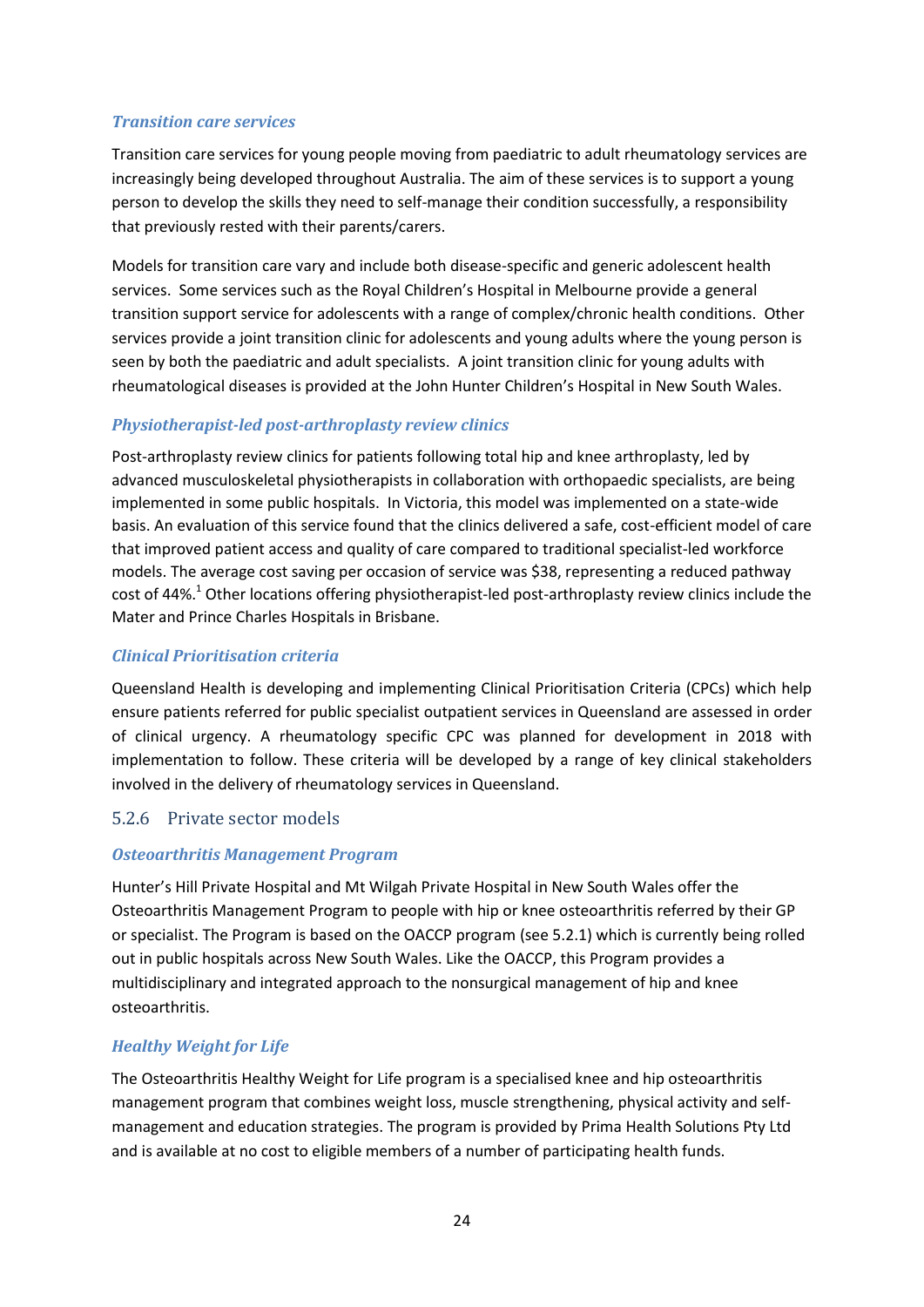#### *Transition care services*

Transition care services for young people moving from paediatric to adult rheumatology services are increasingly being developed throughout Australia. The aim of these services is to support a young person to develop the skills they need to self-manage their condition successfully, a responsibility that previously rested with their parents/carers.

Models for transition care vary and include both disease-specific and generic adolescent health services. Some services such as the Royal Children's Hospital in Melbourne provide a general transition support service for adolescents with a range of complex/chronic health conditions. Other services provide a joint transition clinic for adolescents and young adults where the young person is seen by both the paediatric and adult specialists. A joint transition clinic for young adults with rheumatological diseases is provided at the John Hunter Children's Hospital in New South Wales.

#### *Physiotherapist-led post-arthroplasty review clinics*

Post-arthroplasty review clinics for patients following total hip and knee arthroplasty, led by advanced musculoskeletal physiotherapists in collaboration with orthopaedic specialists, are being implemented in some public hospitals. In Victoria, this model was implemented on a state-wide basis. An evaluation of this service found that the clinics delivered a safe, cost-efficient model of care that improved patient access and quality of care compared to traditional specialist-led workforce models. The average cost saving per occasion of service was \$38, representing a reduced pathway cost of 44%.<sup>1</sup> Other locations offering physiotherapist-led post-arthroplasty review clinics include the Mater and Prince Charles Hospitals in Brisbane.

#### *Clinical Prioritisation criteria*

Queensland Health is developing and implementing Clinical Prioritisation Criteria (CPCs) which help ensure patients referred for public specialist outpatient services in Queensland are assessed in order of clinical urgency. A rheumatology specific CPC was planned for development in 2018 with implementation to follow. These criteria will be developed by a range of key clinical stakeholders involved in the delivery of rheumatology services in Queensland.

#### <span id="page-24-0"></span>5.2.6 Private sector models

#### *Osteoarthritis Management Program*

Hunter's Hill Private Hospital and Mt Wilgah Private Hospital in New South Wales offer the Osteoarthritis Management Program to people with hip or knee osteoarthritis referred by their GP or specialist. The Program is based on the OACCP program (see 5.2.1) which is currently being rolled out in public hospitals across New South Wales. Like the OACCP, this Program provides a multidisciplinary and integrated approach to the nonsurgical management of hip and knee osteoarthritis.

#### *Healthy Weight for Life*

The Osteoarthritis Healthy Weight for Life program is a specialised knee and hip osteoarthritis management program that combines weight loss, muscle strengthening, physical activity and selfmanagement and education strategies. The program is provided by Prima Health Solutions Pty Ltd and is available at no cost to eligible members of a number of participating health funds.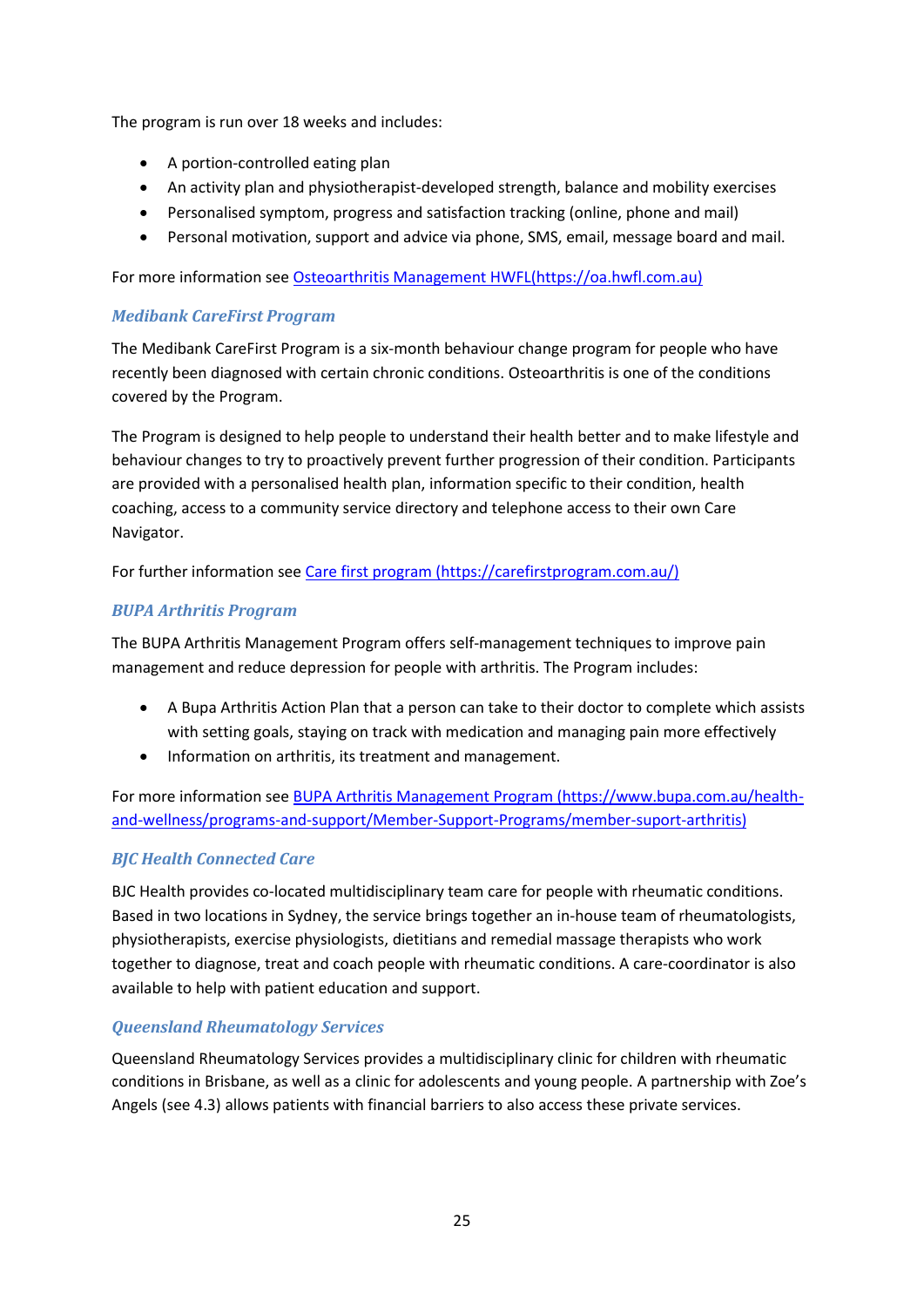The program is run over 18 weeks and includes:

- A portion-controlled eating plan
- An activity plan and physiotherapist-developed strength, balance and mobility exercises
- Personalised symptom, progress and satisfaction tracking (online, phone and mail)
- Personal motivation, support and advice via phone, SMS, email, message board and mail.

For more information see [Osteoarthritis Management HWFL\(https://oa.hwfl.com.au\)](https://oa.hwfl.com.au/)

#### *Medibank CareFirst Program*

The Medibank CareFirst Program is a six-month behaviour change program for people who have recently been diagnosed with certain chronic conditions. Osteoarthritis is one of the conditions covered by the Program.

The Program is designed to help people to understand their health better and to make lifestyle and behaviour changes to try to proactively prevent further progression of their condition. Participants are provided with a personalised health plan, information specific to their condition, health coaching, access to a community service directory and telephone access to their own Care Navigator.

For further information see [Care first program \(https://carefirstprogram.com.au/\)](https://carefirstprogram.com.au/)

#### *BUPA Arthritis Program*

The BUPA Arthritis Management Program offers self-management techniques to improve pain management and reduce depression for people with arthritis. The Program includes:

- A Bupa Arthritis Action Plan that a person can take to their doctor to complete which assists with setting goals, staying on track with medication and managing pain more effectively
- Information on arthritis, its treatment and management.

For more information see [BUPA Arthritis Management Program \(https://www.bupa.com.au/health](https://www.bupa.com.au/health-and-wellness/programs-and-support/Member-Support-Programs/member-suport-arthritis)[and-wellness/programs-and-support/Member-Support-Programs/member-suport-arthritis\)](https://www.bupa.com.au/health-and-wellness/programs-and-support/Member-Support-Programs/member-suport-arthritis)

#### *BJC Health Connected Care*

BJC Health provides co-located multidisciplinary team care for people with rheumatic conditions. Based in two locations in Sydney, the service brings together an in-house team of rheumatologists, physiotherapists, exercise physiologists, dietitians and remedial massage therapists who work together to diagnose, treat and coach people with rheumatic conditions. A care-coordinator is also available to help with patient education and support.

#### *Queensland Rheumatology Services*

Queensland Rheumatology Services provides a multidisciplinary clinic for children with rheumatic conditions in Brisbane, as well as a clinic for adolescents and young people. A partnership with [Zoe's](http://www.zoesangels.org/)  [Angels](http://www.zoesangels.org/) (see 4.3) allows patients with financial barriers to also access these private services.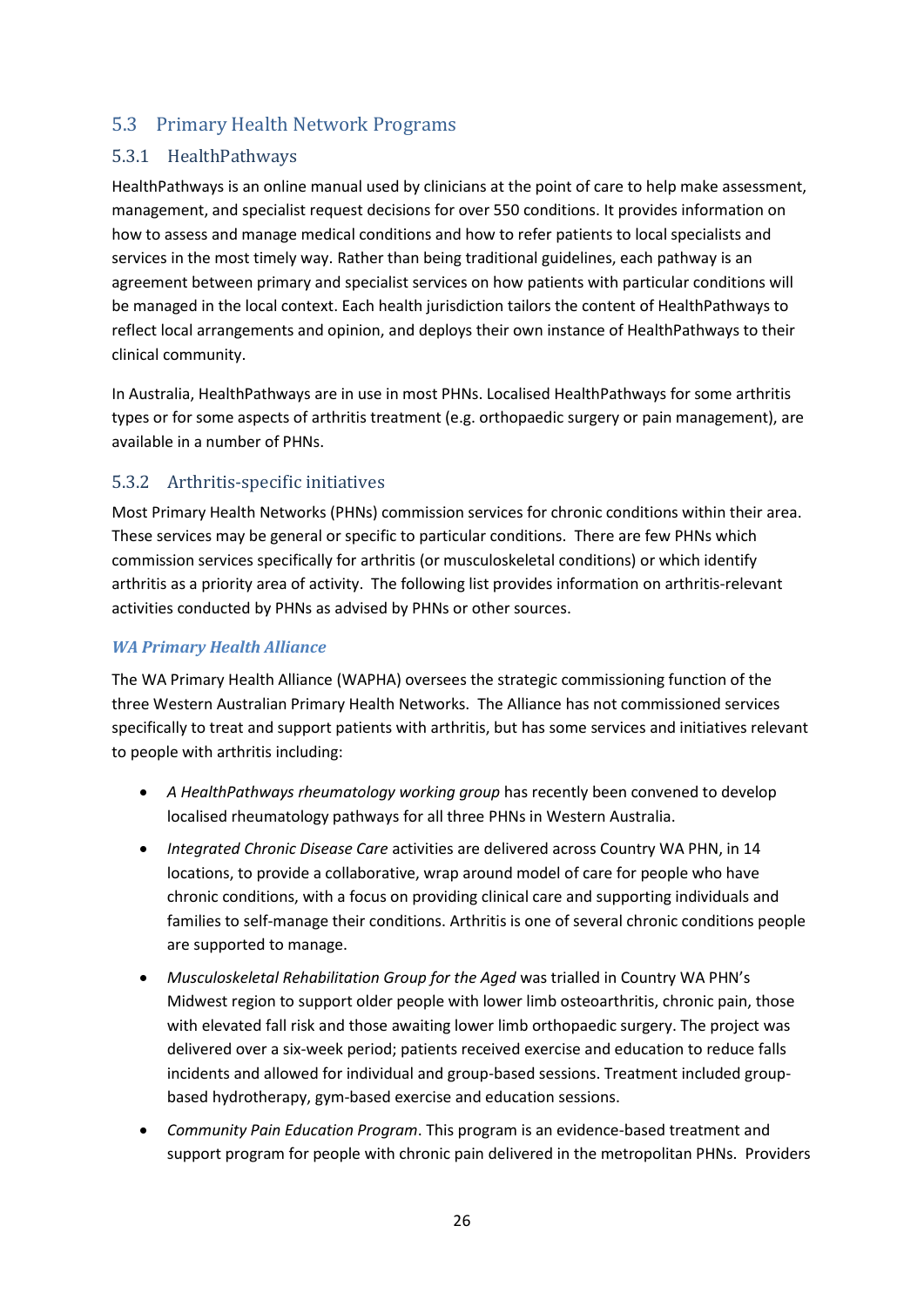## <span id="page-26-0"></span>5.3 Primary Health Network Programs

#### <span id="page-26-1"></span>5.3.1 HealthPathways

HealthPathways is an online manual used by clinicians at the point of care to help make assessment, management, and specialist request decisions for over 550 conditions. It provides information on how to assess and manage medical conditions and how to refer patients to local specialists and services in the most timely way. Rather than being traditional guidelines, each pathway is an agreement between primary and specialist services on how patients with particular conditions will be managed in the local context. Each health jurisdiction tailors the content of HealthPathways to reflect local arrangements and opinion, and deploys their own instance of HealthPathways to their clinical community.

In Australia, HealthPathways are in use in most PHNs. Localised HealthPathways for some arthritis types or for some aspects of arthritis treatment (e.g. orthopaedic surgery or pain management), are available in a number of PHNs.

#### <span id="page-26-2"></span>5.3.2 Arthritis-specific initiatives

Most Primary Health Networks (PHNs) commission services for chronic conditions within their area. These services may be general or specific to particular conditions. There are few PHNs which commission services specifically for arthritis (or musculoskeletal conditions) or which identify arthritis as a priority area of activity. The following list provides information on arthritis-relevant activities conducted by PHNs as advised by PHNs or other sources.

#### *WA Primary Health Alliance*

The WA Primary Health Alliance (WAPHA) oversees the strategic commissioning function of the three Western Australian Primary Health Networks. The Alliance has not commissioned services specifically to treat and support patients with arthritis, but has some services and initiatives relevant to people with arthritis including:

- *A HealthPathways rheumatology working group* has recently been convened to develop localised rheumatology pathways for all three PHNs in Western Australia.
- *Integrated Chronic Disease Care* activities are delivered across Country WA PHN, in 14 locations, to provide a collaborative, wrap around model of care for people who have chronic conditions, with a focus on providing clinical care and supporting individuals and families to self-manage their conditions. Arthritis is one of several chronic conditions people are supported to manage.
- *Musculoskeletal Rehabilitation Group for the Aged* was trialled in Country WA PHN's Midwest region to support older people with lower limb osteoarthritis, chronic pain, those with elevated fall risk and those awaiting lower limb orthopaedic surgery. The project was delivered over a six-week period; patients received exercise and education to reduce falls incidents and allowed for individual and group-based sessions. Treatment included groupbased hydrotherapy, gym-based exercise and education sessions.
- *Community Pain Education Program*. This program is an evidence-based treatment and support program for people with chronic pain delivered in the metropolitan PHNs. Providers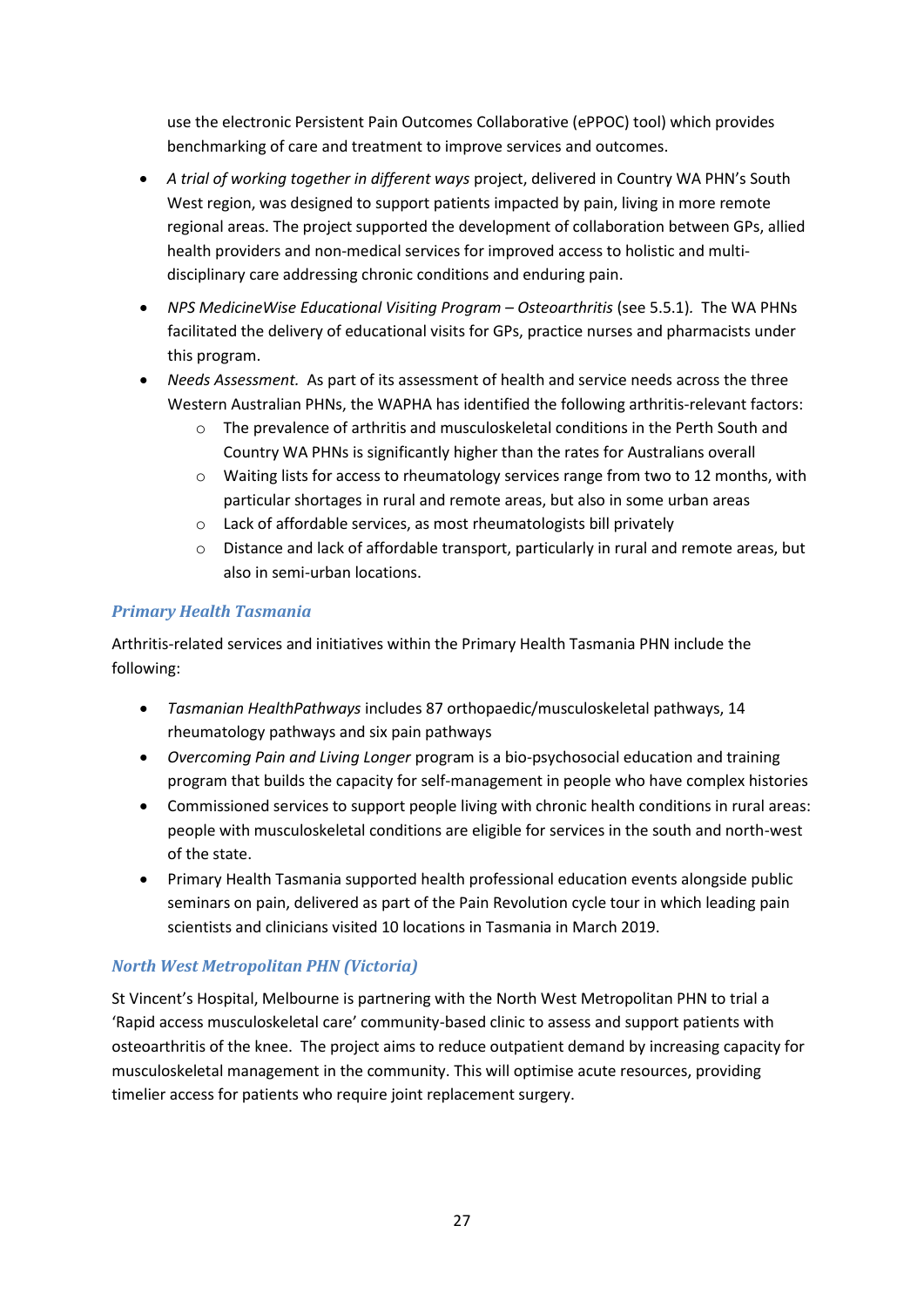use the electronic Persistent Pain Outcomes Collaborative (ePPOC) tool) which provides benchmarking of care and treatment to improve services and outcomes.

- *A trial of working together in different ways* project, delivered in Country WA PHN's South West region, was designed to support patients impacted by pain, living in more remote regional areas. The project supported the development of collaboration between GPs, allied health providers and non-medical services for improved access to holistic and multidisciplinary care addressing chronic conditions and enduring pain.
- *NPS MedicineWise Educational Visiting Program – Osteoarthritis* (see 5.5.1)*.* The WA PHNs facilitated the delivery of educational visits for GPs, practice nurses and pharmacists under this program.
- *Needs Assessment.* As part of its assessment of health and service needs across the three Western Australian PHNs, the WAPHA has identified the following arthritis-relevant factors:
	- o The prevalence of arthritis and musculoskeletal conditions in the Perth South and Country WA PHNs is significantly higher than the rates for Australians overall
	- o Waiting lists for access to rheumatology services range from two to 12 months, with particular shortages in rural and remote areas, but also in some urban areas
	- o Lack of affordable services, as most rheumatologists bill privately
	- $\circ$  Distance and lack of affordable transport, particularly in rural and remote areas, but also in semi-urban locations.

#### *Primary Health Tasmania*

Arthritis-related services and initiatives within the Primary Health Tasmania PHN include the following:

- *Tasmanian HealthPathways* includes 87 orthopaedic/musculoskeletal pathways, 14 rheumatology pathways and six pain pathways
- *Overcoming Pain and Living Longer* program is a bio-psychosocial education and training program that builds the capacity for self-management in people who have complex histories
- Commissioned services to support people living with chronic health conditions in rural areas: people with musculoskeletal conditions are eligible for services in the south and north-west of the state.
- Primary Health Tasmania supported health professional education events alongside public seminars on pain, delivered as part of the Pain Revolution cycle tour in which leading pain scientists and clinicians visited 10 locations in Tasmania in March 2019.

#### *North West Metropolitan PHN (Victoria)*

St Vincent's Hospital, Melbourne is partnering with the North West Metropolitan PHN to trial a 'Rapid access musculoskeletal care' community-based clinic to assess and support patients with osteoarthritis of the knee. The project aims to reduce outpatient demand by increasing capacity for musculoskeletal management in the community. This will optimise acute resources, providing timelier access for patients who require joint replacement surgery.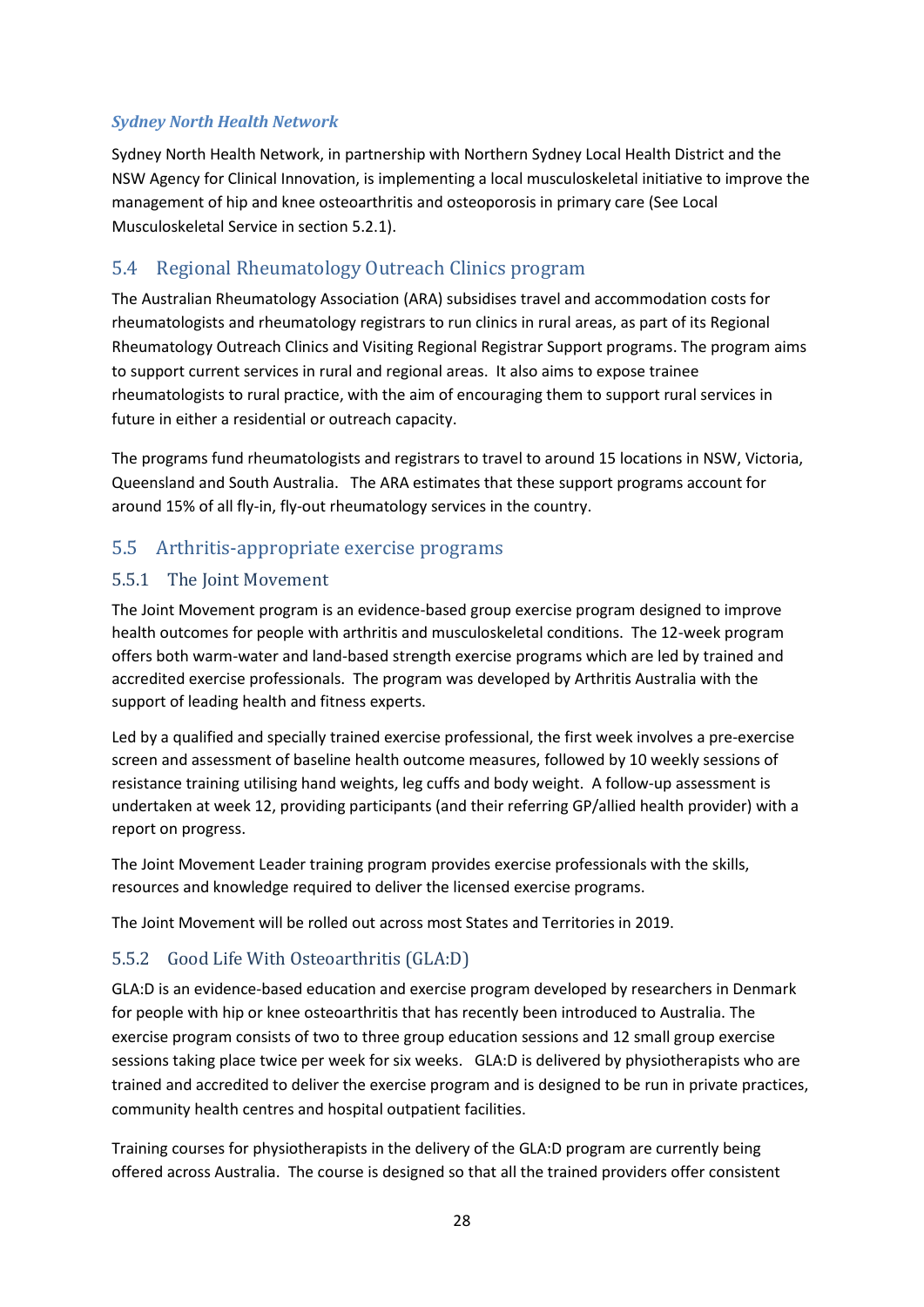#### *Sydney North Health Network*

Sydney North Health Network, in partnership with Northern Sydney Local Health District and the NSW Agency for Clinical Innovation, is implementing a local musculoskeletal initiative to improve the management of hip and knee osteoarthritis and osteoporosis in primary care (See Local Musculoskeletal Service in section 5.2.1).

## <span id="page-28-0"></span>5.4 Regional Rheumatology Outreach Clinics program

The Australian Rheumatology Association (ARA) subsidises travel and accommodation costs for rheumatologists and rheumatology registrars to run clinics in rural areas, as part of its Regional Rheumatology Outreach Clinics and Visiting Regional Registrar Support programs. The program aims to support current services in rural and regional areas. It also aims to expose trainee rheumatologists to rural practice, with the aim of encouraging them to support rural services in future in either a residential or outreach capacity.

The programs fund rheumatologists and registrars to travel to around 15 locations in NSW, Victoria, Queensland and South Australia. The ARA estimates that these support programs account for around 15% of all fly-in, fly-out rheumatology services in the country.

## <span id="page-28-1"></span>5.5 Arthritis-appropriate exercise programs

#### <span id="page-28-2"></span>5.5.1 The Joint Movement

The Joint Movement program is an evidence-based group exercise program designed to improve health outcomes for people with arthritis and musculoskeletal conditions. The 12-week program offers both warm-water and land-based strength exercise programs which are led by trained and accredited exercise professionals. The program was developed by Arthritis Australia with the support of leading health and fitness experts.

Led by a qualified and specially trained exercise professional, the first week involves a pre-exercise screen and assessment of baseline health outcome measures, followed by 10 weekly sessions of resistance training utilising hand weights, leg cuffs and body weight. A follow-up assessment is undertaken at week 12, providing participants (and their referring GP/allied health provider) with a report on progress.

The Joint Movement Leader training program provides exercise professionals with the skills, resources and knowledge required to deliver the licensed exercise programs.

The Joint Movement will be rolled out across most States and Territories in 2019.

#### <span id="page-28-3"></span>5.5.2 Good Life With Osteoarthritis (GLA:D)

GLA:D is an evidence-based education and exercise program developed by researchers in Denmark for people with hip or knee osteoarthritis that has recently been introduced to Australia. The exercise program consists of two to three group education sessions and 12 small group exercise sessions taking place twice per week for six weeks. GLA:D is delivered by physiotherapists who are trained and accredited to deliver the exercise program and is designed to be run in private practices, community health centres and hospital outpatient facilities.

Training courses for physiotherapists in the delivery of the GLA:D program are currently being offered across Australia. The course is designed so that all the trained providers offer consistent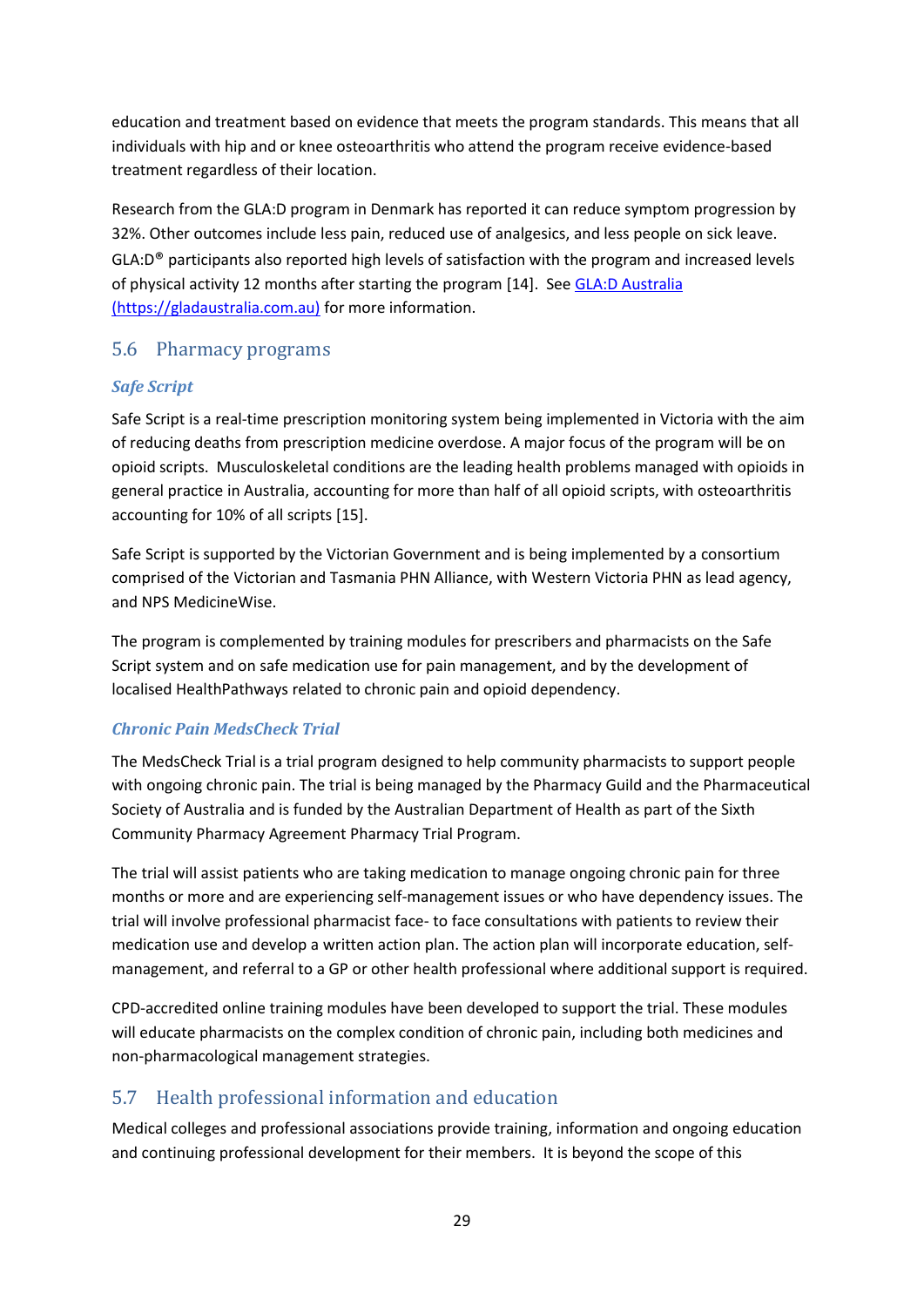education and treatment based on evidence that meets the program standards. This means that all individuals with hip and or knee osteoarthritis who attend the program receive evidence-based treatment regardless of their location.

Research from the GLA:D program in Denmark has reported it can reduce symptom progression by 32%. Other outcomes include less pain, reduced use of analgesics, and less people on sick leave.  $GLA: D^{\circledast}$  participants also reported high levels of satisfaction with the program and increased levels of physical activity 12 months after starting the program [14]. Se[e GLA:D Australia](https://gladaustralia.com.au/)  [\(https://gladaustralia.com.au\)](https://gladaustralia.com.au/) for more information.

#### <span id="page-29-0"></span>5.6 Pharmacy programs

#### *Safe Script*

Safe Script is a real-time prescription monitoring system being implemented in Victoria with the aim of reducing deaths from prescription medicine overdose. A major focus of the program will be on opioid scripts. Musculoskeletal conditions are the leading health problems managed with opioids in general practice in Australia, accounting for more than half of all opioid scripts, with osteoarthritis accounting for 10% of all scripts [15].

Safe Script is supported by the Victorian Government and is being implemented by a consortium comprised of the Victorian and Tasmania PHN Alliance, with Western Victoria PHN as lead agency, and NPS MedicineWise.

The program is complemented by training modules for prescribers and pharmacists on the Safe Script system and on safe medication use for pain management, and by the development of localised HealthPathways related to chronic pain and opioid dependency.

#### *Chronic Pain MedsCheck Trial*

The MedsCheck Trial is a trial program designed to help community pharmacists to support people with ongoing chronic pain. The trial is being managed by the Pharmacy Guild and the Pharmaceutical Society of Australia and is funded by the Australian Department of Health as part of the Sixth Community Pharmacy Agreement Pharmacy Trial Program.

The trial will assist patients who are taking medication to manage ongoing chronic pain for three months or more and are experiencing self-management issues or who have dependency issues. The trial will involve professional pharmacist face- to face consultations with patients to review their medication use and develop a written action plan. The action plan will incorporate education, selfmanagement, and referral to a GP or other health professional where additional support is required.

CPD-accredited online training modules have been developed to support the trial. These modules will educate pharmacists on the complex condition of chronic pain, including both medicines and non-pharmacological management strategies.

## <span id="page-29-1"></span>5.7 Health professional information and education

Medical colleges and professional associations provide training, information and ongoing education and continuing professional development for their members. It is beyond the scope of this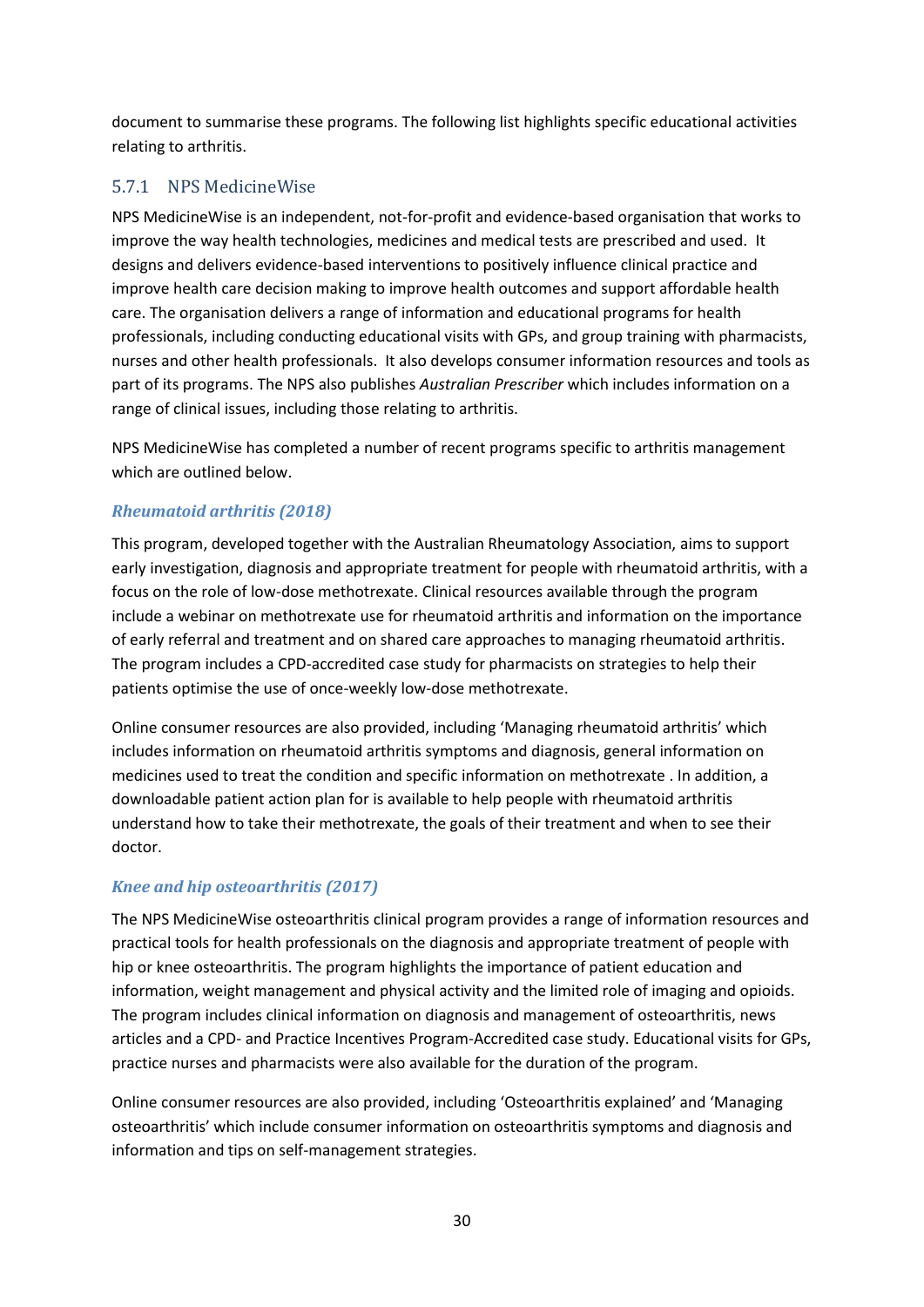document to summarise these programs. The following list highlights specific educational activities relating to arthritis.

## <span id="page-30-0"></span>5.7.1 NPS MedicineWise

NPS MedicineWise is an independent, not-for-profit and evidence-based organisation that works to improve the way health technologies, medicines and medical tests are prescribed and used. It designs and delivers evidence-based interventions to positively influence clinical practice and improve health care decision making to improve health outcomes and support affordable health care. The organisation delivers a range of information and educational programs for health professionals, including conducting educational visits with GPs, and group training with pharmacists, nurses and other health professionals. It also develops consumer information resources and tools as part of its programs. The NPS also publishes *Australian Prescriber* which includes information on a range of clinical issues, including those relating to arthritis.

NPS MedicineWise has completed a number of recent programs specific to arthritis management which are outlined below.

#### *Rheumatoid arthritis (2018)*

This program, developed together with the Australian Rheumatology Association, aims to support early investigation, diagnosis and appropriate treatment for people with rheumatoid arthritis, with a focus on the role of low-dose methotrexate. Clinical resources available through the program include a webinar on methotrexate use for rheumatoid arthritis and information on the importance of early referral and treatment and on shared care approaches to managing rheumatoid arthritis. The program includes a CPD-accredited case study for pharmacists on strategies to help their patients optimise the use of once-weekly low-dose methotrexate.

Online consumer resources are also provided, including 'Managing rheumatoid arthritis' which includes information on rheumatoid arthritis symptoms and diagnosis, general information on medicines used to treat the condition and specific information on methotrexate . In addition, a downloadable patient action plan for is available to help people with rheumatoid arthritis understand how to take their methotrexate, the goals of their treatment and when to see their doctor.

## *Knee and hip osteoarthritis (2017)*

The NPS MedicineWise osteoarthritis clinical program provides a range of information resources and practical tools for health professionals on the diagnosis and appropriate treatment of people with hip or knee osteoarthritis. The program highlights the importance of patient education and information, weight management and physical activity and the limited role of imaging and opioids. The program includes clinical information on diagnosis and management of osteoarthritis, news articles and a CPD- and Practice Incentives Program-Accredited case study. Educational visits for GPs, practice nurses and pharmacists were also available for the duration of the program.

Online consumer resources are also provided, including 'Osteoarthritis explained' and 'Managing osteoarthritis' which include consumer information on osteoarthritis symptoms and diagnosis and information and tips on self-management strategies.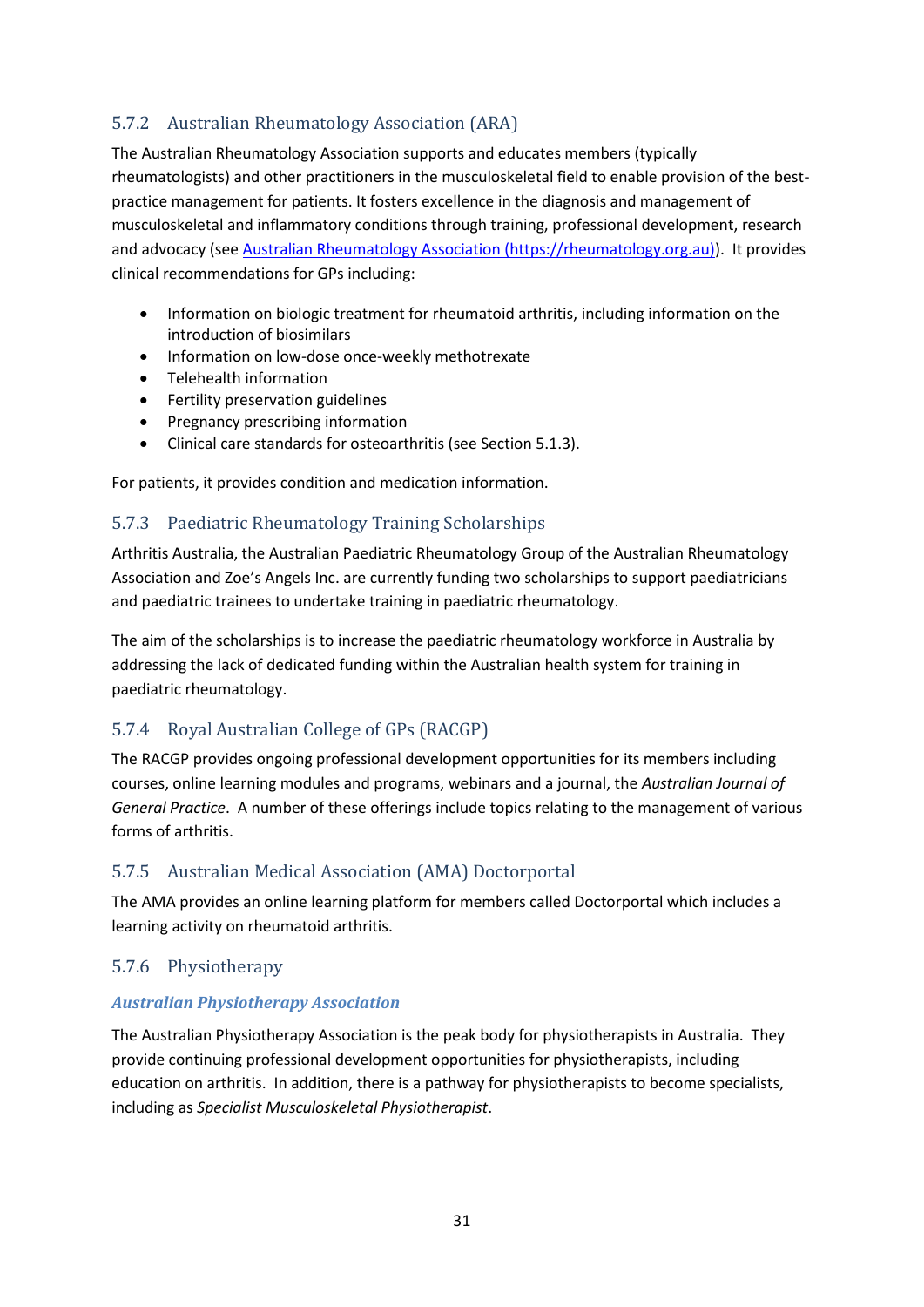## <span id="page-31-0"></span>5.7.2 Australian Rheumatology Association (ARA)

The Australian Rheumatology Association supports and educates members (typically rheumatologists) and other practitioners in the musculoskeletal field to enable provision of the bestpractice management for patients. It fosters excellence in the diagnosis and management of musculoskeletal and inflammatory conditions through training, professional development, research and advocacy (see [Australian Rheumatology Association \(https://rheumatology.org.au\)\)](https://rheumatology.org.au/). It provides clinical recommendations for GPs including:

- Information on biologic treatment for rheumatoid arthritis, including information on the introduction of biosimilars
- Information on low-dose once-weekly methotrexate
- Telehealth information
- **•** Fertility preservation guidelines
- Pregnancy prescribing information
- Clinical care standards for osteoarthritis (see Section [5.1.3\)](#page-17-0).

For patients, it provides condition and medication information.

#### <span id="page-31-1"></span>5.7.3 Paediatric Rheumatology Training Scholarships

Arthritis Australia, the Australian Paediatric Rheumatology Group of the Australian Rheumatology Association and Zoe's Angels Inc. are currently funding two scholarships to support paediatricians and paediatric trainees to undertake training in paediatric rheumatology.

The aim of the scholarships is to increase the paediatric rheumatology workforce in Australia by addressing the lack of dedicated funding within the Australian health system for training in paediatric rheumatology.

## <span id="page-31-2"></span>5.7.4 Royal Australian College of GPs (RACGP)

The RACGP provides ongoing professional development opportunities for its members including courses, online learning modules and programs, webinars and a journal, the *Australian Journal of General Practice*. A number of these offerings include topics relating to the management of various forms of arthritis.

#### <span id="page-31-3"></span>5.7.5 Australian Medical Association (AMA) Doctorportal

The AMA provides an online learning platform for members called Doctorportal which includes a learning activity on rheumatoid arthritis.

#### <span id="page-31-4"></span>5.7.6 Physiotherapy

#### *Australian Physiotherapy Association*

The Australian Physiotherapy Association is the peak body for physiotherapists in Australia. They provide continuing professional development opportunities for physiotherapists, including education on arthritis. In addition, there is a pathway for physiotherapists to become specialists, including as *Specialist Musculoskeletal Physiotherapist*.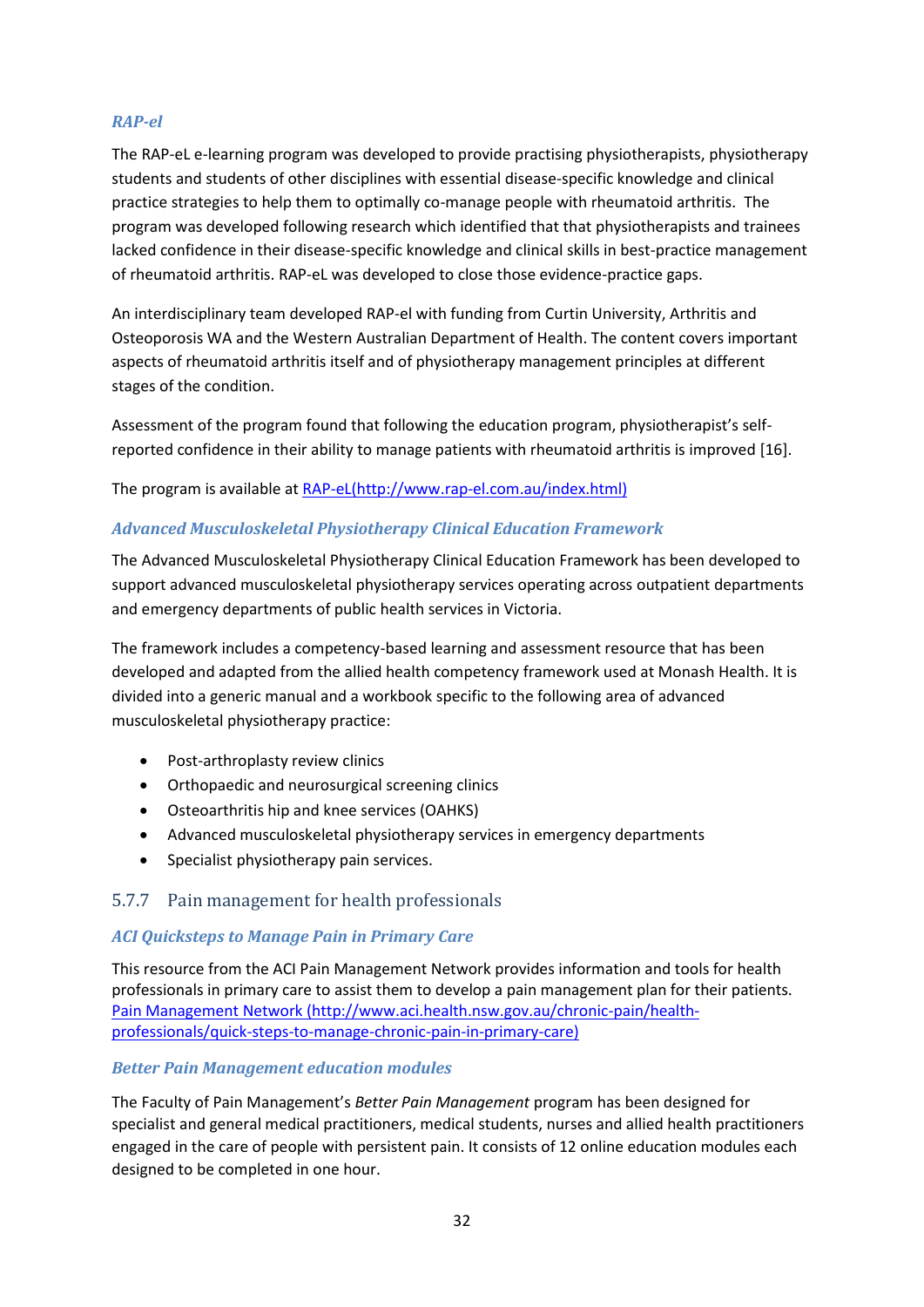#### *RAP-el*

The RAP-eL e-learning program was developed to provide practising physiotherapists, physiotherapy students and students of other disciplines with essential disease-specific knowledge and clinical practice strategies to help them to optimally co-manage people with rheumatoid arthritis. The program was developed following research which identified that that physiotherapists and trainees lacked confidence in their disease-specific knowledge and clinical skills in best-practice management of rheumatoid arthritis. RAP-eL was developed to close those evidence-practice gaps.

An interdisciplinary team developed RAP-el with funding from Curtin University, [Arthritis and](http://www.arthritiswa.org.au/)  [Osteoporosis WA](http://www.arthritiswa.org.au/) and the Western Australia[n Department of Health.](http://www.health.wa.gov.au/home/) The content covers important aspects of rheumatoid arthritis itself and of physiotherapy management principles at different stages of the condition.

Assessment of the program found that following the education program, physiotherapist's selfreported confidence in their ability to manage patients with rheumatoid arthritis is improved [16].

The program is available at [RAP-eL\(http://www.rap-el.com.au/index.html\)](http://www.rap-el.com.au/index.html)

#### *Advanced Musculoskeletal Physiotherapy Clinical Education Framework*

The Advanced Musculoskeletal Physiotherapy Clinical Education Framework has been developed to support advanced musculoskeletal physiotherapy services operating across outpatient departments and emergency departments of public health services in Victoria.

The framework includes a competency-based learning and assessment resource that has been developed and adapted from the allied health competency framework used at Monash Health. It is divided into a generic manual and a workbook specific to the following area of advanced musculoskeletal physiotherapy practice:

- Post-arthroplasty review clinics
- Orthopaedic and neurosurgical screening clinics
- Osteoarthritis hip and knee services (OAHKS)
- Advanced musculoskeletal physiotherapy services in emergency departments
- Specialist physiotherapy pain services.

#### <span id="page-32-0"></span>5.7.7 Pain management for health professionals

#### *ACI Quicksteps to Manage Pain in Primary Care*

This resource from the ACI Pain Management Network provides information and tools for health professionals in primary care to assist them to develop a pain management plan for their patients. [Pain Management Network \(http://www.aci.health.nsw.gov.au/chronic-pain/health](http://www.aci.health.nsw.gov.au/chronic-pain/health-professionals/quick-steps-to-manage-chronic-pain-in-primary-care)[professionals/quick-steps-to-manage-chronic-pain-in-primary-care\)](http://www.aci.health.nsw.gov.au/chronic-pain/health-professionals/quick-steps-to-manage-chronic-pain-in-primary-care)

#### *Better Pain Management education modules*

The F[aculty of Pain Management's](http://www.betterpainmanagement.com.au/) *Better Pain Management* program has been designed for specialist and general medical practitioners, medical students, nurses and allied health practitioners engaged in the care of people with persistent pain. It consists of 12 online education modules each designed to be completed in one hour.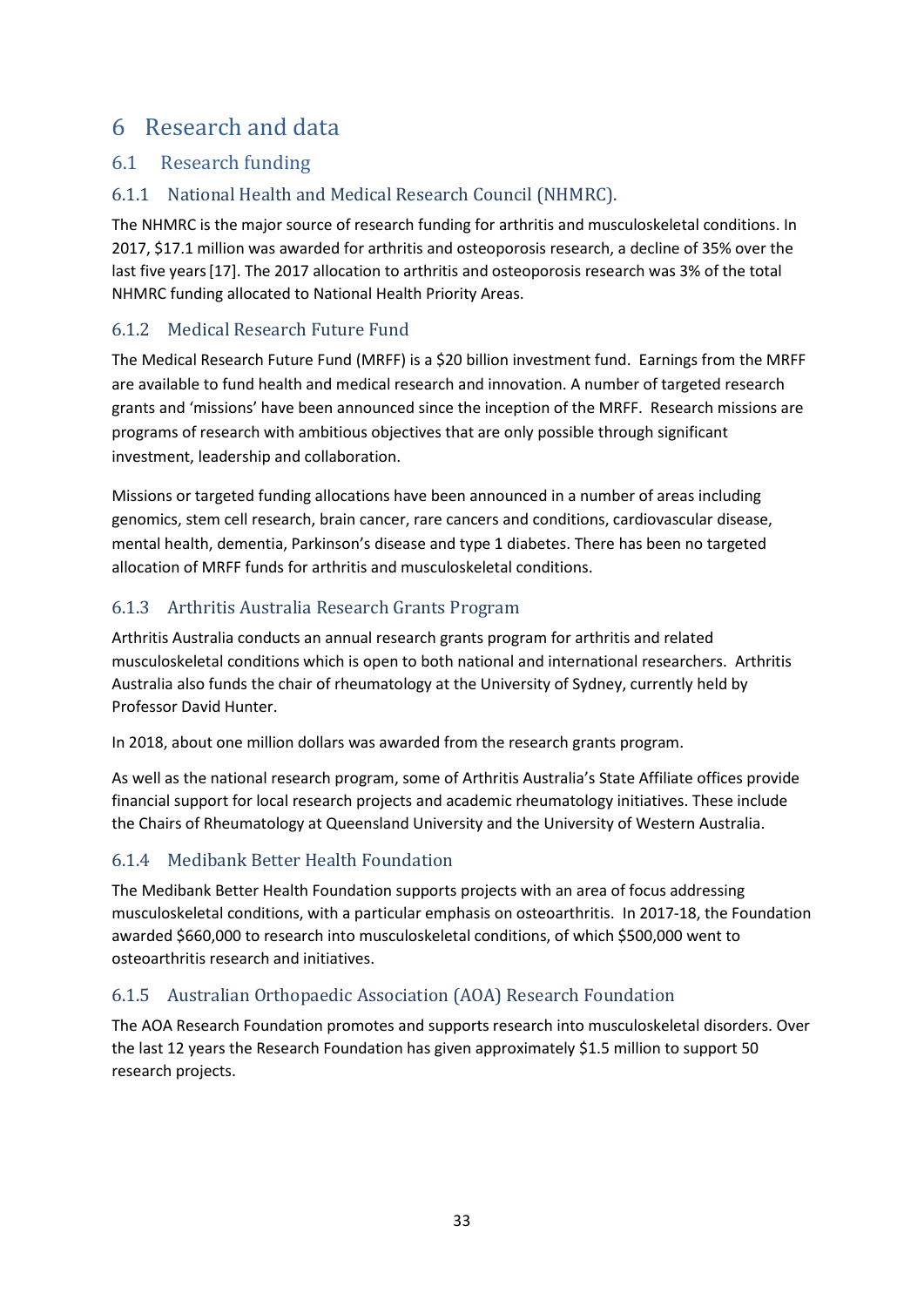# <span id="page-33-0"></span>6 Research and data

## <span id="page-33-1"></span>6.1 Research funding

## <span id="page-33-2"></span>6.1.1 National Health and Medical Research Council (NHMRC).

The NHMRC is the major source of research funding for arthritis and musculoskeletal conditions. In 2017, \$17.1 million was awarded for arthritis and osteoporosis research, a decline of 35% over the last five years [17]. The 2017 allocation to arthritis and osteoporosis research was 3% of the total NHMRC funding allocated to National Health Priority Areas.

## <span id="page-33-3"></span>6.1.2 Medical Research Future Fund

The Medical Research Future Fund (MRFF) is a \$20 billion investment fund. Earnings from the MRFF are available to fund health and medical research and innovation. A number of targeted research grants and 'missions' have been announced since the inception of the MRFF. Research missions are programs of research with ambitious objectives that are only possible through significant investment, leadership and collaboration.

Missions or targeted funding allocations have been announced in a number of areas including genomics, stem cell research, brain cancer, rare cancers and conditions, cardiovascular disease, mental health, dementia, Parkinson's disease and type 1 diabetes. There has been no targeted allocation of MRFF funds for arthritis and musculoskeletal conditions.

## <span id="page-33-4"></span>6.1.3 Arthritis Australia Research Grants Program

Arthritis Australia conducts an annual research grants program for arthritis and related musculoskeletal conditions which is open to both national and international researchers. Arthritis Australia also funds the chair of rheumatology at the University of Sydney, currently held by Professor David Hunter.

In 2018, about one million dollars was awarded from the research grants program.

As well as the national research program, some of Arthritis Australia's State Affiliate offices provide financial support for local research projects and academic rheumatology initiatives. These include the Chairs of Rheumatology at Queensland University and the University of Western Australia.

## <span id="page-33-5"></span>6.1.4 Medibank Better Health Foundation

The Medibank Better Health Foundation supports projects with an area of focus addressing musculoskeletal conditions, with a particular emphasis on osteoarthritis. In 2017-18, the Foundation awarded \$660,000 to research into musculoskeletal conditions, of which \$500,000 went to osteoarthritis research and initiatives.

## <span id="page-33-6"></span>6.1.5 Australian Orthopaedic Association (AOA) Research Foundation

The AOA Research Foundation promotes and supports research into musculoskeletal disorders. Over the last 12 years the Research Foundation has given approximately \$1.5 million to support 50 research projects.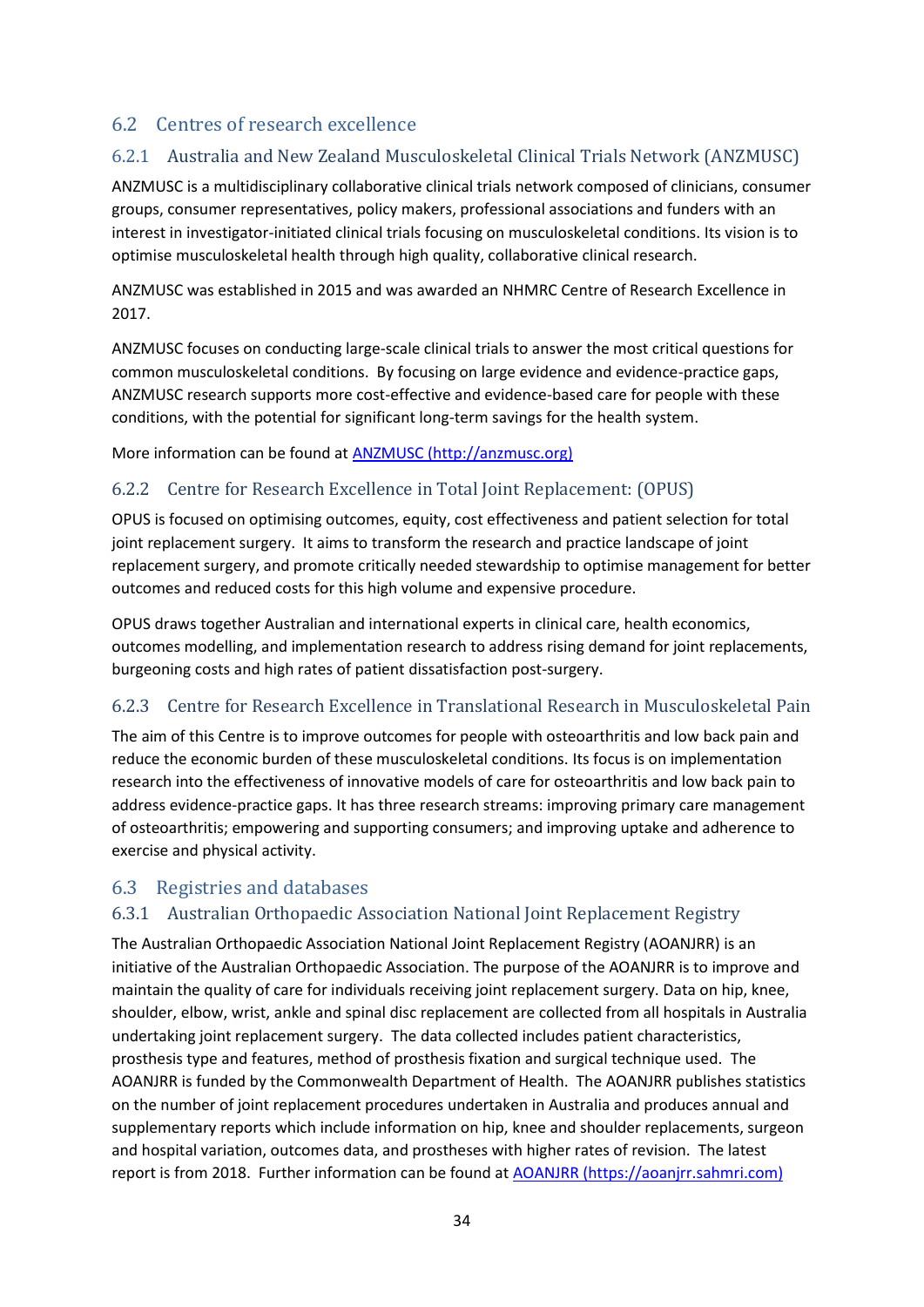## <span id="page-34-0"></span>6.2 Centres of research excellence

## <span id="page-34-1"></span>6.2.1 Australia and New Zealand Musculoskeletal Clinical Trials Network (ANZMUSC)

ANZMUSC is a multidisciplinary collaborative clinical trials network composed of clinicians, consumer groups, consumer representatives, policy makers, professional associations and funders with an interest in investigator-initiated clinical trials focusing on musculoskeletal conditions. Its vision is to optimise musculoskeletal health through high quality, collaborative clinical research.

ANZMUSC was established in 2015 and was awarded an NHMRC Centre of Research Excellence in 2017.

ANZMUSC focuses on conducting large-scale clinical trials to answer the most critical questions for common musculoskeletal conditions. By focusing on large evidence and evidence-practice gaps, ANZMUSC research supports more cost-effective and evidence-based care for people with these conditions, with the potential for significant long-term savings for the health system.

More information can be found at [ANZMUSC \(http://anzmusc.org\)](http://anzmusc.org/)

#### <span id="page-34-2"></span>6.2.2 Centre for Research Excellence in Total Joint Replacement: (OPUS)

OPUS is focused on optimising outcomes, equity, cost effectiveness and patient selection for total joint replacement surgery. It aims to transform the research and practice landscape of joint replacement surgery, and promote critically needed stewardship to optimise management for better outcomes and reduced costs for this high volume and expensive procedure.

OPUS draws together Australian and international experts in clinical care, health economics, outcomes modelling, and implementation research to address rising demand for joint replacements, burgeoning costs and high rates of patient dissatisfaction post-surgery.

## <span id="page-34-3"></span>6.2.3 Centre for Research Excellence in Translational Research in Musculoskeletal Pain

The aim of this Centre is to improve outcomes for people with osteoarthritis and low back pain and reduce the economic burden of these musculoskeletal conditions. Its focus is on implementation research into the effectiveness of innovative models of care for osteoarthritis and low back pain to address evidence-practice gaps. It has three research streams: improving primary care management of osteoarthritis; empowering and supporting consumers; and improving uptake and adherence to exercise and physical activity.

#### <span id="page-34-4"></span>6.3 Registries and databases

#### <span id="page-34-5"></span>6.3.1 Australian Orthopaedic Association National Joint Replacement Registry

The Australian Orthopaedic Association National Joint Replacement Registry (AOANJRR) is an initiative of the Australian Orthopaedic Association. The purpose of the AOANJRR is to improve and maintain the quality of care for individuals receiving joint replacement surgery. Data on hip, knee, shoulder, elbow, wrist, ankle and spinal disc replacement are collected from all hospitals in Australia undertaking joint replacement surgery. The data collected includes patient characteristics, prosthesis type and features, method of prosthesis fixation and surgical technique used. The AOANJRR is funded by the Commonwealth Department of Health. The AOANJRR publishes statistics on the number of joint replacement procedures undertaken in Australia and produces annual and supplementary reports which include information on hip, knee and shoulder replacements, surgeon and hospital variation, outcomes data, and prostheses with higher rates of revision. The latest report is from 2018. Further information can be found at [AOANJRR \(https://aoanjrr.sahmri.com\)](https://aoanjrr.sahmri.com/)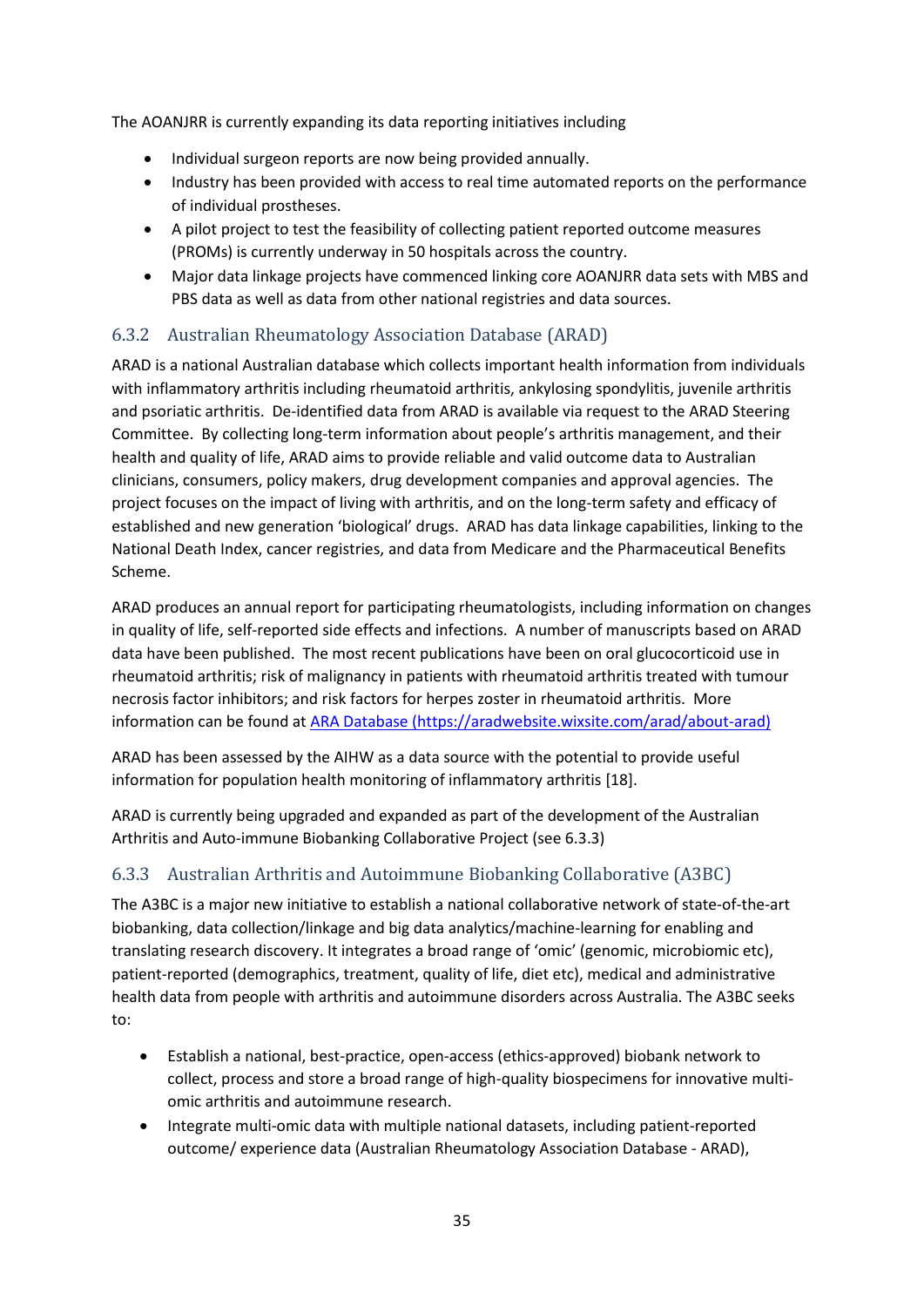The AOANJRR is currently expanding its data reporting initiatives including

- Individual surgeon reports are now being provided annually.
- Industry has been provided with access to real time automated reports on the performance of individual prostheses.
- A pilot project to test the feasibility of collecting patient reported outcome measures (PROMs) is currently underway in 50 hospitals across the country.
- Major data linkage projects have commenced linking core AOANJRR data sets with MBS and PBS data as well as data from other national registries and data sources.

## <span id="page-35-0"></span>6.3.2 Australian Rheumatology Association Database (ARAD)

ARAD is a national Australian database which collects important health information from individuals with inflammatory arthritis including rheumatoid arthritis, ankylosing spondylitis, juvenile arthritis and psoriatic arthritis. De-identified data from ARAD is available via request to the ARAD Steering Committee. By collecting long-term information about people's arthritis management, and their health and quality of life, ARAD aims to provide reliable and valid outcome data to Australian clinicians, consumers, policy makers, drug development companies and approval agencies. The project focuses on the impact of living with arthritis, and on the long-term safety and efficacy of established and new generation 'biological' drugs. ARAD has data linkage capabilities, linking to the National Death Index, cancer registries, and data from Medicare and the Pharmaceutical Benefits Scheme.

ARAD produces an annual report for participating rheumatologists, including information on changes in quality of life, self-reported side effects and infections. A number of manuscripts based on ARAD data have been published. The most recent publications have been on oral glucocorticoid use in rheumatoid arthritis; risk of malignancy in patients with rheumatoid arthritis treated with tumour necrosis factor inhibitors; and risk factors for herpes zoster in rheumatoid arthritis. More information can be found at [ARA Database \(https://aradwebsite.wixsite.com/arad/about-arad\)](https://aradwebsite.wixsite.com/arad/about-arad)

ARAD has been assessed by the AIHW as a data source with the potential to provide useful information for population health monitoring of inflammatory arthritis [18].

ARAD is currently being upgraded and expanded as part of the development of the Australian Arthritis and Auto-immune Biobanking Collaborative Project (see 6.3.3)

## <span id="page-35-1"></span>6.3.3 Australian Arthritis and Autoimmune Biobanking Collaborative (A3BC)

The A3BC is a major new initiative to establish a national collaborative network of state-of-the-art biobanking, data collection/linkage and big data analytics/machine-learning for enabling and translating research discovery. It integrates a broad range of 'omic' (genomic, microbiomic etc), patient-reported (demographics, treatment, quality of life, diet etc), medical and administrative health data from people with arthritis and autoimmune disorders across Australia. The A3BC seeks to:

- Establish a national, best-practice, open-access (ethics-approved) biobank network to collect, process and store a broad range of high-quality biospecimens for innovative multiomic arthritis and autoimmune research.
- Integrate multi-omic data with multiple national datasets, including patient-reported outcome/ experience data (Australian Rheumatology Association Database - ARAD),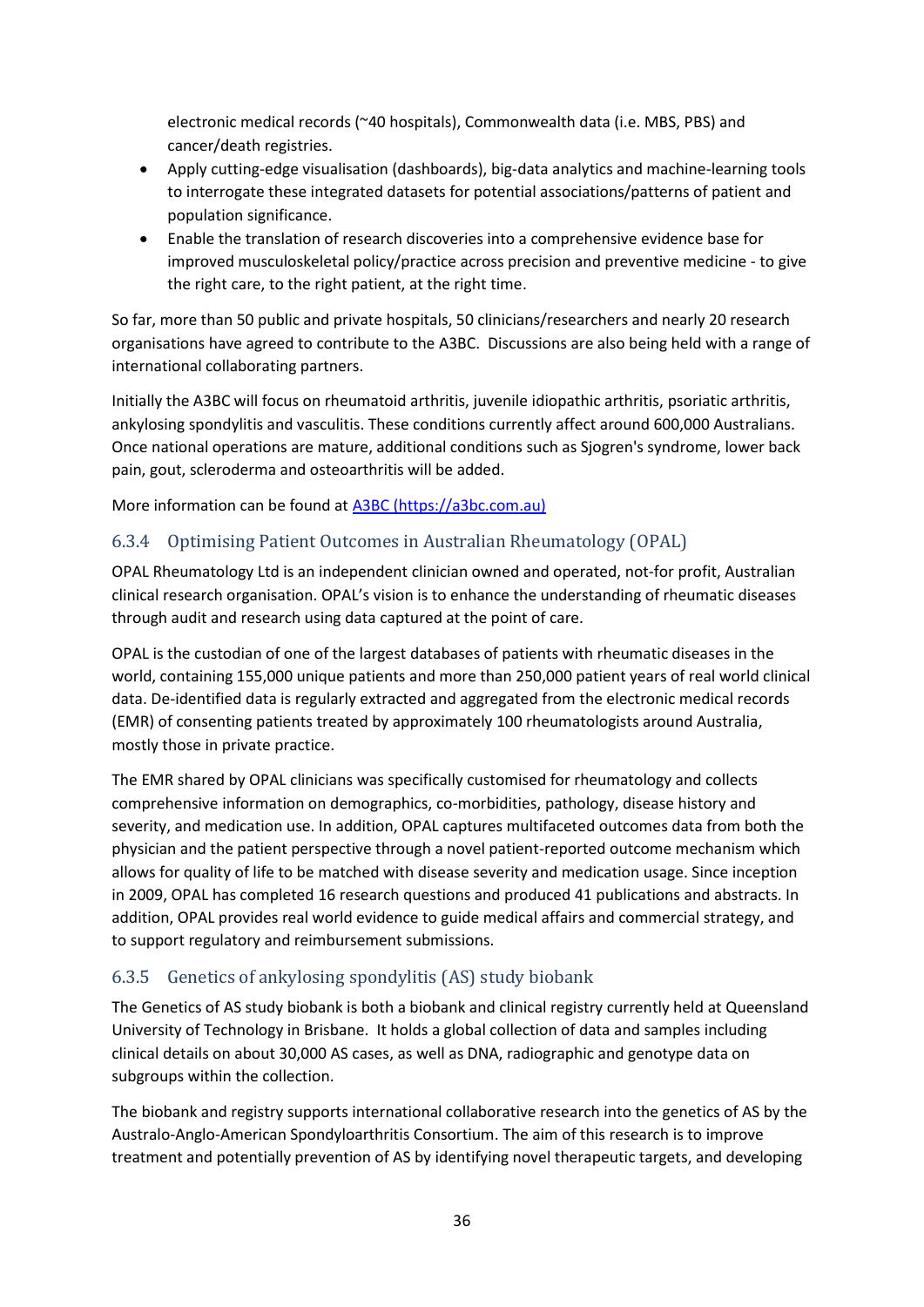electronic medical records (~40 hospitals), Commonwealth data (i.e. MBS, PBS) and cancer/death registries.

- Apply cutting-edge visualisation (dashboards), big-data analytics and machine-learning tools to interrogate these integrated datasets for potential associations/patterns of patient and population significance.
- Enable the translation of research discoveries into a comprehensive evidence base for improved musculoskeletal policy/practice across precision and preventive medicine - to give the right care, to the right patient, at the right time.

So far, more than 50 public and private hospitals, 50 clinicians/researchers and nearly 20 research organisations have agreed to contribute to the A3BC. Discussions are also being held with a range of international collaborating partners.

Initially the A3BC will focus on rheumatoid arthritis, juvenile idiopathic arthritis, psoriatic arthritis, ankylosing spondylitis and vasculitis. These conditions currently affect around 600,000 Australians. Once national operations are mature, additional conditions such as Sjogren's syndrome, lower back pain, gout, scleroderma and osteoarthritis will be added.

More information can be found at [A3BC \(https://a3bc.com.au\)](https://a3bc.com.au/)

## <span id="page-36-0"></span>6.3.4 Optimising Patient Outcomes in Australian Rheumatology (OPAL)

OPAL Rheumatology Ltd is an independent clinician owned and operated, not-for profit, Australian clinical research organisation. OPAL's vision is to enhance the understanding of rheumatic diseases through audit and research using data captured at the point of care.

OPAL is the custodian of one of the largest databases of patients with rheumatic diseases in the world, containing 155,000 unique patients and more than 250,000 patient years of real world clinical data. De-identified data is regularly extracted and aggregated from the electronic medical records (EMR) of consenting patients treated by approximately 100 rheumatologists around Australia, mostly those in private practice.

The EMR shared by OPAL clinicians was specifically customised for rheumatology and collects comprehensive information on demographics, co-morbidities, pathology, disease history and severity, and medication use. In addition, OPAL captures multifaceted outcomes data from both the physician and the patient perspective through a novel patient-reported outcome mechanism which allows for quality of life to be matched with disease severity and medication usage. Since inception in 2009, OPAL has completed 16 research questions and produced 41 publications and abstracts. In addition, OPAL provides real world evidence to guide medical affairs and commercial strategy, and to support regulatory and reimbursement submissions.

## <span id="page-36-1"></span>6.3.5 Genetics of ankylosing spondylitis (AS) study biobank

The Genetics of AS study biobank is both a biobank and clinical registry currently held at Queensland University of Technology in Brisbane. It holds a global collection of data and samples including clinical details on about 30,000 AS cases, as well as DNA, radiographic and genotype data on subgroups within the collection.

The biobank and registry supports international collaborative research into the genetics of AS by the Australo-Anglo-American Spondyloarthritis Consortium. The aim of this research is to improve treatment and potentially prevention of AS by identifying novel therapeutic targets, and developing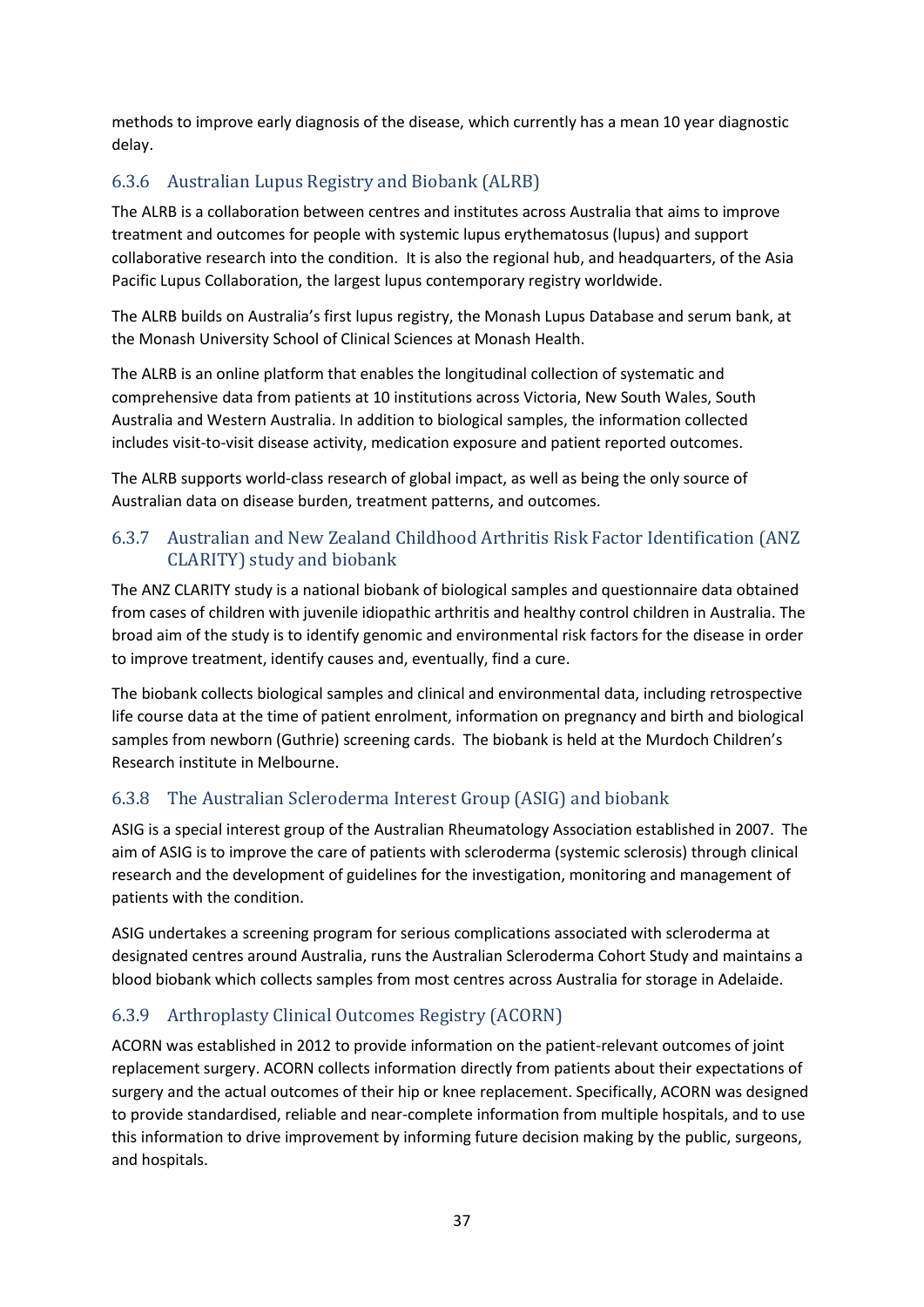methods to improve early diagnosis of the disease, which currently has a mean 10 year diagnostic delay.

## <span id="page-37-0"></span>6.3.6 Australian Lupus Registry and Biobank (ALRB)

The ALRB is a collaboration between centres and institutes across Australia that aims to improve treatment and outcomes for people with systemic lupus erythematosus (lupus) and support collaborative research into the condition. It is also the regional hub, and headquarters, of the Asia Pacific Lupus Collaboration, the largest lupus contemporary registry worldwide.

The ALRB builds on Australia's first lupus registry, the Monash Lupus Database and serum bank, at the Monash University School of Clinical Sciences at Monash Health.

The ALRB is an online platform that enables the longitudinal collection of systematic and comprehensive data from patients at 10 institutions across Victoria, New South Wales, South Australia and Western Australia. In addition to biological samples, the information collected includes visit-to-visit disease activity, medication exposure and patient reported outcomes.

The ALRB supports world-class research of global impact, as well as being the only source of Australian data on disease burden, treatment patterns, and outcomes.

#### <span id="page-37-1"></span>6.3.7 Australian and New Zealand Childhood Arthritis Risk Factor Identification (ANZ CLARITY) study and biobank

The ANZ CLARITY study is a national biobank of biological samples and questionnaire data obtained from cases of children with juvenile idiopathic arthritis and healthy control children in Australia. The broad aim of the study is to identify genomic and environmental risk factors for the disease in order to improve treatment, identify causes and, eventually, find a cure.

The biobank collects biological samples and clinical and environmental data, including retrospective life course data at the time of patient enrolment, information on pregnancy and birth and biological samples from newborn (Guthrie) screening cards. The biobank is held at the Murdoch Children's Research institute in Melbourne.

## <span id="page-37-2"></span>6.3.8 The Australian Scleroderma Interest Group (ASIG) and biobank

ASIG is a special interest group of the Australian Rheumatology Association established in 2007. The aim of ASIG is to improve the care of patients with scleroderma (systemic sclerosis) through clinical research and the development of guidelines for the investigation, monitoring and management of patients with the condition.

ASIG undertakes a screening program for serious complications associated with scleroderma at designated centres around Australia, runs the Australian Scleroderma Cohort Study and maintains a blood biobank which collects samples from most centres across Australia for storage in Adelaide.

## <span id="page-37-3"></span>6.3.9 Arthroplasty Clinical Outcomes Registry (ACORN)

ACORN was established in 2012 to provide information on the patient-relevant outcomes of joint replacement surgery. ACORN collects information directly from patients about their expectations of surgery and the actual outcomes of their hip or knee replacement. Specifically, ACORN was designed to provide standardised, reliable and near-complete information from multiple hospitals, and to use this information to drive improvement by informing future decision making by the public, surgeons, and hospitals.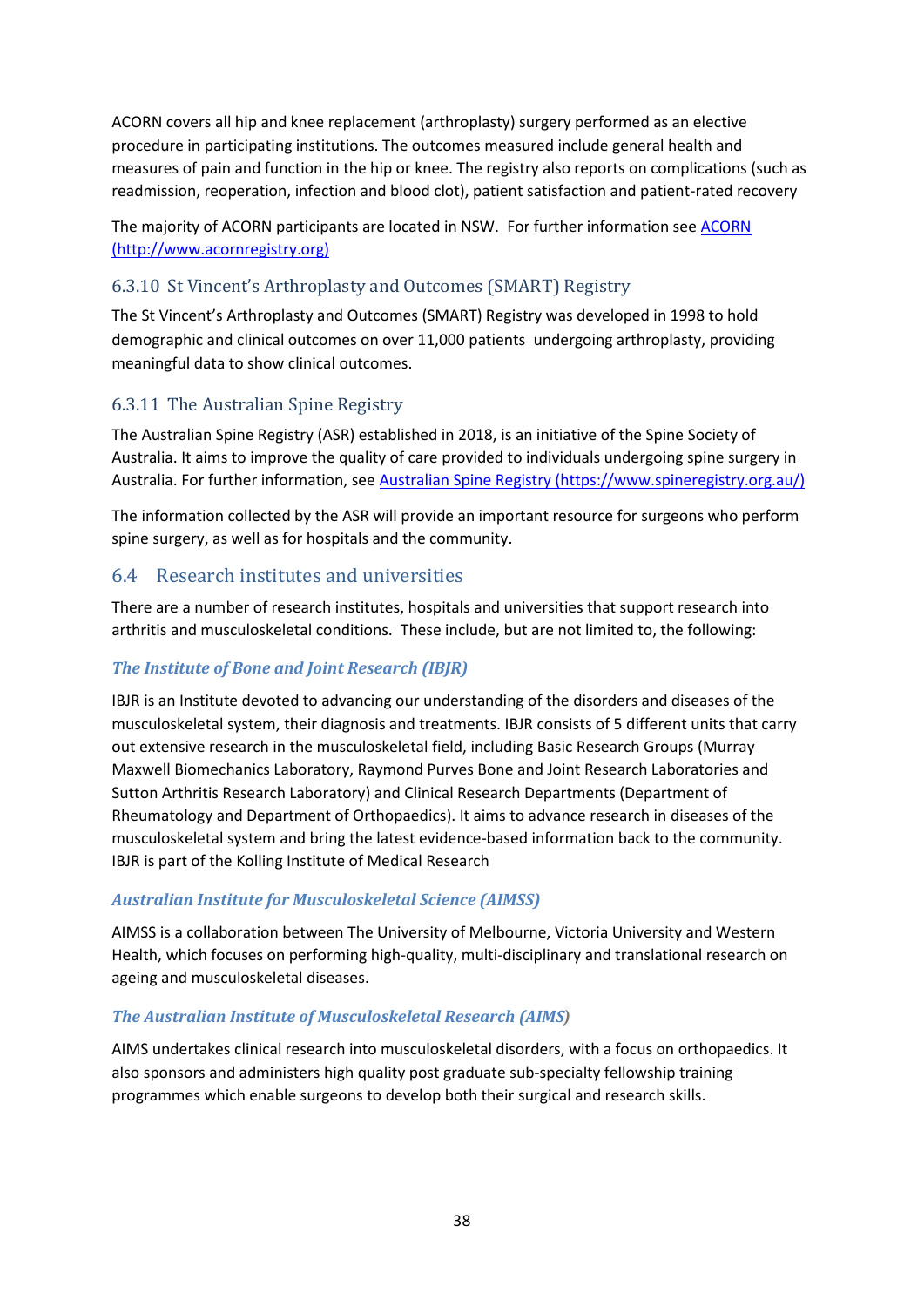ACORN covers all hip and knee replacement (arthroplasty) surgery performed as an elective procedure in participating institutions. The outcomes measured include general health and measures of pain and function in the hip or knee. The registry also reports on complications (such as readmission, reoperation, infection and blood clot), patient satisfaction and patient-rated recovery

The majority of ACORN participants are located in NSW. For further information se[e ACORN](http://www.acornregistry.org/)  [\(http://www.acornregistry.org\)](http://www.acornregistry.org/)

## <span id="page-38-0"></span>6.3.10 St Vincent's Arthroplasty and Outcomes (SMART) Registry

The St Vincent's Arthroplasty and Outcomes (SMART) Registry was developed in 1998 to hold demographic and clinical outcomes on over 11,000 patients undergoing arthroplasty, providing meaningful data to show clinical outcomes.

#### <span id="page-38-1"></span>6.3.11 The Australian Spine Registry

The Australian Spine Registry (ASR) established in 2018, is an initiative of the Spine Society of Australia. It aims to improve the quality of care provided to individuals undergoing spine surgery in Australia. For further information, see [Australian Spine Registry \(https://www.spineregistry.org.au/\)](https://www.spineregistry.org.au/)

The information collected by the ASR will provide an important resource for surgeons who perform spine surgery, as well as for hospitals and the community.

#### <span id="page-38-2"></span>6.4 Research institutes and universities

There are a number of research institutes, hospitals and universities that support research into arthritis and musculoskeletal conditions. These include, but are not limited to, the following:

#### *The Institute of Bone and Joint Research (IBJR)*

IBJR is an Institute devoted to advancing our understanding of the disorders and diseases of the musculoskeletal system, their diagnosis and treatments. IBJR consists of 5 different units that carry out extensive research in the musculoskeletal field, including Basic Research Groups (Murray Maxwell Biomechanics Laboratory, Raymond Purves Bone and Joint Research Laboratories and Sutton Arthritis Research Laboratory) and Clinical Research Departments (Department of Rheumatology and Department of Orthopaedics). It aims to advance research in diseases of the musculoskeletal system and bring the latest evidence-based information back to the community. IBJR is part of the Kolling Institute of Medical Research

#### *Australian Institute for Musculoskeletal Science (AIMSS)*

AIMSS is a collaboration between The University of Melbourne, Victoria University and Western Health, which focuses on performing high-quality, multi-disciplinary and translational research on ageing and musculoskeletal diseases.

#### *The Australian Institute of Musculoskeletal Research (AIMS)*

AIMS undertakes clinical research into musculoskeletal disorders, with a focus on orthopaedics. It also sponsors and administers high quality post graduate sub-specialty fellowship training programmes which enable surgeons to develop both their surgical and research skills.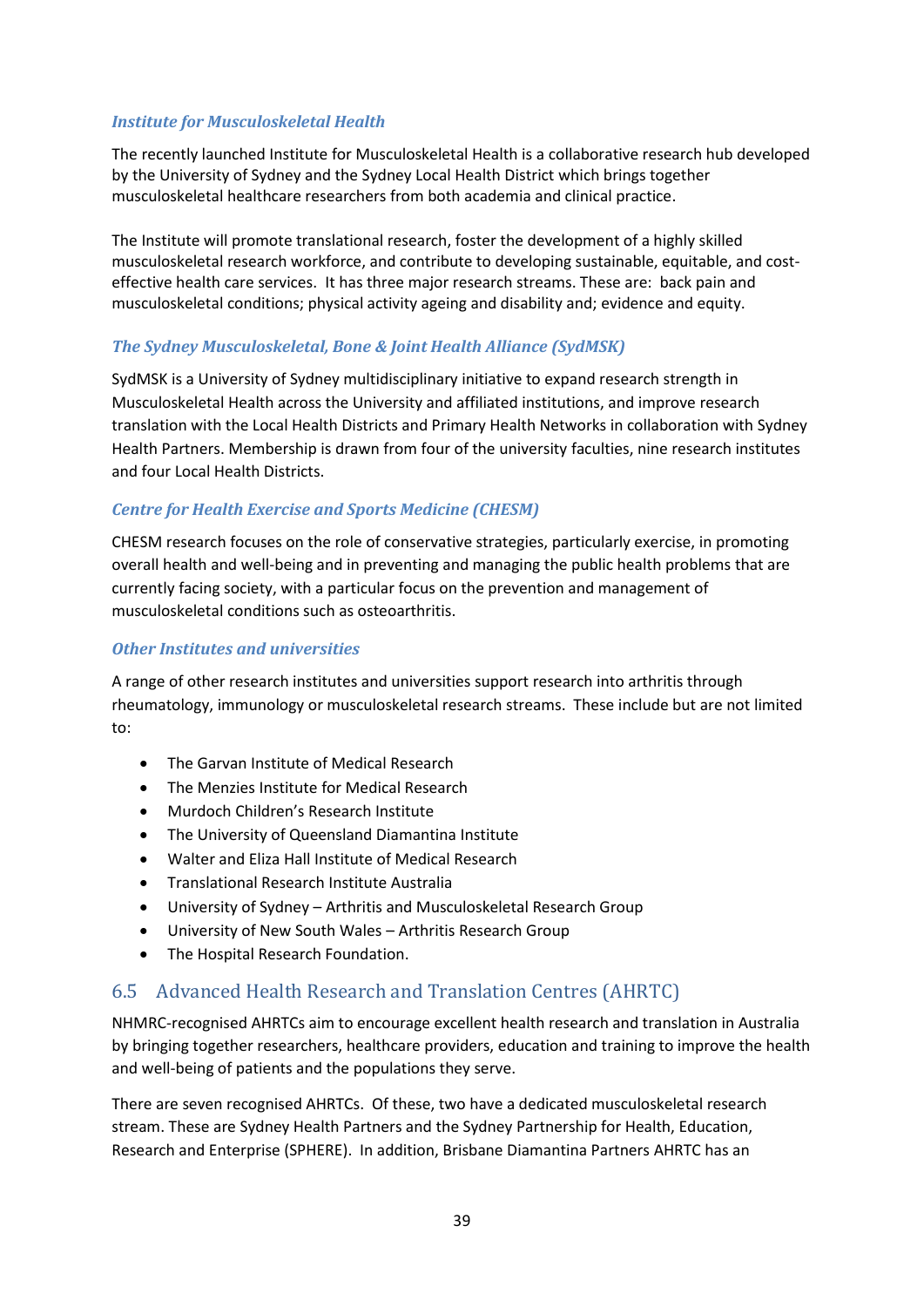#### *Institute for Musculoskeletal Health*

The recently launched Institute for Musculoskeletal Health is a collaborative research hub developed by the University of Sydney and the Sydney Local Health District which brings together musculoskeletal healthcare researchers from both academia and clinical practice.

The Institute will promote translational research, foster the development of a highly skilled musculoskeletal research workforce, and contribute to developing sustainable, equitable, and costeffective health care services. It has three major research streams. These are: back pain and musculoskeletal conditions; physical activity ageing and disability and; evidence and equity.

#### *The Sydney Musculoskeletal, Bone & Joint Health Alliance (SydMSK)*

SydMSK is a University of Sydney multidisciplinary initiative to expand research strength in Musculoskeletal Health across the University and affiliated institutions, and improve research translation with the Local Health Districts and Primary Health Networks in collaboration with [Sydney](http://www.slhd.nsw.gov.au/sydneyhealthpartners/musculoskeletal.html)  [Health Partners.](http://www.slhd.nsw.gov.au/sydneyhealthpartners/musculoskeletal.html) Membership is drawn from four of the university faculties, nine research institutes and four Local Health Districts.

#### *Centre for Health Exercise and Sports Medicine (CHESM)*

CHESM research focuses on the role of conservative strategies, particularly exercise, in promoting overall health and well-being and in preventing and managing the public health problems that are currently facing society, with a particular focus on the prevention and management of musculoskeletal conditions such as osteoarthritis.

#### *Other Institutes and universities*

A range of other research institutes and universities support research into arthritis through rheumatology, immunology or musculoskeletal research streams. These include but are not limited to:

- The Garvan Institute of Medical Research
- The Menzies Institute for Medical Research
- Murdoch Children's Research Institute
- The University of Queensland Diamantina Institute
- Walter and Eliza Hall Institute of Medical Research
- Translational Research Institute Australia
- University of Sydney Arthritis and Musculoskeletal Research Group
- University of New South Wales Arthritis Research Group
- The Hospital Research Foundation.

## <span id="page-39-0"></span>6.5 Advanced Health Research and Translation Centres (AHRTC)

NHMRC-recognised AHRTCs aim to encourage excellent health research and translation in Australia by bringing together researchers, healthcare providers, education and training to improve the health and well-being of patients and the populations they serve.

There are seven recognised AHRTCs. Of these, two have a dedicated musculoskeletal research stream. These are Sydney Health Partners and the Sydney Partnership for Health, Education, Research and Enterprise (SPHERE). In addition, Brisbane Diamantina Partners AHRTC has an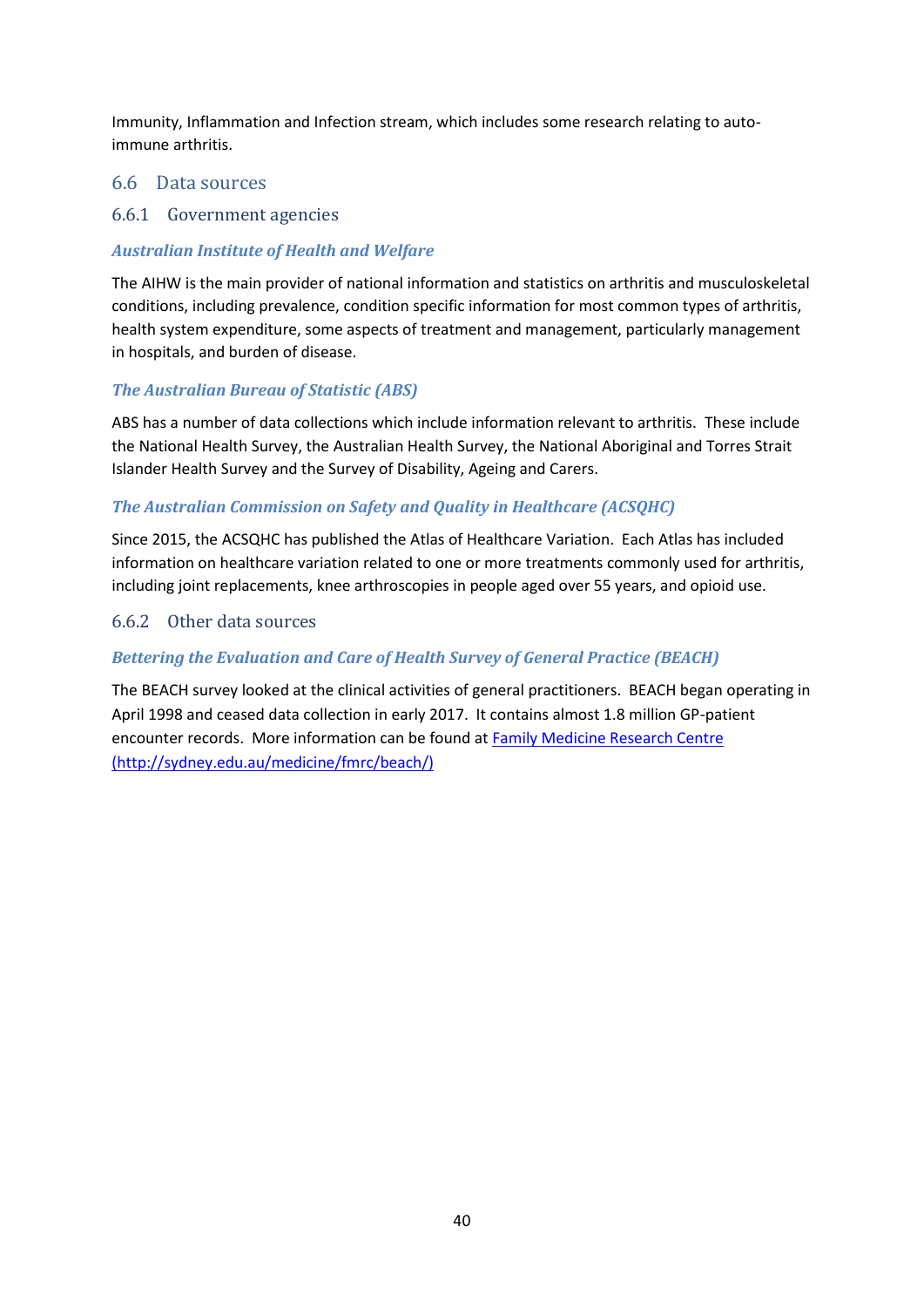Immunity, Inflammation and Infection stream, which includes some research relating to autoimmune arthritis.

#### <span id="page-40-0"></span>6.6 Data sources

#### <span id="page-40-1"></span>6.6.1 Government agencies

#### *Australian Institute of Health and Welfare*

The AIHW is the main provider of national information and statistics on arthritis and musculoskeletal conditions, including prevalence, condition specific information for most common types of arthritis, health system expenditure, some aspects of treatment and management, particularly management in hospitals, and burden of disease.

#### *The Australian Bureau of Statistic (ABS)*

ABS has a number of data collections which include information relevant to arthritis. These include the National Health Survey, the Australian Health Survey, the National Aboriginal and Torres Strait Islander Health Survey and the Survey of Disability, Ageing and Carers.

#### *The Australian Commission on Safety and Quality in Healthcare (ACSQHC)*

Since 2015, the ACSQHC has published the Atlas of Healthcare Variation. Each Atlas has included information on healthcare variation related to one or more treatments commonly used for arthritis, including joint replacements, knee arthroscopies in people aged over 55 years, and opioid use.

#### <span id="page-40-2"></span>6.6.2 Other data sources

#### *Bettering the Evaluation and Care of Health Survey of General Practice (BEACH)*

The BEACH survey looked at the clinical activities of general practitioners. BEACH began operating in April 1998 and ceased data collection in early 2017. It contains almost 1.8 million GP-patient encounter records. More information can be found at [Family Medicine Research Centre](http://sydney.edu.au/medicine/fmrc/beach/)  [\(http://sydney.edu.au/medicine/fmrc/beach/\)](http://sydney.edu.au/medicine/fmrc/beach/)